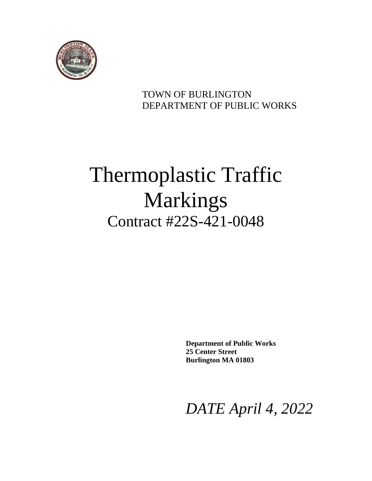

### TOWN OF BURLINGTON DEPARTMENT OF PUBLIC WORKS

# Thermoplastic Traffic Markings Contract #22S-421-0048

**Department of Public Works 25 Center Street Burlington MA 01803**

*DATE April 4, 2022*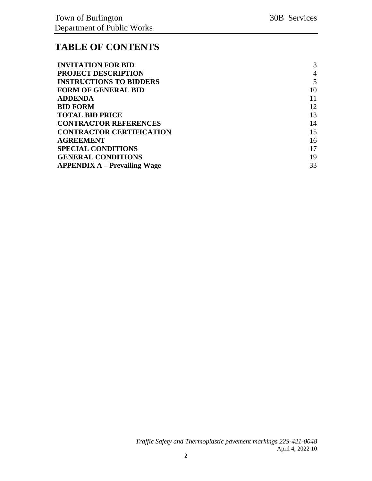### **TABLE OF CONTENTS**

| <b>INVITATION FOR BID</b>           | 3  |
|-------------------------------------|----|
| <b>PROJECT DESCRIPTION</b>          | 4  |
| <b>INSTRUCTIONS TO BIDDERS</b>      | 5  |
| <b>FORM OF GENERAL BID</b>          | 10 |
| <b>ADDENDA</b>                      | 11 |
| <b>BID FORM</b>                     | 12 |
| <b>TOTAL BID PRICE</b>              | 13 |
| <b>CONTRACTOR REFERENCES</b>        | 14 |
| <b>CONTRACTOR CERTIFICATION</b>     | 15 |
| <b>AGREEMENT</b>                    | 16 |
| <b>SPECIAL CONDITIONS</b>           | 17 |
| <b>GENERAL CONDITIONS</b>           | 19 |
| <b>APPENDIX A – Prevailing Wage</b> | 33 |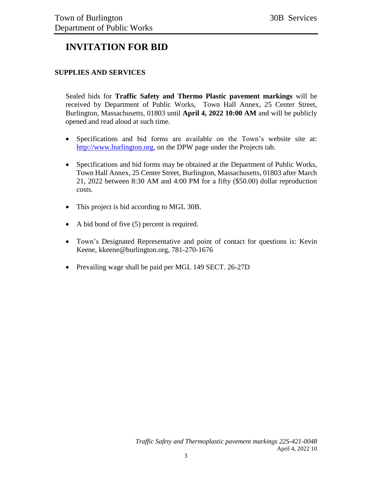### <span id="page-2-0"></span>**INVITATION FOR BID**

#### **SUPPLIES AND SERVICES**

Sealed bids for **Traffic Safety and Thermo Plastic pavement markings** will be received by Department of Public Works, Town Hall Annex, 25 Center Street, Burlington, Massachusetts, 01803 until **April 4, 2022 10:00 AM** and will be publicly opened and read aloud at such time.

- Specifications and bid forms are available on the Town's website site at: [http://www.burlington.org,](http://www.burlington.org/) on the DPW page under the Projects tab.
- Specifications and bid forms may be obtained at the Department of Public Works, Town Hall Annex, 25 Center Street, Burlington, Massachusetts, 01803 after March 21, 2022 between 8:30 AM and 4:00 PM for a fifty (\$50.00) dollar reproduction costs.
- This project is bid according to MGL 30B.
- A bid bond of five (5) percent is required.
- Town's Designated Representative and point of contact for questions is: Kevin Keene, kkeene@burlington.org, 781-270-1676
- Prevailing wage shall be paid per MGL 149 SECT. 26-27D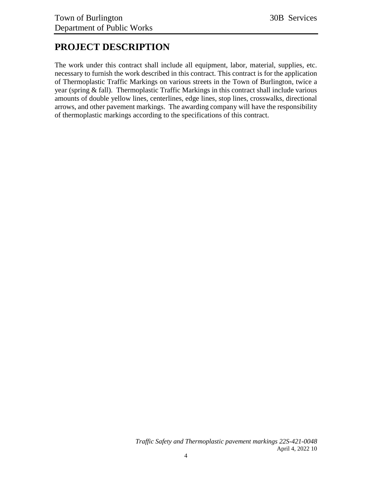### <span id="page-3-0"></span>**PROJECT DESCRIPTION**

The work under this contract shall include all equipment, labor, material, supplies, etc. necessary to furnish the work described in this contract. This contract is for the application of Thermoplastic Traffic Markings on various streets in the Town of Burlington, twice a year (spring & fall). Thermoplastic Traffic Markings in this contract shall include various amounts of double yellow lines, centerlines, edge lines, stop lines, crosswalks, directional arrows, and other pavement markings. The awarding company will have the responsibility of thermoplastic markings according to the specifications of this contract.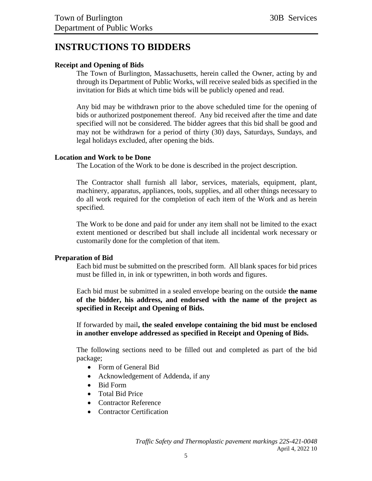### <span id="page-4-0"></span>**INSTRUCTIONS TO BIDDERS**

#### **Receipt and Opening of Bids**

The Town of Burlington, Massachusetts, herein called the Owner, acting by and through its Department of Public Works, will receive sealed bids as specified in the invitation for Bids at which time bids will be publicly opened and read.

Any bid may be withdrawn prior to the above scheduled time for the opening of bids or authorized postponement thereof. Any bid received after the time and date specified will not be considered. The bidder agrees that this bid shall be good and may not be withdrawn for a period of thirty (30) days, Saturdays, Sundays, and legal holidays excluded, after opening the bids.

#### **Location and Work to be Done**

The Location of the Work to be done is described in the project description.

The Contractor shall furnish all labor, services, materials, equipment, plant, machinery, apparatus, appliances, tools, supplies, and all other things necessary to do all work required for the completion of each item of the Work and as herein specified.

The Work to be done and paid for under any item shall not be limited to the exact extent mentioned or described but shall include all incidental work necessary or customarily done for the completion of that item.

#### **Preparation of Bid**

Each bid must be submitted on the prescribed form. All blank spaces for bid prices must be filled in, in ink or typewritten, in both words and figures.

Each bid must be submitted in a sealed envelope bearing on the outside **the name of the bidder, his address, and endorsed with the name of the project as specified in Receipt and Opening of Bids.**

If forwarded by mail**, the sealed envelope containing the bid must be enclosed in another envelope addressed as specified in Receipt and Opening of Bids.**

The following sections need to be filled out and completed as part of the bid package;

- Form of General Bid
- Acknowledgement of Addenda, if any
- Bid Form
- Total Bid Price
- Contractor Reference
- Contractor Certification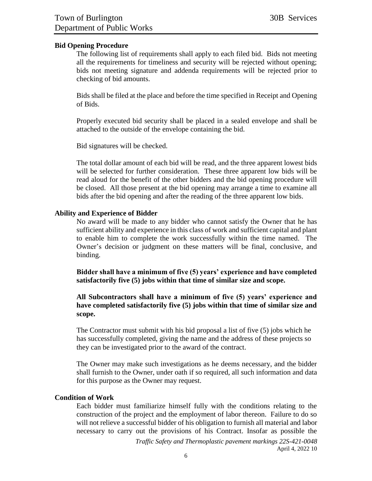#### **Bid Opening Procedure**

The following list of requirements shall apply to each filed bid. Bids not meeting all the requirements for timeliness and security will be rejected without opening; bids not meeting signature and addenda requirements will be rejected prior to checking of bid amounts.

Bids shall be filed at the place and before the time specified in Receipt and Opening of Bids.

Properly executed bid security shall be placed in a sealed envelope and shall be attached to the outside of the envelope containing the bid.

Bid signatures will be checked.

The total dollar amount of each bid will be read, and the three apparent lowest bids will be selected for further consideration. These three apparent low bids will be read aloud for the benefit of the other bidders and the bid opening procedure will be closed. All those present at the bid opening may arrange a time to examine all bids after the bid opening and after the reading of the three apparent low bids.

#### **Ability and Experience of Bidder**

No award will be made to any bidder who cannot satisfy the Owner that he has sufficient ability and experience in this class of work and sufficient capital and plant to enable him to complete the work successfully within the time named. The Owner's decision or judgment on these matters will be final, conclusive, and binding.

**Bidder shall have a minimum of five (5) years' experience and have completed satisfactorily five (5) jobs within that time of similar size and scope.** 

**All Subcontractors shall have a minimum of five (5) years' experience and have completed satisfactorily five (5) jobs within that time of similar size and scope.**

The Contractor must submit with his bid proposal a list of five (5) jobs which he has successfully completed, giving the name and the address of these projects so they can be investigated prior to the award of the contract.

The Owner may make such investigations as he deems necessary, and the bidder shall furnish to the Owner, under oath if so required, all such information and data for this purpose as the Owner may request.

#### **Condition of Work**

Each bidder must familiarize himself fully with the conditions relating to the construction of the project and the employment of labor thereon. Failure to do so will not relieve a successful bidder of his obligation to furnish all material and labor necessary to carry out the provisions of his Contract. Insofar as possible the

> *Traffic Safety and Thermoplastic pavement markings 22S-421-0048* April 4, 2022 10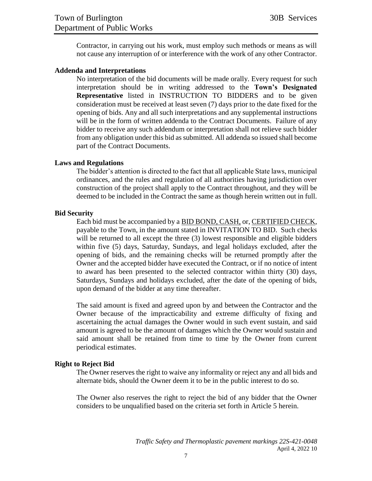Contractor, in carrying out his work, must employ such methods or means as will not cause any interruption of or interference with the work of any other Contractor.

#### **Addenda and Interpretations**

No interpretation of the bid documents will be made orally. Every request for such interpretation should be in writing addressed to the **Town's Designated Representative** listed in INSTRUCTION TO BIDDERS and to be given consideration must be received at least seven (7) days prior to the date fixed for the opening of bids. Any and all such interpretations and any supplemental instructions will be in the form of written addenda to the Contract Documents. Failure of any bidder to receive any such addendum or interpretation shall not relieve such bidder from any obligation under this bid as submitted. All addenda so issued shall become part of the Contract Documents.

#### **Laws and Regulations**

The bidder's attention is directed to the fact that all applicable State laws, municipal ordinances, and the rules and regulation of all authorities having jurisdiction over construction of the project shall apply to the Contract throughout, and they will be deemed to be included in the Contract the same as though herein written out in full.

#### **Bid Security**

Each bid must be accompanied by a BID BOND, CASH, or, CERTIFIED CHECK, payable to the Town, in the amount stated in INVITATION TO BID. Such checks will be returned to all except the three (3) lowest responsible and eligible bidders within five (5) days, Saturday, Sundays, and legal holidays excluded, after the opening of bids, and the remaining checks will be returned promptly after the Owner and the accepted bidder have executed the Contract, or if no notice of intent to award has been presented to the selected contractor within thirty (30) days, Saturdays, Sundays and holidays excluded, after the date of the opening of bids, upon demand of the bidder at any time thereafter.

The said amount is fixed and agreed upon by and between the Contractor and the Owner because of the impracticability and extreme difficulty of fixing and ascertaining the actual damages the Owner would in such event sustain, and said amount is agreed to be the amount of damages which the Owner would sustain and said amount shall be retained from time to time by the Owner from current periodical estimates.

#### **Right to Reject Bid**

The Owner reserves the right to waive any informality or reject any and all bids and alternate bids, should the Owner deem it to be in the public interest to do so.

The Owner also reserves the right to reject the bid of any bidder that the Owner considers to be unqualified based on the criteria set forth in Article 5 herein.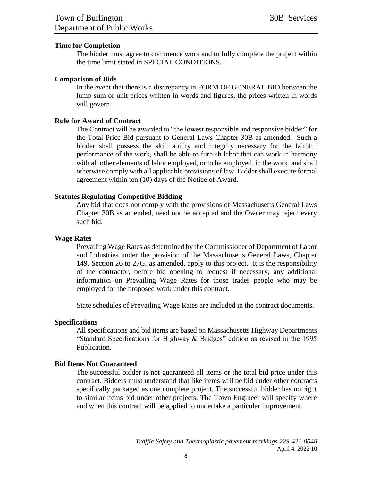#### **Time for Completion**

The bidder must agree to commence work and to fully complete the project within the time limit stated in SPECIAL CONDITIONS.

#### **Comparison of Bids**

In the event that there is a discrepancy in FORM OF GENERAL BID between the lump sum or unit prices written in words and figures, the prices written in words will govern.

#### **Rule for Award of Contract**

The Contract will be awarded to "the lowest responsible and responsive bidder" for the Total Price Bid pursuant to General Laws Chapter 30B as amended. Such a bidder shall possess the skill ability and integrity necessary for the faithful performance of the work, shall be able to furnish labor that can work in harmony with all other elements of labor employed, or to be employed, in the work, and shall otherwise comply with all applicable provisions of law. Bidder shall execute formal agreement within ten (10) days of the Notice of Award.

#### **Statutes Regulating Competitive Bidding**

Any bid that does not comply with the provisions of Massachusetts General Laws Chapter 30B as amended, need not be accepted and the Owner may reject every such bid.

#### **Wage Rates**

Prevailing Wage Rates as determined by the Commissioner of Department of Labor and Industries under the provision of the Massachusetts General Laws, Chapter 149, Section 26 to 27G, as amended, apply to this project. It is the responsibility of the contractor, before bid opening to request if necessary, any additional information on Prevailing Wage Rates for those trades people who may be employed for the proposed work under this contract.

State schedules of Prevailing Wage Rates are included in the contract documents.

#### **Specifications**

All specifications and bid items are based on Massachusetts Highway Departments "Standard Specifications for Highway & Bridges" edition as revised in the 1995 Publication.

#### **Bid Items Not Guaranteed**

The successful bidder is not guaranteed all items or the total bid price under this contract. Bidders must understand that like items will be bid under other contracts specifically packaged as one complete project. The successful bidder has no right to similar items bid under other projects. The Town Engineer will specify where and when this contract will be applied to undertake a particular improvement.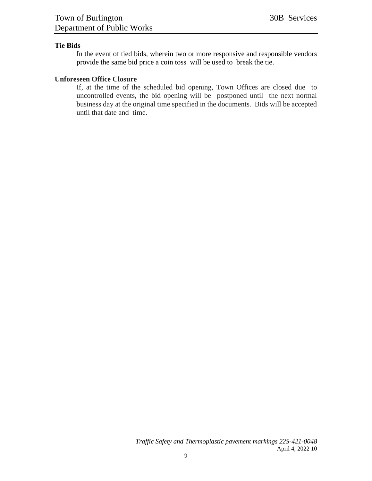#### **Tie Bids**

In the event of tied bids, wherein two or more responsive and responsible vendors provide the same bid price a coin toss will be used to break the tie.

#### **Unforeseen Office Closure**

If, at the time of the scheduled bid opening, Town Offices are closed due to uncontrolled events, the bid opening will be postponed until the next normal business day at the original time specified in the documents. Bids will be accepted until that date and time.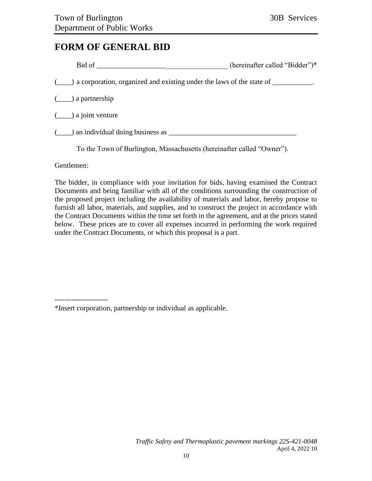### <span id="page-9-0"></span>**FORM OF GENERAL BID**

|                                                                 | (hereinafter called "Bidder")*                                                                       |
|-----------------------------------------------------------------|------------------------------------------------------------------------------------------------------|
|                                                                 | $(\_\_\_\)$ a corporation, organized and existing under the laws of the state of $\_\_\_\_\_\_\_\$ . |
| $(\underline{\hspace{1cm}})$ a partnership                      |                                                                                                      |
| $(\underline{\hspace{1cm}})$ a joint venture                    |                                                                                                      |
| $(\_\_\)$ an individual doing business as $\_\_\_\_\_\_\_\_\_\$ |                                                                                                      |
|                                                                 | To the Town of Burlington, Massachusetts (hereinafter called "Owner").                               |

Gentlemen:

The bidder, in compliance with your invitation for bids, having examined the Contract Documents and being familiar with all of the conditions surrounding the construction of the proposed project including the availability of materials and labor, hereby propose to furnish all labor, materials, and supplies, and to construct the project in accordance with the Contract Documents within the time set forth in the agreement, and at the prices stated below. These prices are to cover all expenses incurred in performing the work required under the Contract Documents, or which this proposal is a part.

\*Insert corporation, partnership or individual as applicable.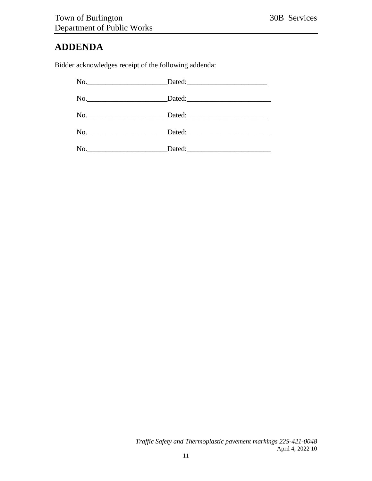### <span id="page-10-0"></span>**ADDENDA**

Bidder acknowledges receipt of the following addenda: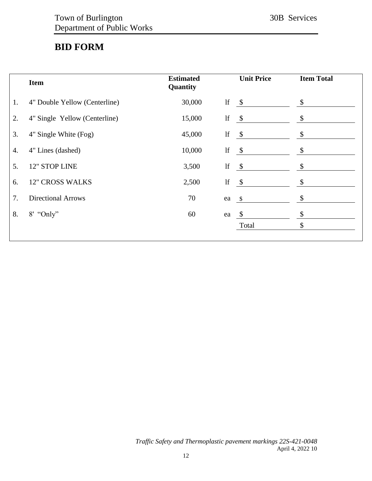### <span id="page-11-0"></span>**BID FORM**

|    | <b>Item</b>                   | <b>Estimated</b><br>Quantity |               | <b>Unit Price</b> | <b>Item Total</b>         |
|----|-------------------------------|------------------------------|---------------|-------------------|---------------------------|
| 1. | 4" Double Yellow (Centerline) | 30,000                       | $\mathbf{If}$ | $\mathcal{S}$     | \$                        |
| 2. | 4" Single Yellow (Centerline) | 15,000                       | lf            | $\sqrt{S}$        | \$                        |
| 3. | 4" Single White (Fog)         | 45,000                       | lf            | $\mathcal{S}$     | \$                        |
| 4. | 4" Lines (dashed)             | 10,000                       | lf            | $\sqrt{3}$        | \$                        |
| 5. | 12" STOP LINE                 | 3,500                        | $\mathbf{If}$ | $\sqrt{5}$        | \$                        |
| 6. | <b>12" CROSS WALKS</b>        | 2,500                        | lf            | $\mathcal{S}$     | $\boldsymbol{\mathsf{S}}$ |
| 7. | <b>Directional Arrows</b>     | 70                           | ea            | $\mathcal{S}$     | \$                        |
| 8. | $8'$ "Only"                   | 60                           | ea            | $\sqrt{\ }$       | \$                        |
|    |                               |                              |               | Total             | \$                        |
|    |                               |                              |               |                   |                           |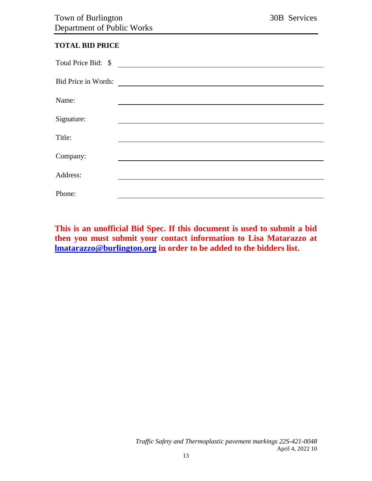#### <span id="page-12-0"></span>**TOTAL BID PRICE**

| Total Price Bid: \$ |  |
|---------------------|--|
| Bid Price in Words: |  |
| Name:               |  |
| Signature:          |  |
| Title:              |  |
| Company:            |  |
| Address:            |  |
| Phone:              |  |

**This is an unofficial Bid Spec. If this document is used to submit a bid then you must submit your contact information to Lisa Matarazzo at [lmatarazzo@burlington.org](mailto:lmatarazzo@burlington.org) in order to be added to the bidders list.**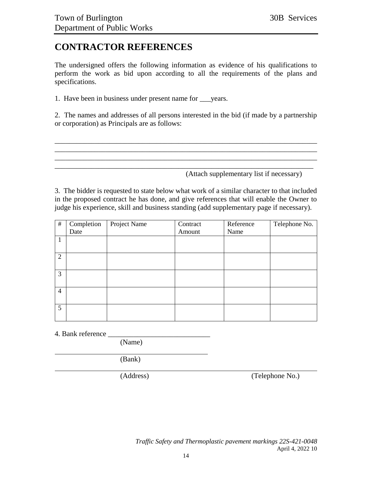### <span id="page-13-0"></span>**CONTRACTOR REFERENCES**

The undersigned offers the following information as evidence of his qualifications to perform the work as bid upon according to all the requirements of the plans and specifications.

1. Have been in business under present name for \_\_\_years.

2. The names and addresses of all persons interested in the bid (if made by a partnership or corporation) as Principals are as follows:

\_\_\_\_\_\_\_\_\_\_\_\_\_\_\_\_\_\_\_\_\_\_\_\_\_\_\_\_\_\_\_\_\_\_\_\_\_\_\_\_\_\_\_\_\_\_\_\_\_\_\_\_\_\_\_\_\_\_\_\_\_\_\_\_\_\_\_\_\_\_\_\_ \_\_\_\_\_\_\_\_\_\_\_\_\_\_\_\_\_\_\_\_\_\_\_\_\_\_\_\_\_\_\_\_\_\_\_\_\_\_\_\_\_\_\_\_\_\_\_\_\_\_\_\_\_\_\_\_\_\_\_\_\_\_\_\_\_\_\_\_\_\_\_\_ \_\_\_\_\_\_\_\_\_\_\_\_\_\_\_\_\_\_\_\_\_\_\_\_\_\_\_\_\_\_\_\_\_\_\_\_\_\_\_\_\_\_\_\_\_\_\_\_\_\_\_\_\_\_\_\_\_\_\_\_\_\_\_\_\_\_\_\_\_\_\_\_ \_\_\_\_\_\_\_\_\_\_\_\_\_\_\_\_\_\_\_\_\_\_\_\_\_\_\_\_\_\_\_\_\_\_\_\_\_\_\_\_\_\_\_\_\_\_\_\_\_\_\_\_\_\_\_\_\_\_\_\_\_\_\_\_\_\_\_\_\_\_\_

(Attach supplementary list if necessary)

3. The bidder is requested to state below what work of a similar character to that included in the proposed contract he has done, and give references that will enable the Owner to judge his experience, skill and business standing (add supplementary page if necessary).

| #              | Completion | Project Name | Contract | Reference | Telephone No. |
|----------------|------------|--------------|----------|-----------|---------------|
|                | Date       |              | Amount   | Name      |               |
| 1              |            |              |          |           |               |
|                |            |              |          |           |               |
| $\overline{2}$ |            |              |          |           |               |
|                |            |              |          |           |               |
| $\mathfrak{Z}$ |            |              |          |           |               |
|                |            |              |          |           |               |
| $\overline{4}$ |            |              |          |           |               |
|                |            |              |          |           |               |
| 5 <sup>5</sup> |            |              |          |           |               |
|                |            |              |          |           |               |

4. Bank reference

(Name)

(Bank)

(Address) (Telephone No.)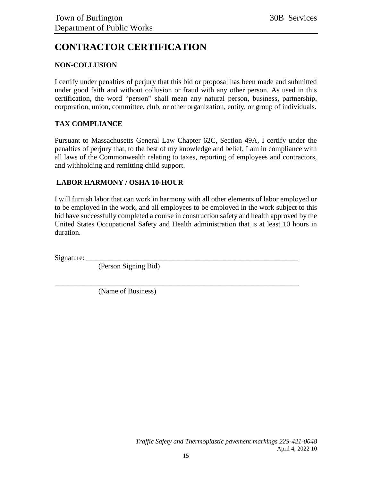## <span id="page-14-0"></span>**CONTRACTOR CERTIFICATION**

#### **NON-COLLUSION**

I certify under penalties of perjury that this bid or proposal has been made and submitted under good faith and without collusion or fraud with any other person. As used in this certification, the word "person" shall mean any natural person, business, partnership, corporation, union, committee, club, or other organization, entity, or group of individuals.

#### **TAX COMPLIANCE**

Pursuant to Massachusetts General Law Chapter 62C, Section 49A, I certify under the penalties of perjury that, to the best of my knowledge and belief, I am in compliance with all laws of the Commonwealth relating to taxes, reporting of employees and contractors, and withholding and remitting child support.

#### **LABOR HARMONY / OSHA 10-HOUR**

I will furnish labor that can work in harmony with all other elements of labor employed or to be employed in the work, and all employees to be employed in the work subject to this bid have successfully completed a course in construction safety and health approved by the United States Occupational Safety and Health administration that is at least 10 hours in duration.

\_\_\_\_\_\_\_\_\_\_\_\_\_\_\_\_\_\_\_\_\_\_\_\_\_\_\_\_\_\_\_\_\_\_\_\_\_\_\_\_\_\_\_\_\_\_\_\_\_\_\_\_\_\_\_\_\_\_\_\_\_\_\_\_\_\_\_

Signature:

(Person Signing Bid)

(Name of Business)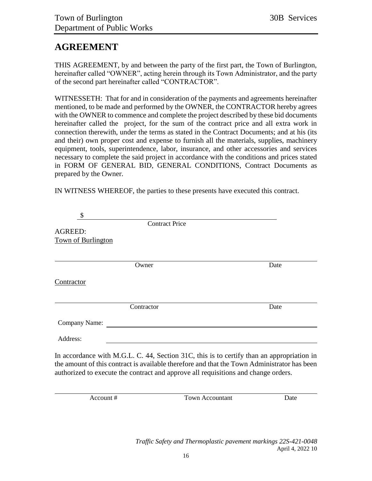### <span id="page-15-0"></span>**AGREEMENT**

THIS AGREEMENT, by and between the party of the first part, the Town of Burlington, hereinafter called "OWNER", acting herein through its Town Administrator, and the party of the second part hereinafter called "CONTRACTOR".

WITNESSETH: That for and in consideration of the payments and agreements hereinafter mentioned, to be made and performed by the OWNER, the CONTRACTOR hereby agrees with the OWNER to commence and complete the project described by these bid documents hereinafter called the project, for the sum of the contract price and all extra work in connection therewith, under the terms as stated in the Contract Documents; and at his (its and their) own proper cost and expense to furnish all the materials, supplies, machinery equipment, tools, superintendence, labor, insurance, and other accessories and services necessary to complete the said project in accordance with the conditions and prices stated in FORM OF GENERAL BID, GENERAL CONDITIONS, Contract Documents as prepared by the Owner.

IN WITNESS WHEREOF, the parties to these presents have executed this contract.

| \$                                                                                 |                       |                                                                                                                                                                                          |
|------------------------------------------------------------------------------------|-----------------------|------------------------------------------------------------------------------------------------------------------------------------------------------------------------------------------|
|                                                                                    | <b>Contract Price</b> |                                                                                                                                                                                          |
| <b>AGREED:</b>                                                                     |                       |                                                                                                                                                                                          |
| Town of Burlington                                                                 |                       |                                                                                                                                                                                          |
|                                                                                    |                       |                                                                                                                                                                                          |
|                                                                                    | Owner                 | Date                                                                                                                                                                                     |
| Contractor                                                                         |                       |                                                                                                                                                                                          |
|                                                                                    | Contractor            | Date                                                                                                                                                                                     |
| Company Name:                                                                      |                       |                                                                                                                                                                                          |
| Address:                                                                           |                       |                                                                                                                                                                                          |
| authorized to execute the contract and approve all requisitions and change orders. |                       | In accordance with M.G.L. C. 44, Section 31C, this is to certify than an appropriation in<br>the amount of this contract is available therefore and that the Town Administrator has been |
| Account #                                                                          | Town Accountant       | Date                                                                                                                                                                                     |

*Traffic Safety and Thermoplastic pavement markings 22S-421-0048* April 4, 2022 10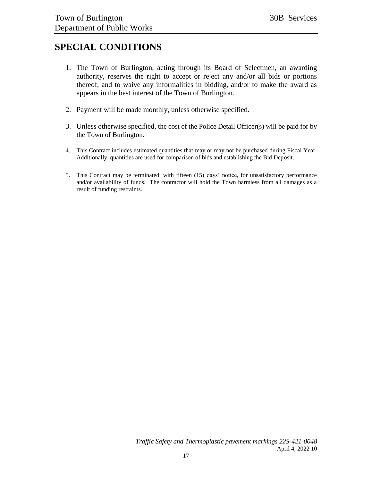### <span id="page-16-0"></span>**SPECIAL CONDITIONS**

- 1. The Town of Burlington, acting through its Board of Selectmen, an awarding authority, reserves the right to accept or reject any and/or all bids or portions thereof, and to waive any informalities in bidding, and/or to make the award as appears in the best interest of the Town of Burlington.
- 2. Payment will be made monthly, unless otherwise specified.
- 3. Unless otherwise specified, the cost of the Police Detail Officer(s) will be paid for by the Town of Burlington.
- 4. This Contract includes estimated quantities that may or may not be purchased during Fiscal Year. Additionally, quantities are used for comparison of bids and establishing the Bid Deposit.
- 5. This Contract may be terminated, with fifteen (15) days' notice, for unsatisfactory performance and/or availability of funds. The contractor will hold the Town harmless from all damages as a result of funding restraints.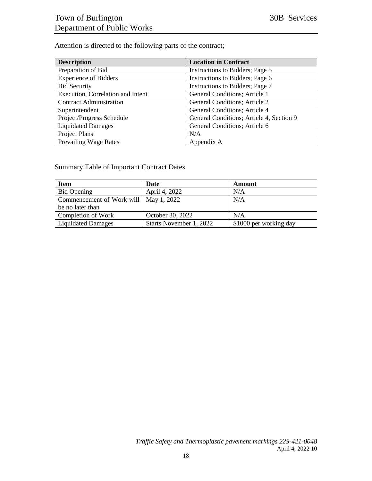Attention is directed to the following parts of the contract;

| <b>Description</b>                | <b>Location in Contract</b>              |
|-----------------------------------|------------------------------------------|
| Preparation of Bid                | Instructions to Bidders; Page 5          |
| <b>Experience of Bidders</b>      | Instructions to Bidders; Page 6          |
| <b>Bid Security</b>               | Instructions to Bidders; Page 7          |
| Execution, Correlation and Intent | General Conditions; Article 1            |
| <b>Contract Administration</b>    | <b>General Conditions; Article 2</b>     |
| Superintendent                    | <b>General Conditions</b> ; Article 4    |
| Project/Progress Schedule         | General Conditions; Article 4, Section 9 |
| <b>Liquidated Damages</b>         | General Conditions; Article 6            |
| Project Plans                     | N/A                                      |
| <b>Prevailing Wage Rates</b>      | Appendix A                               |

Summary Table of Important Contract Dates

| <b>Item</b>                             | Date                    | Amount                 |
|-----------------------------------------|-------------------------|------------------------|
| Bid Opening                             | April 4, 2022           | N/A                    |
| Commencement of Work will   May 1, 2022 |                         | N/A                    |
| be no later than                        |                         |                        |
| Completion of Work                      | October 30, 2022        | N/A                    |
| <b>Liquidated Damages</b>               | Starts November 1, 2022 | \$1000 per working day |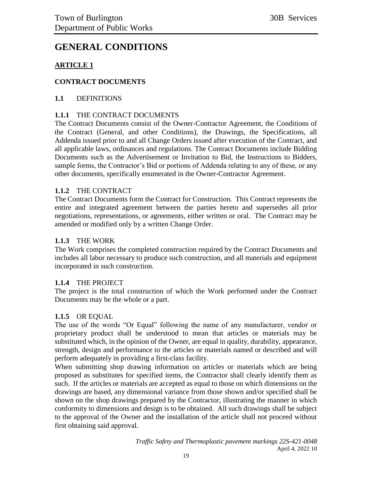### <span id="page-18-0"></span>**GENERAL CONDITIONS**

#### **ARTICLE 1**

#### **CONTRACT DOCUMENTS**

#### **1.1** DEFINITIONS

#### **1.1.1** THE CONTRACT DOCUMENTS

The Contract Documents consist of the Owner-Contractor Agreement, the Conditions of the Contract (General, and other Conditions), the Drawings, the Specifications, all Addenda issued prior to and all Change Orders issued after execution of the Contract, and all applicable laws, ordinances and regulations. The Contract Documents include Bidding Documents such as the Advertisement or Invitation to Bid, the Instructions to Bidders, sample forms, the Contractor's Bid or portions of Addenda relating to any of these, or any other documents, specifically enumerated in the Owner-Contractor Agreement.

#### **1.1.2** THE CONTRACT

The Contract Documents form the Contract for Construction. This Contract represents the entire and integrated agreement between the parties hereto and supersedes all prior negotiations, representations, or agreements, either written or oral. The Contract may be amended or modified only by a written Change Order.

#### **1.1.3** THE WORK

The Work comprises the completed construction required by the Contract Documents and includes all labor necessary to produce such construction, and all materials and equipment incorporated in such construction.

#### **1.1.4** THE PROJECT

The project is the total construction of which the Work performed under the Contract Documents may be the whole or a part.

#### **1.1.5** OR EQUAL

The use of the words "Or Equal" following the name of any manufacturer, vendor or proprietary product shall be understood to mean that articles or materials may be substituted which, in the opinion of the Owner, are equal in quality, durability, appearance, strength, design and performance to the articles or materials named or described and will perform adequately in providing a first-class facility.

When submitting shop drawing information on articles or materials which are being proposed as substitutes for specified items, the Contractor shall clearly identify them as such. If the articles or materials are accepted as equal to those on which dimensions on the drawings are based, any dimensional variance from those shown and/or specified shall be shown on the shop drawings prepared by the Contractor, illustrating the manner in which conformity to dimensions and design is to be obtained. All such drawings shall be subject to the approval of the Owner and the installation of the article shall not proceed without first obtaining said approval.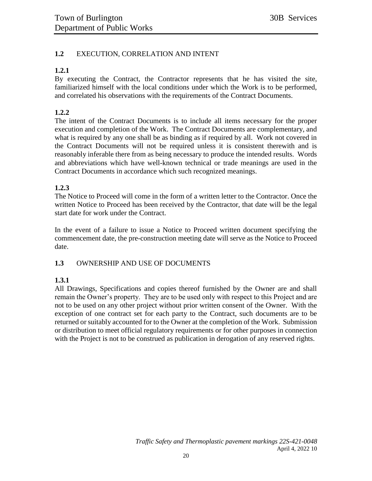#### **1.2** EXECUTION, CORRELATION AND INTENT

#### **1.2.1**

By executing the Contract, the Contractor represents that he has visited the site, familiarized himself with the local conditions under which the Work is to be performed, and correlated his observations with the requirements of the Contract Documents.

#### **1.2.2**

The intent of the Contract Documents is to include all items necessary for the proper execution and completion of the Work. The Contract Documents are complementary, and what is required by any one shall be as binding as if required by all. Work not covered in the Contract Documents will not be required unless it is consistent therewith and is reasonably inferable there from as being necessary to produce the intended results. Words and abbreviations which have well-known technical or trade meanings are used in the Contract Documents in accordance which such recognized meanings.

#### **1.2.3**

The Notice to Proceed will come in the form of a written letter to the Contractor. Once the written Notice to Proceed has been received by the Contractor, that date will be the legal start date for work under the Contract.

In the event of a failure to issue a Notice to Proceed written document specifying the commencement date, the pre-construction meeting date will serve as the Notice to Proceed date.

#### **1.3** OWNERSHIP AND USE OF DOCUMENTS

#### **1.3.1**

All Drawings, Specifications and copies thereof furnished by the Owner are and shall remain the Owner's property. They are to be used only with respect to this Project and are not to be used on any other project without prior written consent of the Owner. With the exception of one contract set for each party to the Contract, such documents are to be returned or suitably accounted for to the Owner at the completion of the Work. Submission or distribution to meet official regulatory requirements or for other purposes in connection with the Project is not to be construed as publication in derogation of any reserved rights.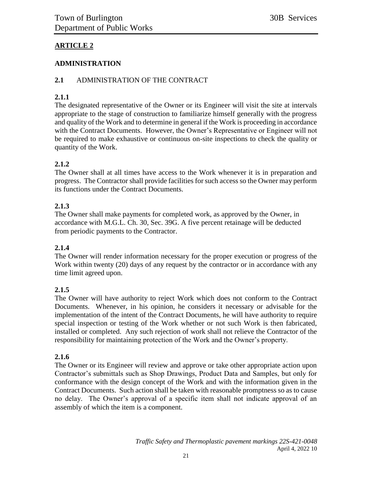#### **ARTICLE 2**

#### **ADMINISTRATION**

#### **2.1** ADMINISTRATION OF THE CONTRACT

#### **2.1.1**

The designated representative of the Owner or its Engineer will visit the site at intervals appropriate to the stage of construction to familiarize himself generally with the progress and quality of the Work and to determine in general if the Work is proceeding in accordance with the Contract Documents. However, the Owner's Representative or Engineer will not be required to make exhaustive or continuous on-site inspections to check the quality or quantity of the Work.

#### **2.1.2**

The Owner shall at all times have access to the Work whenever it is in preparation and progress. The Contractor shall provide facilities for such access so the Owner may perform its functions under the Contract Documents.

#### **2.1.3**

The Owner shall make payments for completed work, as approved by the Owner, in accordance with M.G.L. Ch. 30, Sec. 39G. A five percent retainage will be deducted from periodic payments to the Contractor.

#### **2.1.4**

The Owner will render information necessary for the proper execution or progress of the Work within twenty (20) days of any request by the contractor or in accordance with any time limit agreed upon.

#### **2.1.5**

The Owner will have authority to reject Work which does not conform to the Contract Documents. Whenever, in his opinion, he considers it necessary or advisable for the implementation of the intent of the Contract Documents, he will have authority to require special inspection or testing of the Work whether or not such Work is then fabricated, installed or completed. Any such rejection of work shall not relieve the Contractor of the responsibility for maintaining protection of the Work and the Owner's property.

#### **2.1.6**

The Owner or its Engineer will review and approve or take other appropriate action upon Contractor's submittals such as Shop Drawings, Product Data and Samples, but only for conformance with the design concept of the Work and with the information given in the Contract Documents. Such action shall be taken with reasonable promptness so as to cause no delay. The Owner's approval of a specific item shall not indicate approval of an assembly of which the item is a component.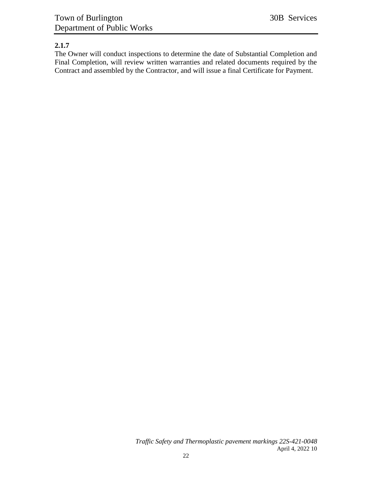#### **2.1.7**

The Owner will conduct inspections to determine the date of Substantial Completion and Final Completion, will review written warranties and related documents required by the Contract and assembled by the Contractor, and will issue a final Certificate for Payment.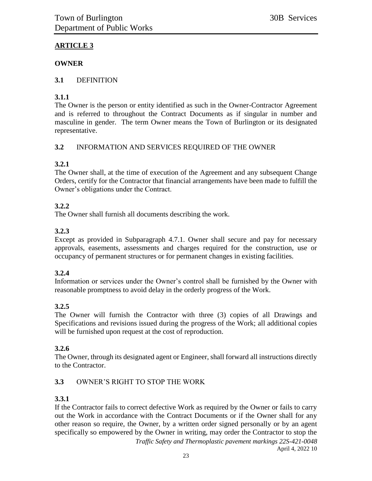### **ARTICLE 3**

#### **OWNER**

#### **3.1** DEFINITION

#### **3.1.1**

The Owner is the person or entity identified as such in the Owner-Contractor Agreement and is referred to throughout the Contract Documents as if singular in number and masculine in gender. The term Owner means the Town of Burlington or its designated representative.

#### **3.2** INFORMATION AND SERVICES REQUIRED OF THE OWNER

#### **3.2.1**

The Owner shall, at the time of execution of the Agreement and any subsequent Change Orders, certify for the Contractor that financial arrangements have been made to fulfill the Owner's obligations under the Contract.

#### **3.2.2**

The Owner shall furnish all documents describing the work.

#### **3.2.3**

Except as provided in Subparagraph 4.7.1. Owner shall secure and pay for necessary approvals, easements, assessments and charges required for the construction, use or occupancy of permanent structures or for permanent changes in existing facilities.

#### **3.2.4**

Information or services under the Owner's control shall be furnished by the Owner with reasonable promptness to avoid delay in the orderly progress of the Work.

#### **3.2.5**

The Owner will furnish the Contractor with three (3) copies of all Drawings and Specifications and revisions issued during the progress of the Work; all additional copies will be furnished upon request at the cost of reproduction.

#### **3.2.6**

The Owner, through its designated agent or Engineer, shall forward all instructions directly to the Contractor.

#### **3.3** OWNER'S RIGHT TO STOP THE WORK

#### **3.3.1**

*Traffic Safety and Thermoplastic pavement markings 22S-421-0048* If the Contractor fails to correct defective Work as required by the Owner or fails to carry out the Work in accordance with the Contract Documents or if the Owner shall for any other reason so require, the Owner, by a written order signed personally or by an agent specifically so empowered by the Owner in writing, may order the Contractor to stop the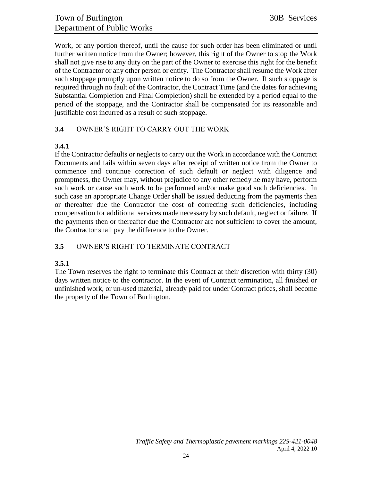Work, or any portion thereof, until the cause for such order has been eliminated or until further written notice from the Owner; however, this right of the Owner to stop the Work shall not give rise to any duty on the part of the Owner to exercise this right for the benefit of the Contractor or any other person or entity. The Contractor shall resume the Work after such stoppage promptly upon written notice to do so from the Owner. If such stoppage is required through no fault of the Contractor, the Contract Time (and the dates for achieving Substantial Completion and Final Completion) shall be extended by a period equal to the period of the stoppage, and the Contractor shall be compensated for its reasonable and justifiable cost incurred as a result of such stoppage.

#### **3.4** OWNER'S RIGHT TO CARRY OUT THE WORK

#### **3.4.1**

If the Contractor defaults or neglects to carry out the Work in accordance with the Contract Documents and fails within seven days after receipt of written notice from the Owner to commence and continue correction of such default or neglect with diligence and promptness, the Owner may, without prejudice to any other remedy he may have, perform such work or cause such work to be performed and/or make good such deficiencies. In such case an appropriate Change Order shall be issued deducting from the payments then or thereafter due the Contractor the cost of correcting such deficiencies, including compensation for additional services made necessary by such default, neglect or failure. If the payments then or thereafter due the Contractor are not sufficient to cover the amount, the Contractor shall pay the difference to the Owner.

#### **3.5** OWNER'S RIGHT TO TERMINATE CONTRACT

#### **3.5.1**

The Town reserves the right to terminate this Contract at their discretion with thirty (30) days written notice to the contractor. In the event of Contract termination, all finished or unfinished work, or un-used material, already paid for under Contract prices, shall become the property of the Town of Burlington.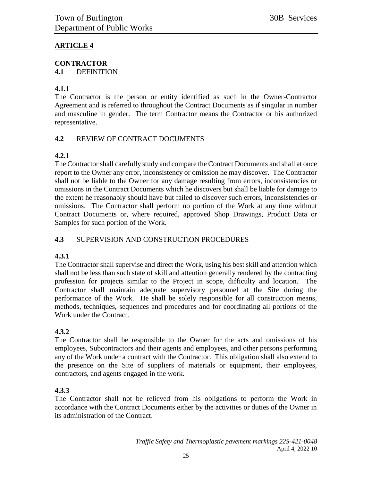#### **ARTICLE 4**

### **CONTRACTOR**

**4.1** DEFINITION

#### **4.1.1**

The Contractor is the person or entity identified as such in the Owner-Contractor Agreement and is referred to throughout the Contract Documents as if singular in number and masculine in gender. The term Contractor means the Contractor or his authorized representative.

#### **4.2** REVIEW OF CONTRACT DOCUMENTS

#### **4.2.1**

The Contractor shall carefully study and compare the Contract Documents and shall at once report to the Owner any error, inconsistency or omission he may discover. The Contractor shall not be liable to the Owner for any damage resulting from errors, inconsistencies or omissions in the Contract Documents which he discovers but shall be liable for damage to the extent he reasonably should have but failed to discover such errors, inconsistencies or omissions. The Contractor shall perform no portion of the Work at any time without Contract Documents or, where required, approved Shop Drawings, Product Data or Samples for such portion of the Work.

#### **4.3** SUPERVISION AND CONSTRUCTION PROCEDURES

#### **4.3.1**

The Contractor shall supervise and direct the Work, using his best skill and attention which shall not be less than such state of skill and attention generally rendered by the contracting profession for projects similar to the Project in scope, difficulty and location. The Contractor shall maintain adequate supervisory personnel at the Site during the performance of the Work. He shall be solely responsible for all construction means, methods, techniques, sequences and procedures and for coordinating all portions of the Work under the Contract.

#### **4.3.2**

The Contractor shall be responsible to the Owner for the acts and omissions of his employees, Subcontractors and their agents and employees, and other persons performing any of the Work under a contract with the Contractor. This obligation shall also extend to the presence on the Site of suppliers of materials or equipment, their employees, contractors, and agents engaged in the work.

#### **4.3.3**

The Contractor shall not be relieved from his obligations to perform the Work in accordance with the Contract Documents either by the activities or duties of the Owner in its administration of the Contract.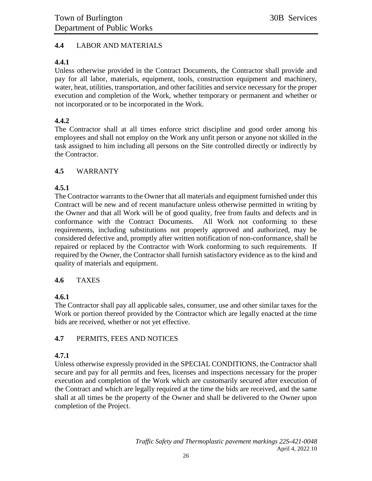#### **4.4** LABOR AND MATERIALS

#### **4.4.1**

Unless otherwise provided in the Contract Documents, the Contractor shall provide and pay for all labor, materials, equipment, tools, construction equipment and machinery, water, heat, utilities, transportation, and other facilities and service necessary for the proper execution and completion of the Work, whether temporary or permanent and whether or not incorporated or to be incorporated in the Work.

#### **4.4.2**

The Contractor shall at all times enforce strict discipline and good order among his employees and shall not employ on the Work any unfit person or anyone not skilled in the task assigned to him including all persons on the Site controlled directly or indirectly by the Contractor.

#### **4.5** WARRANTY

#### **4.5.1**

The Contractor warrants to the Owner that all materials and equipment furnished under this Contract will be new and of recent manufacture unless otherwise permitted in writing by the Owner and that all Work will be of good quality, free from faults and defects and in conformance with the Contract Documents. All Work not conforming to these requirements, including substitutions not properly approved and authorized, may be considered defective and, promptly after written notification of non-conformance, shall be repaired or replaced by the Contractor with Work conforming to such requirements. If required by the Owner, the Contractor shall furnish satisfactory evidence as to the kind and quality of materials and equipment.

#### **4.6** TAXES

#### **4.6.1**

The Contractor shall pay all applicable sales, consumer, use and other similar taxes for the Work or portion thereof provided by the Contractor which are legally enacted at the time bids are received, whether or not yet effective.

#### **4.7** PERMITS, FEES AND NOTICES

#### **4.7.1**

Unless otherwise expressly provided in the SPECIAL CONDITIONS, the Contractor shall secure and pay for all permits and fees, licenses and inspections necessary for the proper execution and completion of the Work which are customarily secured after execution of the Contract and which are legally required at the time the bids are received, and the same shall at all times be the property of the Owner and shall be delivered to the Owner upon completion of the Project.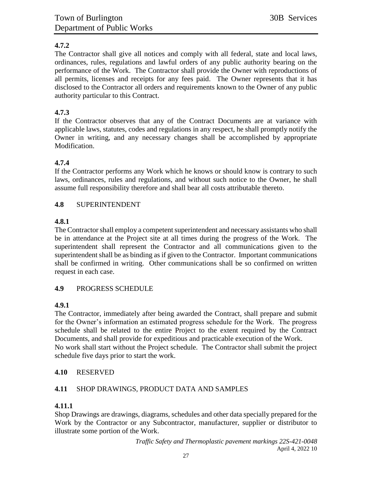#### **4.7.2**

The Contractor shall give all notices and comply with all federal, state and local laws, ordinances, rules, regulations and lawful orders of any public authority bearing on the performance of the Work. The Contractor shall provide the Owner with reproductions of all permits, licenses and receipts for any fees paid. The Owner represents that it has disclosed to the Contractor all orders and requirements known to the Owner of any public authority particular to this Contract.

#### **4.7.3**

If the Contractor observes that any of the Contract Documents are at variance with applicable laws, statutes, codes and regulations in any respect, he shall promptly notify the Owner in writing, and any necessary changes shall be accomplished by appropriate Modification.

#### **4.7.4**

If the Contractor performs any Work which he knows or should know is contrary to such laws, ordinances, rules and regulations, and without such notice to the Owner, he shall assume full responsibility therefore and shall bear all costs attributable thereto.

#### **4.8** SUPERINTENDENT

#### **4.8.1**

The Contractor shall employ a competent superintendent and necessary assistants who shall be in attendance at the Project site at all times during the progress of the Work. The superintendent shall represent the Contractor and all communications given to the superintendent shall be as binding as if given to the Contractor. Important communications shall be confirmed in writing. Other communications shall be so confirmed on written request in each case.

#### **4.9** PROGRESS SCHEDULE

#### **4.9.1**

The Contractor, immediately after being awarded the Contract, shall prepare and submit for the Owner's information an estimated progress schedule for the Work. The progress schedule shall be related to the entire Project to the extent required by the Contract Documents, and shall provide for expeditious and practicable execution of the Work. No work shall start without the Project schedule. The Contractor shall submit the project schedule five days prior to start the work.

#### **4.10** RESERVED

#### **4.11** SHOP DRAWINGS, PRODUCT DATA AND SAMPLES

#### **4.11.1**

Shop Drawings are drawings, diagrams, schedules and other data specially prepared for the Work by the Contractor or any Subcontractor, manufacturer, supplier or distributor to illustrate some portion of the Work.

> *Traffic Safety and Thermoplastic pavement markings 22S-421-0048* April 4, 2022 10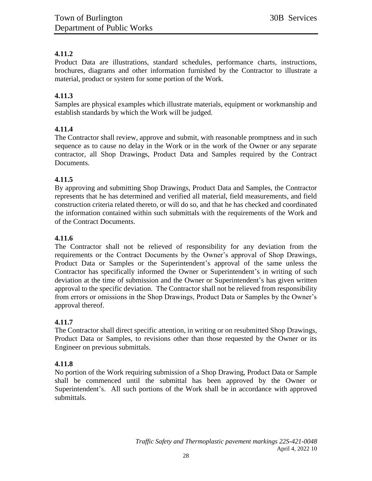#### **4.11.2**

Product Data are illustrations, standard schedules, performance charts, instructions, brochures, diagrams and other information furnished by the Contractor to illustrate a material, product or system for some portion of the Work.

#### **4.11.3**

Samples are physical examples which illustrate materials, equipment or workmanship and establish standards by which the Work will be judged.

#### **4.11.4**

The Contractor shall review, approve and submit, with reasonable promptness and in such sequence as to cause no delay in the Work or in the work of the Owner or any separate contractor, all Shop Drawings, Product Data and Samples required by the Contract Documents.

#### **4.11.5**

By approving and submitting Shop Drawings, Product Data and Samples, the Contractor represents that he has determined and verified all material, field measurements, and field construction criteria related thereto, or will do so, and that he has checked and coordinated the information contained within such submittals with the requirements of the Work and of the Contract Documents.

#### **4.11.6**

The Contractor shall not be relieved of responsibility for any deviation from the requirements or the Contract Documents by the Owner's approval of Shop Drawings, Product Data or Samples or the Superintendent's approval of the same unless the Contractor has specifically informed the Owner or Superintendent's in writing of such deviation at the time of submission and the Owner or Superintendent's has given written approval to the specific deviation. The Contractor shall not be relieved from responsibility from errors or omissions in the Shop Drawings, Product Data or Samples by the Owner's approval thereof.

#### **4.11.7**

The Contractor shall direct specific attention, in writing or on resubmitted Shop Drawings, Product Data or Samples, to revisions other than those requested by the Owner or its Engineer on previous submittals.

#### **4.11.8**

No portion of the Work requiring submission of a Shop Drawing, Product Data or Sample shall be commenced until the submittal has been approved by the Owner or Superintendent's. All such portions of the Work shall be in accordance with approved submittals.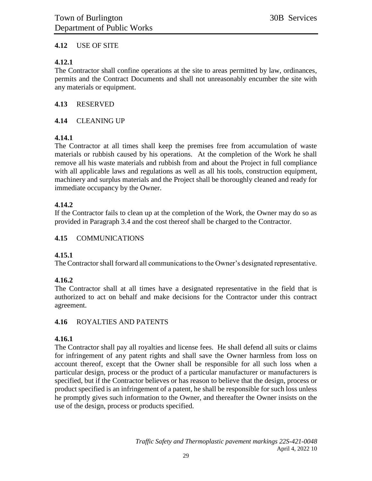#### **4.12** USE OF SITE

#### **4.12.1**

The Contractor shall confine operations at the site to areas permitted by law, ordinances, permits and the Contract Documents and shall not unreasonably encumber the site with any materials or equipment.

#### **4.13** RESERVED

#### **4.14** CLEANING UP

#### **4.14.1**

The Contractor at all times shall keep the premises free from accumulation of waste materials or rubbish caused by his operations. At the completion of the Work he shall remove all his waste materials and rubbish from and about the Project in full compliance with all applicable laws and regulations as well as all his tools, construction equipment, machinery and surplus materials and the Project shall be thoroughly cleaned and ready for immediate occupancy by the Owner.

#### **4.14.2**

If the Contractor fails to clean up at the completion of the Work, the Owner may do so as provided in Paragraph 3.4 and the cost thereof shall be charged to the Contractor.

#### **4.15** COMMUNICATIONS

#### **4.15.1**

The Contractor shall forward all communications to the Owner's designated representative.

#### **4.16.2**

The Contractor shall at all times have a designated representative in the field that is authorized to act on behalf and make decisions for the Contractor under this contract agreement.

#### **4.16** ROYALTIES AND PATENTS

#### **4.16.1**

The Contractor shall pay all royalties and license fees. He shall defend all suits or claims for infringement of any patent rights and shall save the Owner harmless from loss on account thereof, except that the Owner shall be responsible for all such loss when a particular design, process or the product of a particular manufacturer or manufacturers is specified, but if the Contractor believes or has reason to believe that the design, process or product specified is an infringement of a patent, he shall be responsible for such loss unless he promptly gives such information to the Owner, and thereafter the Owner insists on the use of the design, process or products specified.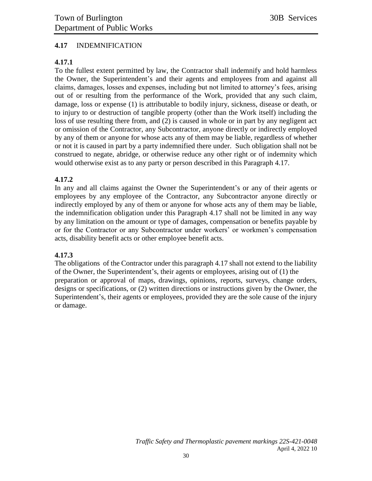#### **4.17** INDEMNIFICATION

#### **4.17.1**

To the fullest extent permitted by law, the Contractor shall indemnify and hold harmless the Owner, the Superintendent's and their agents and employees from and against all claims, damages, losses and expenses, including but not limited to attorney's fees, arising out of or resulting from the performance of the Work, provided that any such claim, damage, loss or expense (1) is attributable to bodily injury, sickness, disease or death, or to injury to or destruction of tangible property (other than the Work itself) including the loss of use resulting there from, and (2) is caused in whole or in part by any negligent act or omission of the Contractor, any Subcontractor, anyone directly or indirectly employed by any of them or anyone for whose acts any of them may be liable, regardless of whether or not it is caused in part by a party indemnified there under. Such obligation shall not be construed to negate, abridge, or otherwise reduce any other right or of indemnity which would otherwise exist as to any party or person described in this Paragraph 4.17.

#### **4.17.2**

In any and all claims against the Owner the Superintendent's or any of their agents or employees by any employee of the Contractor, any Subcontractor anyone directly or indirectly employed by any of them or anyone for whose acts any of them may be liable, the indemnification obligation under this Paragraph 4.17 shall not be limited in any way by any limitation on the amount or type of damages, compensation or benefits payable by or for the Contractor or any Subcontractor under workers' or workmen's compensation acts, disability benefit acts or other employee benefit acts.

#### **4.17.3**

The obligations of the Contractor under this paragraph 4.17 shall not extend to the liability of the Owner, the Superintendent's, their agents or employees, arising out of (1) the preparation or approval of maps, drawings, opinions, reports, surveys, change orders, designs or specifications, or (2) written directions or instructions given by the Owner, the Superintendent's, their agents or employees, provided they are the sole cause of the injury or damage.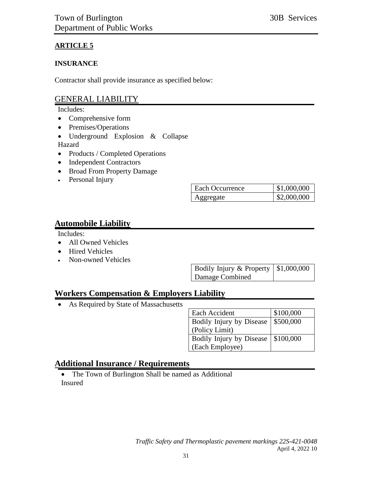#### **ARTICLE 5**

#### **INSURANCE**

Contractor shall provide insurance as specified below:

#### GENERAL LIABILITY

Includes:

- Comprehensive form
- Premises/Operations
- Underground Explosion & Collapse Hazard
- Products / Completed Operations
- Independent Contractors
- Broad From Property Damage
- Personal Injury

| <b>Each Occurrence</b> | \$1,000,000 |
|------------------------|-------------|
| ogregate               | \$2,000,000 |

#### **Automobile Liability**

Includes:

- All Owned Vehicles
- Hired Vehicles
- Non-owned Vehicles

| Bodily Injury & Property $\vert$ \$1,000,000 |  |
|----------------------------------------------|--|
| Damage Combined                              |  |

### **Workers Compensation & Employers Liability**

• As Required by State of Massachusetts

| Each Accident                        | \$100,000 |
|--------------------------------------|-----------|
| Bodily Injury by Disease   \$500,000 |           |
| (Policy Limit)                       |           |
| Bodily Injury by Disease   \$100,000 |           |
| (Each Employee)                      |           |

### **Additional Insurance / Requirements**

• The Town of Burlington Shall be named as Additional Insured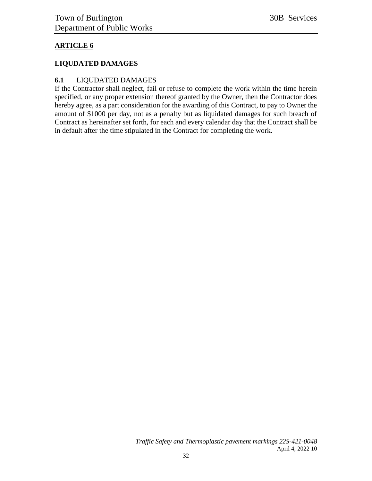#### **ARTICLE 6**

#### **LIQUDATED DAMAGES**

#### **6.1** LIQUDATED DAMAGES

If the Contractor shall neglect, fail or refuse to complete the work within the time herein specified, or any proper extension thereof granted by the Owner, then the Contractor does hereby agree, as a part consideration for the awarding of this Contract, to pay to Owner the amount of \$1000 per day, not as a penalty but as liquidated damages for such breach of Contract as hereinafter set forth, for each and every calendar day that the Contract shall be in default after the time stipulated in the Contract for completing the work.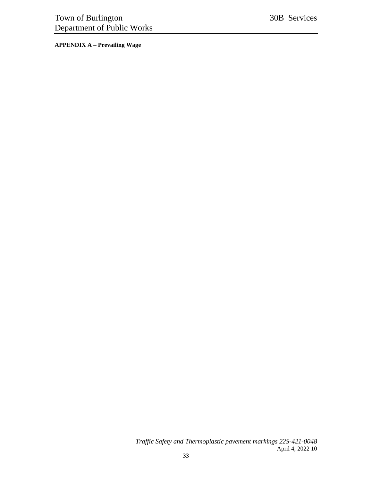<span id="page-32-0"></span>**APPENDIX A – Prevailing Wage**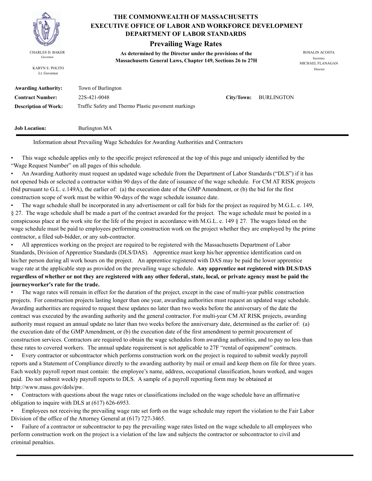

KARYN E. POLITO Lt. Governor

#### **THE COMMONWEALTH OF MASSACHUSETTS DEPARTMENT OF LABOR STANDARDS EXECUTIVE OFFICE OF LABOR AND WORKFORCE DEVELOPMENT**

#### **Prevailing Wage Rates**

**As determined by the Director under the provisions of the**  CHARLES D. BAKER ROSALIN ACOSTA Governor<br>**Massachusetts General Laws, Chapter 149, Sections 26 to 27H** 

MICHAEL FLANAGAN Director

| <b>Awarding Authority:</b>  | Town of Burlington                                  |                       |
|-----------------------------|-----------------------------------------------------|-----------------------|
| <b>Contract Number:</b>     | 22S-421-0048                                        | City/Town: BURLINGTON |
| <b>Description of Work:</b> | Traffic Safety and Thermo Plastic pavement markings |                       |

**Job Location:** Burlington MA

Information about Prevailing Wage Schedules for Awarding Authorities and Contractors

• This wage schedule applies only to the specific project referenced at the top of this page and uniquely identified by the "Wage Request Number" on all pages of this schedule.

• An Awarding Authority must request an updated wage schedule from the Department of Labor Standards ("DLS") if it has not opened bids or selected a contractor within 90 days of the date of issuance of the wage schedule. For CM AT RISK projects (bid pursuant to G.L. c.149A), the earlier of: (a) the execution date of the GMP Amendment, or (b) the bid for the first construction scope of work must be within 90-days of the wage schedule issuance date.

• The wage schedule shall be incorporated in any advertisement or call for bids for the project as required by M.G.L. c. 149, § 27. The wage schedule shall be made a part of the contract awarded for the project. The wage schedule must be posted in a conspicuous place at the work site for the life of the project in accordance with M.G.L. c. 149 § 27. The wages listed on the wage schedule must be paid to employees performing construction work on the project whether they are employed by the prime contractor, a filed sub-bidder, or any sub-contractor.

• All apprentices working on the project are required to be registered with the Massachusetts Department of Labor Standards, Division of Apprentice Standards (DLS/DAS). Apprentice must keep his/her apprentice identification card on his/her person during all work hours on the project. An apprentice registered with DAS may be paid the lower apprentice wage rate at the applicable step as provided on the prevailing wage schedule. **Any apprentice not registered with DLS/DAS regardless of whether or not they are registered with any other federal, state, local, or private agency must be paid the journeyworker's rate for the trade.**

• The wage rates will remain in effect for the duration of the project, except in the case of multi-year public construction projects. For construction projects lasting longer than one year, awarding authorities must request an updated wage schedule. Awarding authorities are required to request these updates no later than two weeks before the anniversary of the date the contract was executed by the awarding authority and the general contractor. For multi-year CM AT RISK projects, awarding authority must request an annual update no later than two weeks before the anniversary date, determined as the earlier of: (a) the execution date of the GMP Amendment, or (b) the execution date of the first amendment to permit procurement of construction services. Contractors are required to obtain the wage schedules from awarding authorities, and to pay no less than these rates to covered workers. The annual update requirement is not applicable to 27F "rental of equipment" contracts.

• Every contractor or subcontractor which performs construction work on the project is required to submit weekly payroll reports and a Statement of Compliance directly to the awarding authority by mail or email and keep them on file for three years. Each weekly payroll report must contain: the employee's name, address, occupational classification, hours worked, and wages paid. Do not submit weekly payroll reports to DLS. A sample of a payroll reporting form may be obtained at http://www.mass.gov/dols/pw.

• Contractors with questions about the wage rates or classifications included on the wage schedule have an affirmative obligation to inquire with DLS at (617) 626-6953.

• Employees not receiving the prevailing wage rate set forth on the wage schedule may report the violation to the Fair Labor Division of the office of the Attorney General at (617) 727-3465.

• Failure of a contractor or subcontractor to pay the prevailing wage rates listed on the wage schedule to all employees who perform construction work on the project is a violation of the law and subjects the contractor or subcontractor to civil and criminal penalties.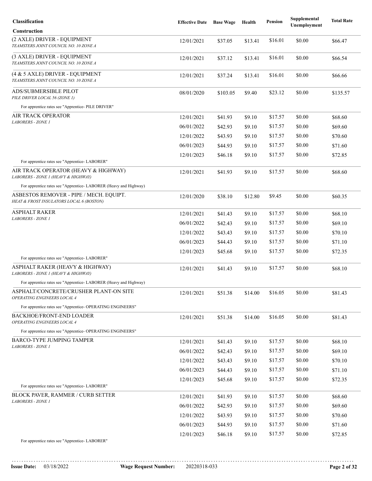| Classification                                                                      | <b>Effective Date</b> | <b>Base Wage</b> | Health  | <b>Pension</b> | Supplemental<br>Unemployment | <b>Total Rate</b> |
|-------------------------------------------------------------------------------------|-----------------------|------------------|---------|----------------|------------------------------|-------------------|
| <b>Construction</b>                                                                 |                       |                  |         |                |                              |                   |
| (2 AXLE) DRIVER - EQUIPMENT<br>TEAMSTERS JOINT COUNCIL NO. 10 ZONE A                | 12/01/2021            | \$37.05          | \$13.41 | \$16.01        | \$0.00                       | \$66.47           |
| (3 AXLE) DRIVER - EQUIPMENT<br>TEAMSTERS JOINT COUNCIL NO. 10 ZONE A                | 12/01/2021            | \$37.12          | \$13.41 | \$16.01        | \$0.00                       | \$66.54           |
| (4 & 5 AXLE) DRIVER - EQUIPMENT<br>TEAMSTERS JOINT COUNCIL NO. 10 ZONE A            | 12/01/2021            | \$37.24          | \$13.41 | \$16.01        | \$0.00                       | \$66.66           |
| ADS/SUBMERSIBLE PILOT<br>PILE DRIVER LOCAL 56 (ZONE 1)                              | 08/01/2020            | \$103.05         | \$9.40  | \$23.12        | \$0.00                       | \$135.57          |
| For apprentice rates see "Apprentice- PILE DRIVER"                                  |                       |                  |         |                |                              |                   |
| AIR TRACK OPERATOR<br><b>LABORERS - ZONE 1</b>                                      | 12/01/2021            | \$41.93          | \$9.10  | \$17.57        | \$0.00                       | \$68.60           |
|                                                                                     | 06/01/2022            | \$42.93          | \$9.10  | \$17.57        | \$0.00                       | \$69.60           |
|                                                                                     | 12/01/2022            | \$43.93          | \$9.10  | \$17.57        | \$0.00                       | \$70.60           |
|                                                                                     | 06/01/2023            | \$44.93          | \$9.10  | \$17.57        | \$0.00                       | \$71.60           |
|                                                                                     | 12/01/2023            | \$46.18          | \$9.10  | \$17.57        | \$0.00                       | \$72.85           |
| For apprentice rates see "Apprentice-LABORER"                                       |                       |                  |         |                |                              |                   |
| AIR TRACK OPERATOR (HEAVY & HIGHWAY)<br>LABORERS - ZONE 1 (HEAVY & HIGHWAY)         | 12/01/2021            | \$41.93          | \$9.10  | \$17.57        | \$0.00                       | \$68.60           |
| For apprentice rates see "Apprentice- LABORER (Heavy and Highway)                   |                       |                  |         |                |                              |                   |
| ASBESTOS REMOVER - PIPE / MECH. EQUIPT.<br>HEAT & FROST INSULATORS LOCAL 6 (BOSTON) | 12/01/2020            | \$38.10          | \$12.80 | \$9.45         | \$0.00                       | \$60.35           |
| <b>ASPHALT RAKER</b>                                                                | 12/01/2021            | \$41.43          | \$9.10  | \$17.57        | \$0.00                       | \$68.10           |
| <b>LABORERS - ZONE 1</b>                                                            | 06/01/2022            | \$42.43          | \$9.10  | \$17.57        | \$0.00                       | \$69.10           |
|                                                                                     | 12/01/2022            | \$43.43          | \$9.10  | \$17.57        | \$0.00                       | \$70.10           |
|                                                                                     | 06/01/2023            | \$44.43          | \$9.10  | \$17.57        | \$0.00                       | \$71.10           |
| For apprentice rates see "Apprentice- LABORER"                                      | 12/01/2023            | \$45.68          | \$9.10  | \$17.57        | \$0.00                       | \$72.35           |
| ASPHALT RAKER (HEAVY & HIGHWAY)                                                     | 12/01/2021            | \$41.43          | \$9.10  | \$17.57        | \$0.00                       | \$68.10           |
| LABORERS - ZONE 1 (HEAVY & HIGHWAY)                                                 |                       |                  |         |                |                              |                   |
| For apprentice rates see "Apprentice-LABORER (Heavy and Highway)                    |                       |                  |         |                |                              |                   |
| ASPHALT/CONCRETE/CRUSHER PLANT-ON SITE<br>OPERATING ENGINEERS LOCAL 4               | 12/01/2021            | \$51.38          | \$14.00 | \$16.05        | \$0.00                       | \$81.43           |
| For apprentice rates see "Apprentice- OPERATING ENGINEERS"                          |                       |                  |         |                |                              |                   |
| <b>BACKHOE/FRONT-END LOADER</b><br>OPERATING ENGINEERS LOCAL 4                      | 12/01/2021            | \$51.38          | \$14.00 | \$16.05        | \$0.00                       | \$81.43           |
| For apprentice rates see "Apprentice- OPERATING ENGINEERS"                          |                       |                  |         |                |                              |                   |
| <b>BARCO-TYPE JUMPING TAMPER</b><br>LABORERS - ZONE 1                               | 12/01/2021            | \$41.43          | \$9.10  | \$17.57        | \$0.00                       | \$68.10           |
|                                                                                     | 06/01/2022            | \$42.43          | \$9.10  | \$17.57        | \$0.00                       | \$69.10           |
|                                                                                     | 12/01/2022            | \$43.43          | \$9.10  | \$17.57        | \$0.00                       | \$70.10           |
|                                                                                     | 06/01/2023            | \$44.43          | \$9.10  | \$17.57        | \$0.00                       | \$71.10           |
|                                                                                     | 12/01/2023            | \$45.68          | \$9.10  | \$17.57        | \$0.00                       | \$72.35           |
| For apprentice rates see "Apprentice- LABORER"                                      |                       |                  |         |                |                              |                   |
| <b>BLOCK PAVER, RAMMER / CURB SETTER</b><br><b>LABORERS - ZONE 1</b>                | 12/01/2021            | \$41.93          | \$9.10  | \$17.57        | \$0.00                       | \$68.60           |
|                                                                                     | 06/01/2022            | \$42.93          | \$9.10  | \$17.57        | \$0.00                       | \$69.60           |
|                                                                                     | 12/01/2022            | \$43.93          | \$9.10  | \$17.57        | \$0.00                       | \$70.60           |
|                                                                                     | 06/01/2023            | \$44.93          | \$9.10  | \$17.57        | \$0.00                       | \$71.60           |
| For apprentice rates see "Apprentice- LABORER"                                      | 12/01/2023            | \$46.18          | \$9.10  | \$17.57        | \$0.00                       | \$72.85           |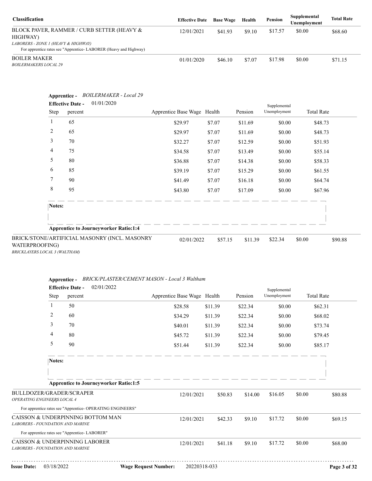| <b>Classification</b>                                                                                   | <b>Effective Date</b> | <b>Base Wage</b> | Health | Pension | Supplemental<br>Unemployment | <b>Total Rate</b> |
|---------------------------------------------------------------------------------------------------------|-----------------------|------------------|--------|---------|------------------------------|-------------------|
| BLOCK PAVER, RAMMER / CURB SETTER (HEAVY &<br>HIGHWAY)                                                  | 12/01/2021            | \$41.93          | \$9.10 | \$17.57 | \$0.00                       | \$68.60           |
| LABORERS - ZONE 1 (HEAVY & HIGHWAY)<br>For apprentice rates see "Apprentice-LABORER (Heavy and Highway) |                       |                  |        |         |                              |                   |
| <b>BOILER MAKER</b><br><i>BOILERMAKERS LOCAL 29</i>                                                     | 01/01/2020            | \$46.10          | \$7.07 | \$17.98 | \$0.00                       | \$71.15           |

| Step           | 01/01/2020<br><b>Effective Date -</b><br>percent | Apprentice Base Wage Health |         | Pension | Supplemental<br>Unemployment | <b>Total Rate</b> |
|----------------|--------------------------------------------------|-----------------------------|---------|---------|------------------------------|-------------------|
| 1              | 65                                               | \$29.97                     | \$7.07  | \$11.69 | \$0.00                       | \$48.73           |
| $\overline{c}$ | 65                                               | \$29.97                     | \$7.07  | \$11.69 | \$0.00                       | \$48.73           |
| 3              | 70                                               | \$32.27                     | \$7.07  | \$12.59 | \$0.00                       | \$51.93           |
| 4              | 75                                               | \$34.58                     | \$7.07  | \$13.49 | \$0.00                       | \$55.14           |
| 5              | 80                                               | \$36.88                     | \$7.07  | \$14.38 | \$0.00                       | \$58.33           |
| 6              | 85                                               | \$39.19                     | \$7.07  | \$15.29 | \$0.00                       | \$61.55           |
| 7              | 90                                               | \$41.49                     | \$7.07  | \$16.18 | \$0.00                       | \$64.74           |
| 8              | 95                                               | \$43.80                     | \$7.07  | \$17.09 | \$0.00                       | \$67.96           |
| Notes:         |                                                  |                             |         |         |                              |                   |
|                | <b>Apprentice to Journeyworker Ratio:1:4</b>     |                             |         |         |                              |                   |
| WATERPROOFING) | BRICK/STONE/ARTIFICIAL MASONRY (INCL. MASONRY    | 02/01/2022                  | \$57.15 | \$11.39 | \$22.34                      | \$0.00<br>\$90.88 |

| Apprentice - BRICK/PLASTER/CEMENT MASON - Local 3 Walthan. |  |
|------------------------------------------------------------|--|
|                                                            |  |

|                                                         |                | 02/01/2022<br><b>Effective Date -</b>                      |                             |                             |         |         | Supplemental |                   |              |
|---------------------------------------------------------|----------------|------------------------------------------------------------|-----------------------------|-----------------------------|---------|---------|--------------|-------------------|--------------|
|                                                         | Step           | percent                                                    |                             | Apprentice Base Wage Health |         | Pension | Unemployment | <b>Total Rate</b> |              |
|                                                         | $\mathbf{1}$   | 50                                                         |                             | \$28.58                     | \$11.39 | \$22.34 | \$0.00       | \$62.31           |              |
|                                                         | $\overline{2}$ | 60                                                         |                             | \$34.29                     | \$11.39 | \$22.34 | \$0.00       | \$68.02           |              |
|                                                         | 3              | 70                                                         |                             | \$40.01                     | \$11.39 | \$22.34 | \$0.00       | \$73.74           |              |
|                                                         | 4              | 80                                                         |                             | \$45.72                     | \$11.39 | \$22.34 | \$0.00       | \$79.45           |              |
|                                                         | 5              | 90                                                         |                             | \$51.44                     | \$11.39 | \$22.34 | \$0.00       | \$85.17           |              |
|                                                         | Notes:         |                                                            |                             |                             |         |         |              |                   |              |
|                                                         |                |                                                            |                             |                             |         |         |              |                   |              |
|                                                         |                | <b>Apprentice to Journeyworker Ratio:1:5</b>               |                             |                             |         |         |              |                   |              |
| BULLDOZER/GRADER/SCRAPER<br>OPERATING ENGINEERS LOCAL 4 |                |                                                            |                             | 12/01/2021                  | \$50.83 | \$14.00 | \$16.05      | \$0.00            | \$80.88      |
|                                                         |                | For apprentice rates see "Apprentice- OPERATING ENGINEERS" |                             |                             |         |         |              |                   |              |
| <b>LABORERS - FOUNDATION AND MARINE</b>                 |                | CAISSON & UNDERPINNING BOTTOM MAN                          |                             | 12/01/2021                  | \$42.33 | \$9.10  | \$17.72      | \$0.00            | \$69.15      |
|                                                         |                | For apprentice rates see "Apprentice- LABORER"             |                             |                             |         |         |              |                   |              |
| <b>LABORERS - FOUNDATION AND MARINE</b>                 |                | CAISSON & UNDERPINNING LABORER                             |                             | 12/01/2021                  | \$41.18 | \$9.10  | \$17.72      | \$0.00            | \$68.00      |
| <b>Issue Date:</b>                                      | 03/18/2022     |                                                            | <b>Wage Request Number:</b> | 20220318-033                |         |         |              |                   | Page 3 of 32 |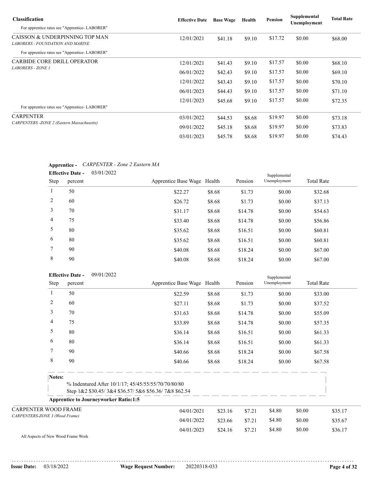| <b>Classification</b>                                              | <b>Effective Date</b> | <b>Base Wage</b> | Health | Pension | Supplemental<br>Unemployment | <b>Total Rate</b> |
|--------------------------------------------------------------------|-----------------------|------------------|--------|---------|------------------------------|-------------------|
| For apprentice rates see "Apprentice-LABORER"                      |                       |                  |        |         |                              |                   |
| CAISSON & UNDERPINNING TOP MAN<br>LABORERS - FOUNDATION AND MARINE | 12/01/2021            | \$41.18          | \$9.10 | \$17.72 | \$0.00                       | \$68.00           |
| For apprentice rates see "Apprentice-LABORER"                      |                       |                  |        |         |                              |                   |
| <b>CARBIDE CORE DRILL OPERATOR</b>                                 | 12/01/2021            | \$41.43          | \$9.10 | \$17.57 | \$0.00                       | \$68.10           |
| <b>LABORERS - ZONE 1</b>                                           | 06/01/2022            | \$42.43          | \$9.10 | \$17.57 | \$0.00                       | \$69.10           |
|                                                                    | 12/01/2022            | \$43.43          | \$9.10 | \$17.57 | \$0.00                       | \$70.10           |
|                                                                    | 06/01/2023            | \$44.43          | \$9.10 | \$17.57 | \$0.00                       | \$71.10           |
| For apprentice rates see "Apprentice-LABORER"                      | 12/01/2023            | \$45.68          | \$9.10 | \$17.57 | \$0.00                       | \$72.35           |
| <b>CARPENTER</b>                                                   | 03/01/2022            | \$44.53          | \$8.68 | \$19.97 | \$0.00                       | \$73.18           |
| <b>CARPENTERS</b> - ZONE 2 (Eastern Massachusetts)                 | 09/01/2022            | \$45.18          | \$8.68 | \$19.97 | \$0.00                       | \$73.83           |
|                                                                    | 03/01/2023            | \$45.78          | \$8.68 | \$19.97 | \$0.00                       | \$74.43           |

#### **Apprentice -** *CARPENTER - Zone 2 Eastern MA*

|                | 03/01/2022<br><b>Effective Date -</b> |                             |        |         | Supplemental |                   |
|----------------|---------------------------------------|-----------------------------|--------|---------|--------------|-------------------|
| Step           | percent                               | Apprentice Base Wage Health |        | Pension | Unemployment | <b>Total Rate</b> |
|                | 50                                    | \$22.27                     | \$8.68 | \$1.73  | \$0.00       | \$32.68           |
| 2              | 60                                    | \$26.72                     | \$8.68 | \$1.73  | \$0.00       | \$37.13           |
| 3              | 70                                    | \$31.17                     | \$8.68 | \$14.78 | \$0.00       | \$54.63           |
| $\overline{4}$ | 75                                    | \$33.40                     | \$8.68 | \$14.78 | \$0.00       | \$56.86           |
| 5              | 80                                    | \$35.62                     | \$8.68 | \$16.51 | \$0.00       | \$60.81           |
| 6              | 80                                    | \$35.62                     | \$8.68 | \$16.51 | \$0.00       | \$60.81           |
| $\tau$         | 90                                    | \$40.08                     | \$8.68 | \$18.24 | \$0.00       | \$67.00           |
| 8              | 90                                    | \$40.08                     | \$8.68 | \$18.24 | \$0.00       | \$67.00           |

|                                | <b>Effective Date -</b> |         | 09/01/2022                                                                                                  |                             |         |         |              | Supplemental |                   |         |
|--------------------------------|-------------------------|---------|-------------------------------------------------------------------------------------------------------------|-----------------------------|---------|---------|--------------|--------------|-------------------|---------|
|                                | Step                    | percent |                                                                                                             | Apprentice Base Wage Health |         | Pension | Unemployment |              | <b>Total Rate</b> |         |
| 1                              |                         | 50      |                                                                                                             | \$22.59                     | \$8.68  | \$1.73  | \$0.00       |              | \$33.00           |         |
| 2                              |                         | 60      |                                                                                                             | \$27.11                     | \$8.68  | \$1.73  | \$0.00       |              | \$37.52           |         |
| 3                              |                         | 70      |                                                                                                             | \$31.63                     | \$8.68  | \$14.78 | \$0.00       |              | \$55.09           |         |
| 4                              |                         | 75      |                                                                                                             | \$33.89                     | \$8.68  | \$14.78 | \$0.00       |              | \$57.35           |         |
| 5                              |                         | 80      |                                                                                                             | \$36.14                     | \$8.68  | \$16.51 | \$0.00       |              | \$61.33           |         |
| 6                              |                         | 80      |                                                                                                             | \$36.14                     | \$8.68  | \$16.51 | \$0.00       |              | \$61.33           |         |
| 7                              |                         | 90      |                                                                                                             | \$40.66                     | \$8.68  | \$18.24 | \$0.00       |              | \$67.58           |         |
| 8                              |                         | 90      |                                                                                                             | \$40.66                     | \$8.68  | \$18.24 | \$0.00       |              | \$67.58           |         |
|                                | Notes:                  |         |                                                                                                             |                             |         |         |              |              |                   |         |
|                                |                         |         | % Indentured After 10/1/17; 45/45/55/55/70/70/80/80<br>Step 1&2 \$30.45/3&4 \$36.57/5&6 \$56.36/7&8 \$62.54 |                             |         |         |              |              |                   |         |
|                                |                         |         | <b>Apprentice to Journeyworker Ratio:1:5</b>                                                                |                             |         |         |              |              |                   |         |
| <b>CARPENTER WOOD FRAME</b>    |                         |         |                                                                                                             | 04/01/2021                  | \$23.16 | \$7.21  | \$4.80       | \$0.00       |                   | \$35.17 |
| CARPENTERS-ZONE 3 (Wood Frame) |                         |         |                                                                                                             | 04/01/2022                  | \$23.66 | \$7.21  | \$4.80       | \$0.00       |                   | \$35.67 |
|                                |                         |         |                                                                                                             | 04/01/2023                  | \$24.16 | \$7.21  | \$4.80       | \$0.00       |                   | \$36.17 |

All Aspects of New Wood Frame Work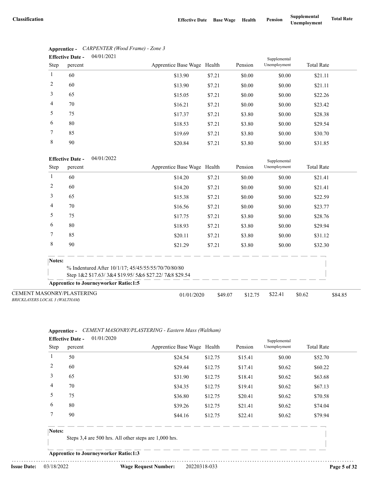|                | 04/01/2021<br><b>Effective Date -</b> |                             |        |         | Supplemental |                   |
|----------------|---------------------------------------|-----------------------------|--------|---------|--------------|-------------------|
| Step           | percent                               | Apprentice Base Wage Health |        | Pension | Unemployment | <b>Total Rate</b> |
| 1              | 60                                    | \$13.90                     | \$7.21 | \$0.00  | \$0.00       | \$21.11           |
| 2              | 60                                    | \$13.90                     | \$7.21 | \$0.00  | \$0.00       | \$21.11           |
| 3              | 65                                    | \$15.05                     | \$7.21 | \$0.00  | \$0.00       | \$22.26           |
| $\overline{4}$ | 70                                    | \$16.21                     | \$7.21 | \$0.00  | \$0.00       | \$23.42           |
| 5              | 75                                    | \$17.37                     | \$7.21 | \$3.80  | \$0.00       | \$28.38           |
| 6              | 80                                    | \$18.53                     | \$7.21 | \$3.80  | \$0.00       | \$29.54           |
| 7              | 85                                    | \$19.69                     | \$7.21 | \$3.80  | \$0.00       | \$30.70           |
| 8              | 90                                    | \$20.84                     | \$7.21 | \$3.80  | \$0.00       | \$31.85           |

### **Apprentice -** *CARPENTER (Wood Frame) - Zone 3*

#### 04/01/2022 **Effective Date -**

|                                                                   | <b>Effective Date -</b><br>04/01/2022        |                                                      |         | Supplemental |              |                   |         |
|-------------------------------------------------------------------|----------------------------------------------|------------------------------------------------------|---------|--------------|--------------|-------------------|---------|
| Step                                                              | percent                                      | Apprentice Base Wage Health                          |         | Pension      | Unemployment | <b>Total Rate</b> |         |
|                                                                   | 60                                           | \$14.20                                              | \$7.21  | \$0.00       | \$0.00       | \$21.41           |         |
| 2                                                                 | 60                                           | \$14.20                                              | \$7.21  | \$0.00       | \$0.00       | \$21.41           |         |
| 3                                                                 | 65                                           | \$15.38                                              | \$7.21  | \$0.00       | \$0.00       | \$22.59           |         |
| 4                                                                 | 70                                           | \$16.56                                              | \$7.21  | \$0.00       | \$0.00       | \$23.77           |         |
| 5                                                                 | 75                                           | \$17.75                                              | \$7.21  | \$3.80       | \$0.00       | \$28.76           |         |
| 6                                                                 | 80                                           | \$18.93                                              | \$7.21  | \$3.80       | \$0.00       | \$29.94           |         |
| 7                                                                 | 85                                           | \$20.11                                              | \$7.21  | \$3.80       | \$0.00       | \$31.12           |         |
| 8                                                                 | 90                                           | \$21.29                                              | \$7.21  | \$3.80       | \$0.00       | \$32.30           |         |
| Notes:                                                            |                                              |                                                      |         |              |              |                   |         |
|                                                                   |                                              | % Indentured After 10/1/17; 45/45/55/55/70/70/80/80  |         |              |              |                   |         |
|                                                                   |                                              | Step 1&2 \$17.63/3&4 \$19.95/5&6 \$27.22/7&8 \$29.54 |         |              |              |                   |         |
|                                                                   | <b>Apprentice to Journeyworker Ratio:1:5</b> |                                                      |         |              |              |                   |         |
| <b>CEMENT MASONRY/PLASTERING</b><br>BRICKLAYERS LOCAL 3 (WALTHAM) |                                              | 01/01/2020                                           | \$49.07 | \$12.75      | \$22.41      | \$0.62            | \$84.85 |

#### **Apprentice -** *CEMENT MASONRY/PLASTERING - Eastern Mass (Waltham)* 01/01/2020 **Effective Date -**

|                | Lifective Date -<br>01/01/2020 |                             |         |         | Supplemental |                   |  |
|----------------|--------------------------------|-----------------------------|---------|---------|--------------|-------------------|--|
| Step           | percent                        | Apprentice Base Wage Health |         | Pension | Unemployment | <b>Total Rate</b> |  |
|                | 50                             | \$24.54                     | \$12.75 | \$15.41 | \$0.00       | \$52.70           |  |
| 2              | 60                             | \$29.44                     | \$12.75 | \$17.41 | \$0.62       | \$60.22           |  |
| 3              | 65                             | \$31.90                     | \$12.75 | \$18.41 | \$0.62       | \$63.68           |  |
| $\overline{4}$ | 70                             | \$34.35                     | \$12.75 | \$19.41 | \$0.62       | \$67.13           |  |
| 5              | 75                             | \$36.80                     | \$12.75 | \$20.41 | \$0.62       | \$70.58           |  |
| 6              | 80                             | \$39.26                     | \$12.75 | \$21.41 | \$0.62       | \$74.04           |  |
|                | 90                             | \$44.16                     | \$12.75 | \$22.41 | \$0.62       | \$79.94           |  |
| T              |                                |                             |         |         |              |                   |  |

#### **Notes:**

Steps 3,4 are 500 hrs. All other steps are 1,000 hrs.

**Apprentice to Journeyworker Ratio:1:3**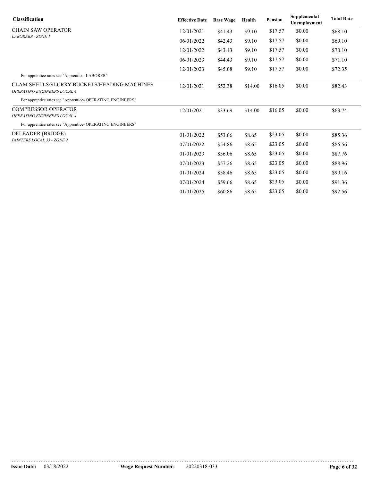| <b>Classification</b>                                                             | <b>Effective Date</b> | <b>Base Wage</b> | Health  | <b>Pension</b> | Supplemental<br>Unemployment | <b>Total Rate</b> |
|-----------------------------------------------------------------------------------|-----------------------|------------------|---------|----------------|------------------------------|-------------------|
| <b>CHAIN SAW OPERATOR</b>                                                         | 12/01/2021            | \$41.43          | \$9.10  | \$17.57        | \$0.00                       | \$68.10           |
| <b>LABORERS - ZONE 1</b>                                                          | 06/01/2022            | \$42.43          | \$9.10  | \$17.57        | \$0.00                       | \$69.10           |
|                                                                                   | 12/01/2022            | \$43.43          | \$9.10  | \$17.57        | \$0.00                       | \$70.10           |
|                                                                                   | 06/01/2023            | \$44.43          | \$9.10  | \$17.57        | \$0.00                       | \$71.10           |
|                                                                                   | 12/01/2023            | \$45.68          | \$9.10  | \$17.57        | \$0.00                       | \$72.35           |
| For apprentice rates see "Apprentice-LABORER"                                     |                       |                  |         |                |                              |                   |
| <b>CLAM SHELLS/SLURRY BUCKETS/HEADING MACHINES</b><br>OPERATING ENGINEERS LOCAL 4 | 12/01/2021            | \$52.38          | \$14.00 | \$16.05        | \$0.00                       | \$82.43           |
| For apprentice rates see "Apprentice- OPERATING ENGINEERS"                        |                       |                  |         |                |                              |                   |
| <b>COMPRESSOR OPERATOR</b>                                                        | 12/01/2021            | \$33.69          | \$14.00 | \$16.05        | \$0.00                       | \$63.74           |
| OPERATING ENGINEERS LOCAL 4                                                       |                       |                  |         |                |                              |                   |
| For apprentice rates see "Apprentice- OPERATING ENGINEERS"                        |                       |                  |         |                |                              |                   |
| DELEADER (BRIDGE)                                                                 | 01/01/2022            | \$53.66          | \$8.65  | \$23.05        | \$0.00                       | \$85.36           |
| PAINTERS LOCAL 35 - ZONE 2                                                        | 07/01/2022            | \$54.86          | \$8.65  | \$23.05        | \$0.00                       | \$86.56           |
|                                                                                   | 01/01/2023            | \$56.06          | \$8.65  | \$23.05        | \$0.00                       | \$87.76           |
|                                                                                   | 07/01/2023            | \$57.26          | \$8.65  | \$23.05        | \$0.00                       | \$88.96           |
|                                                                                   | 01/01/2024            | \$58.46          | \$8.65  | \$23.05        | \$0.00                       | \$90.16           |
|                                                                                   | 07/01/2024            | \$59.66          | \$8.65  | \$23.05        | \$0.00                       | \$91.36           |
|                                                                                   | 01/01/2025            | \$60.86          | \$8.65  | \$23.05        | \$0.00                       | \$92.56           |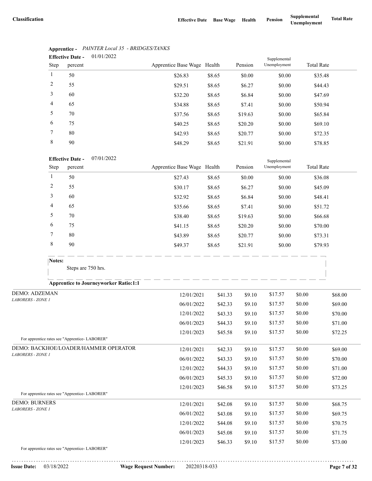|                | 01/01/2022<br><b>Effective Date -</b> |                             |        |         | Supplemental |                   |
|----------------|---------------------------------------|-----------------------------|--------|---------|--------------|-------------------|
| Step           | percent                               | Apprentice Base Wage Health |        | Pension | Unemployment | <b>Total Rate</b> |
| 1              | 50                                    | \$26.83                     | \$8.65 | \$0.00  | \$0.00       | \$35.48           |
| 2              | 55                                    | \$29.51                     | \$8.65 | \$6.27  | \$0.00       | \$44.43           |
| 3              | 60                                    | \$32.20                     | \$8.65 | \$6.84  | \$0.00       | \$47.69           |
| $\overline{4}$ | 65                                    | \$34.88                     | \$8.65 | \$7.41  | \$0.00       | \$50.94           |
| 5              | 70                                    | \$37.56                     | \$8.65 | \$19.63 | \$0.00       | \$65.84           |
| 6              | 75                                    | \$40.25                     | \$8.65 | \$20.20 | \$0.00       | \$69.10           |
| $\tau$         | 80                                    | \$42.93                     | \$8.65 | \$20.77 | \$0.00       | \$72.35           |
| 8              | 90                                    | \$48.29                     | \$8.65 | \$21.91 | \$0.00       | \$78.85           |

#### **Apprentice -** *PAINTER Local 35 - BRIDGES/TANKS*

#### 07/01/2022 **Effective Date -**

|      | <b>Effective Date -</b> | 0//01/2022 |                             |        |         | Supplemental |                   |
|------|-------------------------|------------|-----------------------------|--------|---------|--------------|-------------------|
| Step | percent                 |            | Apprentice Base Wage Health |        | Pension | Unemployment | <b>Total Rate</b> |
|      | 50                      |            | \$27.43                     | \$8.65 | \$0.00  | \$0.00       | \$36.08           |
| 2    | 55                      |            | \$30.17                     | \$8.65 | \$6.27  | \$0.00       | \$45.09           |
| 3    | 60                      |            | \$32.92                     | \$8.65 | \$6.84  | \$0.00       | \$48.41           |
| 4    | 65                      |            | \$35.66                     | \$8.65 | \$7.41  | \$0.00       | \$51.72           |
| 5    | 70                      |            | \$38.40                     | \$8.65 | \$19.63 | \$0.00       | \$66.68           |
| 6    | 75                      |            | \$41.15                     | \$8.65 | \$20.20 | \$0.00       | \$70.00           |
| 7    | 80                      |            | \$43.89                     | \$8.65 | \$20.77 | \$0.00       | \$73.31           |
| 8    | 90                      |            | \$49.37                     | \$8.65 | \$21.91 | \$0.00       | \$79.93           |

Steps are 750 hrs.

#### **Apprentice to Journeyworker Ratio:1:1**

| <b>DEMO: ADZEMAN</b>                          | 12/01/2021 | \$41.33 | \$9.10 | \$17.57 | \$0.00 | \$68.00 |
|-----------------------------------------------|------------|---------|--------|---------|--------|---------|
| <b>LABORERS - ZONE 1</b>                      | 06/01/2022 | \$42.33 | \$9.10 | \$17.57 | \$0.00 | \$69.00 |
|                                               | 12/01/2022 | \$43.33 | \$9.10 | \$17.57 | \$0.00 | \$70.00 |
|                                               | 06/01/2023 | \$44.33 | \$9.10 | \$17.57 | \$0.00 | \$71.00 |
|                                               | 12/01/2023 | \$45.58 | \$9.10 | \$17.57 | \$0.00 | \$72.25 |
| For apprentice rates see "Apprentice-LABORER" |            |         |        |         |        |         |
| DEMO: BACKHOE/LOADER/HAMMER OPERATOR          | 12/01/2021 | \$42.33 | \$9.10 | \$17.57 | \$0.00 | \$69.00 |
| <b>LABORERS - ZONE 1</b>                      | 06/01/2022 | \$43.33 | \$9.10 | \$17.57 | \$0.00 | \$70.00 |
|                                               | 12/01/2022 | \$44.33 | \$9.10 | \$17.57 | \$0.00 | \$71.00 |
|                                               | 06/01/2023 | \$45.33 | \$9.10 | \$17.57 | \$0.00 | \$72.00 |
|                                               | 12/01/2023 | \$46.58 | \$9.10 | \$17.57 | \$0.00 | \$73.25 |
| For apprentice rates see "Apprentice-LABORER" |            |         |        |         |        |         |
| <b>DEMO: BURNERS</b>                          | 12/01/2021 | \$42.08 | \$9.10 | \$17.57 | \$0.00 | \$68.75 |
| <b>LABORERS - ZONE I</b>                      | 06/01/2022 | \$43.08 | \$9.10 | \$17.57 | \$0.00 | \$69.75 |
|                                               | 12/01/2022 | \$44.08 | \$9.10 | \$17.57 | \$0.00 | \$70.75 |
|                                               | 06/01/2023 | \$45.08 | \$9.10 | \$17.57 | \$0.00 | \$71.75 |
|                                               | 12/01/2023 | \$46.33 | \$9.10 | \$17.57 | \$0.00 | \$73.00 |
| <b>P</b> C C C C C C C LABOREDIN              |            |         |        |         |        |         |

For apprentice rates see "Apprentice- LABORER"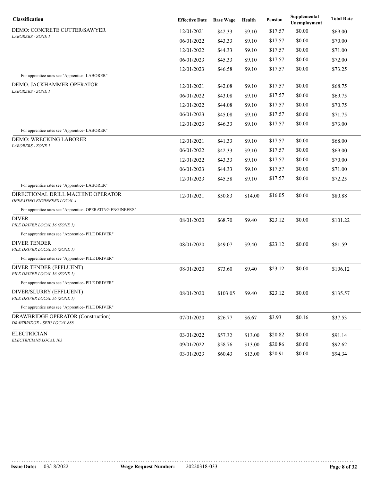| Classification                                                    | <b>Effective Date</b> | <b>Base Wage</b> | Health  | Pension | Supplemental<br>Unemployment | <b>Total Rate</b> |
|-------------------------------------------------------------------|-----------------------|------------------|---------|---------|------------------------------|-------------------|
| DEMO: CONCRETE CUTTER/SAWYER                                      | 12/01/2021            | \$42.33          | \$9.10  | \$17.57 | \$0.00                       | \$69.00           |
| LABORERS - ZONE 1                                                 | 06/01/2022            | \$43.33          | \$9.10  | \$17.57 | \$0.00                       | \$70.00           |
|                                                                   | 12/01/2022            | \$44.33          | \$9.10  | \$17.57 | \$0.00                       | \$71.00           |
|                                                                   | 06/01/2023            | \$45.33          | \$9.10  | \$17.57 | \$0.00                       | \$72.00           |
|                                                                   | 12/01/2023            | \$46.58          | \$9.10  | \$17.57 | \$0.00                       | \$73.25           |
| For apprentice rates see "Apprentice- LABORER"                    |                       |                  |         |         |                              |                   |
| DEMO: JACKHAMMER OPERATOR<br>LABORERS - ZONE 1                    | 12/01/2021            | \$42.08          | \$9.10  | \$17.57 | \$0.00                       | \$68.75           |
|                                                                   | 06/01/2022            | \$43.08          | \$9.10  | \$17.57 | \$0.00                       | \$69.75           |
|                                                                   | 12/01/2022            | \$44.08          | \$9.10  | \$17.57 | \$0.00                       | \$70.75           |
|                                                                   | 06/01/2023            | \$45.08          | \$9.10  | \$17.57 | \$0.00                       | \$71.75           |
|                                                                   | 12/01/2023            | \$46.33          | \$9.10  | \$17.57 | \$0.00                       | \$73.00           |
| For apprentice rates see "Apprentice- LABORER"                    |                       |                  |         |         |                              |                   |
| <b>DEMO: WRECKING LABORER</b><br>LABORERS - ZONE 1                | 12/01/2021            | \$41.33          | \$9.10  | \$17.57 | \$0.00                       | \$68.00           |
|                                                                   | 06/01/2022            | \$42.33          | \$9.10  | \$17.57 | \$0.00                       | \$69.00           |
|                                                                   | 12/01/2022            | \$43.33          | \$9.10  | \$17.57 | \$0.00                       | \$70.00           |
|                                                                   | 06/01/2023            | \$44.33          | \$9.10  | \$17.57 | \$0.00                       | \$71.00           |
|                                                                   | 12/01/2023            | \$45.58          | \$9.10  | \$17.57 | \$0.00                       | \$72.25           |
| For apprentice rates see "Apprentice-LABORER"                     |                       |                  |         |         |                              |                   |
| DIRECTIONAL DRILL MACHINE OPERATOR<br>OPERATING ENGINEERS LOCAL 4 | 12/01/2021            | \$50.83          | \$14.00 | \$16.05 | \$0.00                       | \$80.88           |
| For apprentice rates see "Apprentice- OPERATING ENGINEERS"        |                       |                  |         |         |                              |                   |
| DIVER<br>PILE DRIVER LOCAL 56 (ZONE 1)                            | 08/01/2020            | \$68.70          | \$9.40  | \$23.12 | \$0.00                       | \$101.22          |
| For apprentice rates see "Apprentice- PILE DRIVER"                |                       |                  |         |         |                              |                   |
| <b>DIVER TENDER</b><br>PILE DRIVER LOCAL 56 (ZONE 1)              | 08/01/2020            | \$49.07          | \$9.40  | \$23.12 | \$0.00                       | \$81.59           |
| For apprentice rates see "Apprentice- PILE DRIVER"                |                       |                  |         |         |                              |                   |
| DIVER TENDER (EFFLUENT)<br>PILE DRIVER LOCAL 56 (ZONE 1)          | 08/01/2020            | \$73.60          | \$9.40  | \$23.12 | \$0.00                       | \$106.12          |
| For apprentice rates see "Apprentice- PILE DRIVER"                |                       |                  |         |         |                              |                   |
| DIVER/SLURRY (EFFLUENT)<br>PILE DRIVER LOCAL 56 (ZONE 1)          | 08/01/2020            | \$103.05         | \$9.40  | \$23.12 | \$0.00                       | \$135.57          |
| For apprentice rates see "Apprentice- PILE DRIVER"                |                       |                  |         |         |                              |                   |
| DRAWBRIDGE OPERATOR (Construction)<br>DRAWBRIDGE - SEIU LOCAL 888 | 07/01/2020            | \$26.77          | \$6.67  | \$3.93  | \$0.16                       | \$37.53           |
| <b>ELECTRICIAN</b>                                                | 03/01/2022            | \$57.32          | \$13.00 | \$20.82 | \$0.00                       | \$91.14           |
| ELECTRICIANS LOCAL 103                                            | 09/01/2022            | \$58.76          | \$13.00 | \$20.86 | \$0.00                       | \$92.62           |
|                                                                   | 03/01/2023            | \$60.43          | \$13.00 | \$20.91 | \$0.00                       | \$94.34           |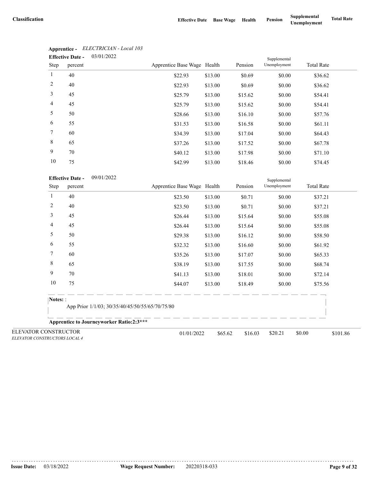|                 | <b>Effective Date -</b> | 03/01/2022 |                             |         |         | Supplemental |                   |  |
|-----------------|-------------------------|------------|-----------------------------|---------|---------|--------------|-------------------|--|
| Step            | percent                 |            | Apprentice Base Wage Health |         | Pension | Unemployment | <b>Total Rate</b> |  |
| $\mathbf{1}$    | 40                      |            | \$22.93                     | \$13.00 | \$0.69  | \$0.00       | \$36.62           |  |
| 2               | 40                      |            | \$22.93                     | \$13.00 | \$0.69  | \$0.00       | \$36.62           |  |
| 3               | 45                      |            | \$25.79                     | \$13.00 | \$15.62 | \$0.00       | \$54.41           |  |
| $\overline{4}$  | 45                      |            | \$25.79                     | \$13.00 | \$15.62 | \$0.00       | \$54.41           |  |
| 5               | 50                      |            | \$28.66                     | \$13.00 | \$16.10 | \$0.00       | \$57.76           |  |
| 6               | 55                      |            | \$31.53                     | \$13.00 | \$16.58 | \$0.00       | \$61.11           |  |
| $7\phantom{.0}$ | 60                      |            | \$34.39                     | \$13.00 | \$17.04 | \$0.00       | \$64.43           |  |
| 8               | 65                      |            | \$37.26                     | \$13.00 | \$17.52 | \$0.00       | \$67.78           |  |
| 9               | 70                      |            | \$40.12                     | \$13.00 | \$17.98 | \$0.00       | \$71.10           |  |
| 10              | 75                      |            | \$42.99                     | \$13.00 | \$18.46 | \$0.00       | \$74.45           |  |

## **Apprentice -** *ELECTRICIAN - Local 103*

|                                                       | <b>Effective Date -</b><br>09/01/2022           |                                                 |         |         | Supplemental |                    |
|-------------------------------------------------------|-------------------------------------------------|-------------------------------------------------|---------|---------|--------------|--------------------|
| Step                                                  | percent                                         | Apprentice Base Wage Health                     |         | Pension | Unemployment | <b>Total Rate</b>  |
| 1                                                     | 40                                              | \$23.50                                         | \$13.00 | \$0.71  | \$0.00       | \$37.21            |
| $\overline{c}$                                        | 40                                              | \$23.50                                         | \$13.00 | \$0.71  | \$0.00       | \$37.21            |
| 3                                                     | 45                                              | \$26.44                                         | \$13.00 | \$15.64 | \$0.00       | \$55.08            |
| 4                                                     | 45                                              | \$26.44                                         | \$13.00 | \$15.64 | \$0.00       | \$55.08            |
| 5                                                     | 50                                              | \$29.38                                         | \$13.00 | \$16.12 | \$0.00       | \$58.50            |
| 6                                                     | 55                                              | \$32.32                                         | \$13.00 | \$16.60 | \$0.00       | \$61.92            |
| 7                                                     | 60                                              | \$35.26                                         | \$13.00 | \$17.07 | \$0.00       | \$65.33            |
| 8                                                     | 65                                              | \$38.19                                         | \$13.00 | \$17.55 | \$0.00       | \$68.74            |
| 9                                                     | 70                                              | \$41.13                                         | \$13.00 | \$18.01 | \$0.00       | \$72.14            |
| 10                                                    | 75                                              | \$44.07                                         | \$13.00 | \$18.49 | \$0.00       | \$75.56            |
| Notes: :                                              |                                                 |                                                 |         |         |              |                    |
|                                                       |                                                 | App Prior 1/1/03; 30/35/40/45/50/55/65/70/75/80 |         |         |              |                    |
|                                                       | <b>Apprentice to Journeyworker Ratio:2:3***</b> |                                                 |         |         |              |                    |
| ELEVATOR CONSTRUCTOR<br>ELEVATOR CONSTRUCTORS LOCAL 4 |                                                 | 01/01/2022                                      | \$65.62 | \$16.03 | \$20.21      | \$0.00<br>\$101.86 |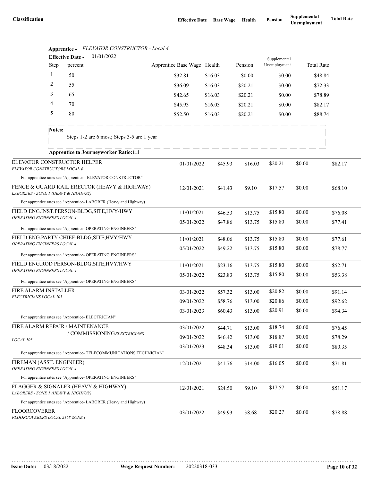|                                                                          |              | 01/01/2022<br><b>Effective Date -</b>                            |                                                                      |                             |         |         | Supplemental |         |                   |  |
|--------------------------------------------------------------------------|--------------|------------------------------------------------------------------|----------------------------------------------------------------------|-----------------------------|---------|---------|--------------|---------|-------------------|--|
|                                                                          | Step         | percent                                                          |                                                                      | Apprentice Base Wage Health |         | Pension | Unemployment |         | <b>Total Rate</b> |  |
|                                                                          | $\mathbf{1}$ | 50                                                               |                                                                      | \$32.81                     | \$16.03 | \$0.00  | \$0.00       |         | \$48.84           |  |
|                                                                          | 2            | 55                                                               |                                                                      | \$36.09                     | \$16.03 | \$20.21 | \$0.00       |         | \$72.33           |  |
|                                                                          | 3            | 65                                                               |                                                                      | \$42.65                     | \$16.03 | \$20.21 | \$0.00       |         | \$78.89           |  |
|                                                                          | 4            | 70                                                               |                                                                      | \$45.93                     | \$16.03 | \$20.21 | \$0.00       |         | \$82.17           |  |
|                                                                          | 5            | 80                                                               |                                                                      | \$52.50                     | \$16.03 | \$20.21 | \$0.00       |         | \$88.74           |  |
|                                                                          | Notes:       |                                                                  | Steps 1-2 are 6 mos.; Steps 3-5 are 1 year                           |                             |         |         |              |         |                   |  |
|                                                                          |              | <b>Apprentice to Journeyworker Ratio:1:1</b>                     |                                                                      |                             |         |         |              |         |                   |  |
| ELEVATOR CONSTRUCTOR HELPER<br>ELEVATOR CONSTRUCTORS LOCAL 4             |              |                                                                  |                                                                      | 01/01/2022                  | \$45.93 | \$16.03 | \$20.21      | \$0.00  | \$82.17           |  |
|                                                                          |              | For apprentice rates see "Apprentice - ELEVATOR CONSTRUCTOR"     |                                                                      |                             |         |         |              |         |                   |  |
| LABORERS - ZONE 1 (HEAVY & HIGHWAY)                                      |              |                                                                  | FENCE & GUARD RAIL ERECTOR (HEAVY & HIGHWAY)                         | 12/01/2021                  | \$41.43 | \$9.10  | \$17.57      | \$0.00  | \$68.10           |  |
|                                                                          |              | For apprentice rates see "Apprentice-LABORER (Heavy and Highway) |                                                                      |                             |         |         |              |         |                   |  |
| FIELD ENG.INST.PERSON-BLDG,SITE,HVY/HWY<br>OPERATING ENGINEERS LOCAL 4   |              |                                                                  | 11/01/2021                                                           | \$46.53                     | \$13.75 | \$15.80 | \$0.00       | \$76.08 |                   |  |
|                                                                          |              |                                                                  |                                                                      | 05/01/2022                  | \$47.86 | \$13.75 | \$15.80      | \$0.00  | \$77.41           |  |
|                                                                          |              | For apprentice rates see "Apprentice- OPERATING ENGINEERS"       |                                                                      |                             |         |         |              |         |                   |  |
| FIELD ENG.PARTY CHIEF-BLDG, SITE, HVY/HWY<br>OPERATING ENGINEERS LOCAL 4 |              | 11/01/2021                                                       | \$48.06                                                              | \$13.75                     | \$15.80 | \$0.00  | \$77.61      |         |                   |  |
|                                                                          |              | For apprentice rates see "Apprentice- OPERATING ENGINEERS"       |                                                                      | 05/01/2022                  | \$49.22 | \$13.75 | \$15.80      | \$0.00  | \$78.77           |  |
|                                                                          |              | FIELD ENG.ROD PERSON-BLDG, SITE, HVY/HWY                         |                                                                      | 11/01/2021                  | \$23.16 | \$13.75 | \$15.80      | \$0.00  | \$52.71           |  |
| OPERATING ENGINEERS LOCAL 4                                              |              |                                                                  |                                                                      | 05/01/2022                  | \$23.83 | \$13.75 | \$15.80      | \$0.00  | \$53.38           |  |
|                                                                          |              | For apprentice rates see "Apprentice- OPERATING ENGINEERS"       |                                                                      |                             |         |         |              |         |                   |  |
| FIRE ALARM INSTALLER                                                     |              |                                                                  |                                                                      | 03/01/2022                  | \$57.32 | \$13.00 | \$20.82      | \$0.00  | \$91.14           |  |
| ELECTRICIANS LOCAL 103                                                   |              |                                                                  |                                                                      | 09/01/2022                  | \$58.76 | \$13.00 | \$20.86      | \$0.00  | \$92.62           |  |
|                                                                          |              |                                                                  |                                                                      | 03/01/2023                  | \$60.43 | \$13.00 | \$20.91      | \$0.00  | \$94.34           |  |
|                                                                          |              | For apprentice rates see "Apprentice- ELECTRICIAN"               |                                                                      |                             |         |         |              |         |                   |  |
|                                                                          |              | FIRE ALARM REPAIR / MAINTENANCE                                  |                                                                      | 03/01/2022                  | \$44.71 | \$13.00 | \$18.74      | \$0.00  | \$76.45           |  |
| LOCAL 103                                                                |              | / COMMISSIONINGELECTRICIANS                                      |                                                                      | 09/01/2022                  | \$46.42 | \$13.00 | \$18.87      | \$0.00  | \$78.29           |  |
|                                                                          |              |                                                                  | For apprentice rates see "Apprentice- TELECOMMUNICATIONS TECHNICIAN" | 03/01/2023                  | \$48.34 | \$13.00 | \$19.01      | \$0.00  | \$80.35           |  |
| FIREMAN (ASST. ENGINEER)                                                 |              |                                                                  |                                                                      | 12/01/2021                  | \$41.76 | \$14.00 | \$16.05      | \$0.00  | \$71.81           |  |
| OPERATING ENGINEERS LOCAL 4                                              |              |                                                                  |                                                                      |                             |         |         |              |         |                   |  |
|                                                                          |              | For apprentice rates see "Apprentice- OPERATING ENGINEERS"       |                                                                      |                             |         |         |              |         |                   |  |
| LABORERS - ZONE 1 (HEAVY & HIGHWAY)                                      |              | FLAGGER & SIGNALER (HEAVY & HIGHWAY)                             |                                                                      | 12/01/2021                  | \$24.50 | \$9.10  | \$17.57      | \$0.00  | \$51.17           |  |
|                                                                          |              | For apprentice rates see "Apprentice-LABORER (Heavy and Highway) |                                                                      |                             |         |         |              |         |                   |  |
| <b>FLOORCOVERER</b><br>FLOORCOVERERS LOCAL 2168 ZONE I                   |              |                                                                  |                                                                      | 03/01/2022                  | \$49.93 | \$8.68  | \$20.27      | \$0.00  | \$78.88           |  |

### **Apprentice -** *ELEVATOR CONSTRUCTOR - Local 4*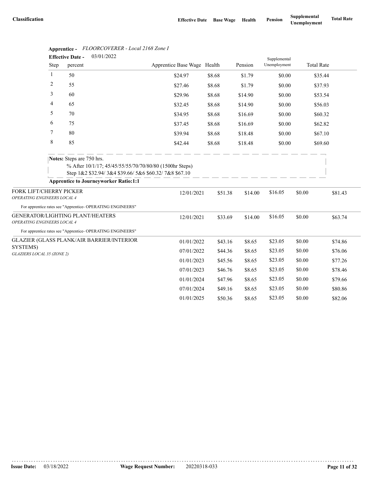|                                                        |         | 03/01/2022<br><b>Effective Date -</b>                                     |                                                                                                                 |        |         |         | Supplemental |        |                   |         |
|--------------------------------------------------------|---------|---------------------------------------------------------------------------|-----------------------------------------------------------------------------------------------------------------|--------|---------|---------|--------------|--------|-------------------|---------|
|                                                        | Step    | percent                                                                   | Apprentice Base Wage Health                                                                                     |        |         | Pension | Unemployment |        | <b>Total Rate</b> |         |
|                                                        | 1       | 50                                                                        | \$24.97                                                                                                         | \$8.68 |         | \$1.79  | \$0.00       |        | \$35.44           |         |
|                                                        | 2       | 55                                                                        | \$27.46                                                                                                         | \$8.68 |         | \$1.79  | \$0.00       |        | \$37.93           |         |
|                                                        | 3       | 60                                                                        | \$29.96                                                                                                         | \$8.68 |         | \$14.90 | \$0.00       |        | \$53.54           |         |
|                                                        | 4       | 65                                                                        | \$32.45                                                                                                         | \$8.68 |         | \$14.90 | \$0.00       |        | \$56.03           |         |
|                                                        | 5       | 70                                                                        | \$34.95                                                                                                         | \$8.68 |         | \$16.69 | \$0.00       |        | \$60.32           |         |
|                                                        | 6       | 75                                                                        | \$37.45                                                                                                         | \$8.68 |         | \$16.69 | \$0.00       |        | \$62.82           |         |
|                                                        | 7       | 80                                                                        | \$39.94                                                                                                         | \$8.68 |         | \$18.48 | \$0.00       |        | \$67.10           |         |
|                                                        | $\,8\,$ | 85                                                                        | \$42.44                                                                                                         | \$8.68 |         | \$18.48 | \$0.00       |        | \$69.60           |         |
|                                                        |         | Notes: Steps are 750 hrs.<br><b>Apprentice to Journeyworker Ratio:1:1</b> | % After 10/1/17; 45/45/55/55/70/70/80/80 (1500hr Steps)<br>Step 1&2 \$32.94/3&4 \$39.66/5&6 \$60.32/7&8 \$67.10 |        |         |         |              |        |                   |         |
|                                                        |         |                                                                           |                                                                                                                 |        |         |         |              |        |                   |         |
| FORK LIFT/CHERRY PICKER<br>OPERATING ENGINEERS LOCAL 4 |         |                                                                           | 12/01/2021                                                                                                      |        | \$51.38 | \$14.00 | \$16.05      | \$0.00 |                   | \$81.43 |
|                                                        |         | For apprentice rates see "Apprentice- OPERATING ENGINEERS"                |                                                                                                                 |        |         |         |              |        |                   |         |
| OPERATING ENGINEERS LOCAL 4                            |         | GENERATOR/LIGHTING PLANT/HEATERS                                          | 12/01/2021                                                                                                      |        | \$33.69 | \$14.00 | \$16.05      | \$0.00 |                   | \$63.74 |
|                                                        |         | For apprentice rates see "Apprentice- OPERATING ENGINEERS"                |                                                                                                                 |        |         |         |              |        |                   |         |
|                                                        |         | GLAZIER (GLASS PLANK/AIR BARRIER/INTERIOR                                 | 01/01/2022                                                                                                      |        | \$43.16 | \$8.65  | \$23.05      | \$0.00 |                   | \$74.86 |
| SYSTEMS)<br>GLAZIERS LOCAL 35 (ZONE 2)                 |         |                                                                           | 07/01/2022                                                                                                      |        | \$44.36 | \$8.65  | \$23.05      | \$0.00 |                   | \$76.06 |
|                                                        |         |                                                                           | 01/01/2023                                                                                                      |        | \$45.56 | \$8.65  | \$23.05      | \$0.00 |                   | \$77.26 |
|                                                        |         |                                                                           | 07/01/2023                                                                                                      |        | \$46.76 | \$8.65  | \$23.05      | \$0.00 |                   | \$78.46 |
|                                                        |         |                                                                           | 01/01/2024                                                                                                      |        | \$47.96 | \$8.65  | \$23.05      | \$0.00 |                   | \$79.66 |
|                                                        |         |                                                                           | 07/01/2024                                                                                                      |        | \$49.16 | \$8.65  | \$23.05      | \$0.00 |                   | \$80.86 |
|                                                        |         |                                                                           | 01/01/2025                                                                                                      |        | \$50.36 | \$8.65  | \$23.05      | \$0.00 |                   | \$82.06 |

### **Apprentice -** *FLOORCOVERER - Local 2168 Zone I*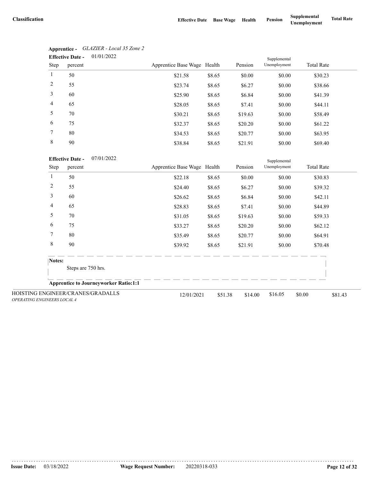|                 | 01/01/2022<br><b>Effective Date -</b> |                             |        |         | Supplemental |                   |
|-----------------|---------------------------------------|-----------------------------|--------|---------|--------------|-------------------|
| Step            | percent                               | Apprentice Base Wage Health |        | Pension | Unemployment | <b>Total Rate</b> |
| 1               | 50                                    | \$21.58                     | \$8.65 | \$0.00  | \$0.00       | \$30.23           |
| 2               | 55                                    | \$23.74                     | \$8.65 | \$6.27  | \$0.00       | \$38.66           |
| 3               | 60                                    | \$25.90                     | \$8.65 | \$6.84  | \$0.00       | \$41.39           |
| $\overline{4}$  | 65                                    | \$28.05                     | \$8.65 | \$7.41  | \$0.00       | \$44.11           |
| 5               | 70                                    | \$30.21                     | \$8.65 | \$19.63 | \$0.00       | \$58.49           |
| 6               | 75                                    | \$32.37                     | \$8.65 | \$20.20 | \$0.00       | \$61.22           |
| $7\phantom{.0}$ | 80                                    | \$34.53                     | \$8.65 | \$20.77 | \$0.00       | \$63.95           |
| 8               | 90                                    | \$38.84                     | \$8.65 | \$21.91 | \$0.00       | \$69.40           |

| Apprentice -            | GLAZIER - Local 35 Zone 2 |
|-------------------------|---------------------------|
| <b>Effective Date -</b> | 01/01/2022                |

| <b>Effective Date -</b> | 07/01/2022 |
|-------------------------|------------|
|                         |            |

|                                                                         | <b>Effective Date -</b>      | 0//01/2022                                   |                             |         |         |              |                   |         |  |
|-------------------------------------------------------------------------|------------------------------|----------------------------------------------|-----------------------------|---------|---------|--------------|-------------------|---------|--|
| Step                                                                    | percent                      |                                              | Apprentice Base Wage Health |         | Pension | Unemployment | <b>Total Rate</b> |         |  |
| 1                                                                       | 50                           |                                              | \$22.18                     | \$8.65  | \$0.00  | \$0.00       | \$30.83           |         |  |
| 2                                                                       | 55                           |                                              | \$24.40                     | \$8.65  | \$6.27  | \$0.00       | \$39.32           |         |  |
| 3                                                                       | 60                           |                                              | \$26.62                     | \$8.65  | \$6.84  | \$0.00       | \$42.11           |         |  |
| 4                                                                       | 65                           |                                              | \$28.83                     | \$8.65  | \$7.41  | \$0.00       | \$44.89           |         |  |
| 5                                                                       | 70                           |                                              | \$31.05                     | \$8.65  | \$19.63 | \$0.00       | \$59.33           |         |  |
| 6                                                                       | 75                           |                                              | \$33.27                     | \$8.65  | \$20.20 | \$0.00       | \$62.12           |         |  |
| 7                                                                       | 80                           |                                              | \$35.49                     | \$8.65  | \$20.77 | \$0.00       | \$64.91           |         |  |
| 8                                                                       | 90                           |                                              | \$39.92                     | \$8.65  | \$21.91 | \$0.00       | \$70.48           |         |  |
|                                                                         | Notes:<br>Steps are 750 hrs. |                                              |                             |         |         |              |                   |         |  |
|                                                                         |                              | <b>Apprentice to Journeyworker Ratio:1:1</b> |                             |         |         |              |                   |         |  |
| HOISTING ENGINEER/CRANES/GRADALLS<br><b>OPERATING ENGINEERS LOCAL 4</b> |                              |                                              | 12/01/2021                  | \$51.38 | \$14.00 | \$16.05      | \$0.00            | \$81.43 |  |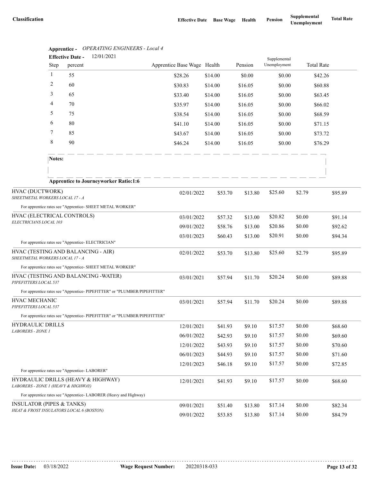|                                                    | Apprenuce -    | Of ERATHYO ENGINEERS - Local 7<br>12/01/2021<br><b>Effective Date -</b>  |                             |         |         |                              |         |                   |
|----------------------------------------------------|----------------|--------------------------------------------------------------------------|-----------------------------|---------|---------|------------------------------|---------|-------------------|
|                                                    | Step           | percent                                                                  | Apprentice Base Wage Health |         | Pension | Supplemental<br>Unemployment |         | <b>Total Rate</b> |
|                                                    | $\mathbf{1}$   | 55                                                                       | \$28.26                     | \$14.00 | \$0.00  | \$0.00                       |         | \$42.26           |
|                                                    | $\overline{c}$ | 60                                                                       | \$30.83                     | \$14.00 | \$16.05 | \$0.00                       |         | \$60.88           |
|                                                    | 3              | 65                                                                       | \$33.40                     | \$14.00 | \$16.05 | \$0.00                       |         | \$63.45           |
|                                                    | 4              | 70                                                                       | \$35.97                     | \$14.00 | \$16.05 | \$0.00                       |         | \$66.02           |
|                                                    | 5              | 75                                                                       | \$38.54                     | \$14.00 | \$16.05 | \$0.00                       |         | \$68.59           |
|                                                    | 6              | 80                                                                       | \$41.10                     | \$14.00 | \$16.05 | \$0.00                       |         | \$71.15           |
|                                                    | 7              | 85                                                                       | \$43.67                     | \$14.00 | \$16.05 | \$0.00                       |         | \$73.72           |
|                                                    | 8              | 90                                                                       | \$46.24                     | \$14.00 | \$16.05 | \$0.00                       |         | \$76.29           |
|                                                    | Notes:         |                                                                          |                             |         |         |                              |         |                   |
|                                                    |                |                                                                          |                             |         |         |                              |         |                   |
|                                                    |                | <b>Apprentice to Journeyworker Ratio:1:6</b>                             |                             |         |         |                              |         |                   |
| HVAC (DUCTWORK)<br>SHEETMETAL WORKERS LOCAL 17 - A |                |                                                                          | 02/01/2022                  | \$53.70 | \$13.80 | \$25.60                      | \$2.79  | \$95.89           |
|                                                    |                | For apprentice rates see "Apprentice- SHEET METAL WORKER"                |                             |         |         |                              |         |                   |
| HVAC (ELECTRICAL CONTROLS)                         |                | 03/01/2022                                                               | \$57.32                     | \$13.00 | \$20.82 | \$0.00                       | \$91.14 |                   |
| ELECTRICIANS LOCAL 103                             |                |                                                                          | 09/01/2022                  | \$58.76 | \$13.00 | \$20.86                      | \$0.00  | \$92.62           |
|                                                    |                |                                                                          | 03/01/2023                  | \$60.43 | \$13.00 | \$20.91                      | \$0.00  | \$94.34           |
|                                                    |                | For apprentice rates see "Apprentice- ELECTRICIAN"                       |                             |         |         |                              |         |                   |
| SHEETMETAL WORKERS LOCAL 17 - A                    |                | HVAC (TESTING AND BALANCING - AIR)                                       | 02/01/2022                  | \$53.70 | \$13.80 | \$25.60                      | \$2.79  | \$95.89           |
|                                                    |                | For apprentice rates see "Apprentice- SHEET METAL WORKER"                |                             |         |         |                              |         |                   |
| PIPEFITTERS LOCAL 537                              |                | HVAC (TESTING AND BALANCING -WATER)                                      | 03/01/2021                  | \$57.94 | \$11.70 | \$20.24                      | \$0.00  | \$89.88           |
|                                                    |                | For apprentice rates see "Apprentice-PIPEFITTER" or "PLUMBER/PIPEFITTER" |                             |         |         |                              |         |                   |
| HVAC MECHANIC<br>PIPEFITTERS LOCAL 537             |                |                                                                          | 03/01/2021                  | \$57.94 | \$11.70 | \$20.24                      | \$0.00  | \$89.88           |
|                                                    |                | For apprentice rates see "Apprentice-PIPEFITTER" or "PLUMBER/PIPEFITTER" |                             |         |         |                              |         |                   |
| HYDRAULIC DRILLS                                   |                |                                                                          | 12/01/2021                  | \$41.93 | \$9.10  | \$17.57                      | \$0.00  | \$68.60           |
| LABORERS - ZONE 1                                  |                |                                                                          | 06/01/2022                  | \$42.93 | \$9.10  | \$17.57                      | \$0.00  | \$69.60           |
|                                                    |                |                                                                          | 12/01/2022                  | \$43.93 | \$9.10  | \$17.57                      | \$0.00  | \$70.60           |
|                                                    |                |                                                                          | 06/01/2023                  | \$44.93 | \$9.10  | \$17.57                      | \$0.00  | \$71.60           |
|                                                    |                |                                                                          | 12/01/2023                  | \$46.18 | \$9.10  | \$17.57                      | \$0.00  | \$72.85           |
|                                                    |                | For apprentice rates see "Apprentice-LABORER"                            |                             |         |         |                              |         |                   |
| LABORERS - ZONE 1 (HEAVY & HIGHWAY)                |                | HYDRAULIC DRILLS (HEAVY & HIGHWAY)                                       | 12/01/2021                  | \$41.93 | \$9.10  | \$17.57                      | \$0.00  | \$68.60           |
|                                                    |                | For apprentice rates see "Apprentice-LABORER (Heavy and Highway)         |                             |         |         |                              |         |                   |
| <b>INSULATOR (PIPES &amp; TANKS)</b>               |                |                                                                          | 09/01/2021                  | \$51.40 | \$13.80 | \$17.14                      | \$0.00  | \$82.34           |
|                                                    |                | HEAT & FROST INSULATORS LOCAL 6 (BOSTON)                                 | 09/01/2022                  | \$53.85 | \$13.80 | \$17.14                      | \$0.00  | \$84.79           |

**Apprentice -** *OPERATING ENGINEERS - Local 4*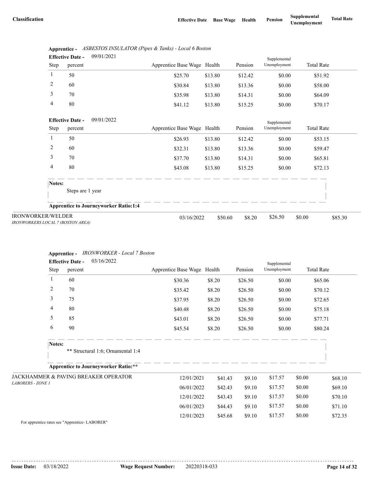|      | <b>Effective Date -</b> | 09/01/2021 |                             |         |         | Supplemental |                   |  |
|------|-------------------------|------------|-----------------------------|---------|---------|--------------|-------------------|--|
| Step | percent                 |            | Apprentice Base Wage Health |         | Pension | Unemployment | <b>Total Rate</b> |  |
|      | 50                      |            | \$25.70                     | \$13.80 | \$12.42 | \$0.00       | \$51.92           |  |
| 2    | 60                      |            | \$30.84                     | \$13.80 | \$13.36 | \$0.00       | \$58.00           |  |
|      | 70                      |            | \$35.98                     | \$13.80 | \$14.31 | \$0.00       | \$64.09           |  |
| 4    | 80                      |            | \$41.12                     | \$13.80 | \$15.25 | \$0.00       | \$70.17           |  |

|      | Apprentice - ASBESTOS INSULATOR (Pipes & Tanks) - Local 6 Boston |
|------|------------------------------------------------------------------|
| $ -$ | 0.010110001                                                      |

|                                                               | 09/01/2022<br><b>Effective Date -</b>        |                             |         |         | Supplemental |                   |         |
|---------------------------------------------------------------|----------------------------------------------|-----------------------------|---------|---------|--------------|-------------------|---------|
| Step                                                          | percent                                      | Apprentice Base Wage Health |         | Pension | Unemployment | <b>Total Rate</b> |         |
|                                                               | 50                                           | \$26.93                     | \$13.80 | \$12.42 | \$0.00       | \$53.15           |         |
| 2                                                             | 60                                           | \$32.31                     | \$13.80 | \$13.36 | \$0.00       | \$59.47           |         |
| 3                                                             | 70                                           | \$37.70                     | \$13.80 | \$14.31 | \$0.00       | \$65.81           |         |
| 4                                                             | 80                                           | \$43.08                     | \$13.80 | \$15.25 | \$0.00       | \$72.13           |         |
| Notes:                                                        |                                              |                             |         |         |              |                   |         |
|                                                               | Steps are 1 year                             |                             |         |         |              |                   |         |
|                                                               | <b>Apprentice to Journeyworker Ratio:1:4</b> |                             |         |         |              |                   |         |
| <b>IRONWORKER/WELDER</b><br>IRONWORKERS LOCAL 7 (BOSTON AREA) |                                              | 03/16/2022                  | \$50.60 | \$8.20  | \$26.50      | \$0.00            | \$85.30 |

#### **Apprentice -** *IRONWORKER - Local 7 Boston*

|                          | <b>Effective Date -</b> | 03/16/2022                                      |                             |         |         | Supplemental |                   |         |
|--------------------------|-------------------------|-------------------------------------------------|-----------------------------|---------|---------|--------------|-------------------|---------|
| Step                     | percent                 |                                                 | Apprentice Base Wage Health |         | Pension | Unemployment | <b>Total Rate</b> |         |
|                          | 60                      |                                                 | \$30.36                     | \$8.20  | \$26.50 | \$0.00       | \$65.06           |         |
| 2                        | 70                      |                                                 | \$35.42                     | \$8.20  | \$26.50 | \$0.00       | \$70.12           |         |
| 3                        | 75                      |                                                 | \$37.95                     | \$8.20  | \$26.50 | \$0.00       | \$72.65           |         |
| 4                        | 80                      |                                                 | \$40.48                     | \$8.20  | \$26.50 | \$0.00       | \$75.18           |         |
| 5                        | 85                      |                                                 | \$43.01                     | \$8.20  | \$26.50 | \$0.00       | \$77.71           |         |
| 6                        | 90                      |                                                 | \$45.54                     | \$8.20  | \$26.50 | \$0.00       | \$80.24           |         |
|                          | Notes:                  | ** Structural 1:6; Ornamental 1:4               |                             |         |         |              |                   |         |
|                          |                         | <b>Apprentice to Journeyworker Ratio:**</b>     |                             |         |         |              |                   |         |
|                          |                         | <b>JACKHAMMER &amp; PAVING BREAKER OPERATOR</b> | 12/01/2021                  | \$41.43 | \$9.10  | \$17.57      | \$0.00            | \$68.10 |
| <b>LABORERS - ZONE 1</b> |                         |                                                 | 06/01/2022                  | \$42.43 | \$9.10  | \$17.57      | \$0.00            | \$69.10 |
|                          |                         |                                                 | 12/01/2022                  | \$43.43 | \$9.10  | \$17.57      | \$0.00            | \$70.10 |
|                          |                         |                                                 | 06/01/2023                  | \$44.43 | \$9.10  | \$17.57      | \$0.00            | \$71.10 |
|                          |                         |                                                 | 12/01/2023                  | \$45.68 | \$9.10  | \$17.57      | \$0.00            | \$72.35 |

For apprentice rates see "Apprentice- LABORER"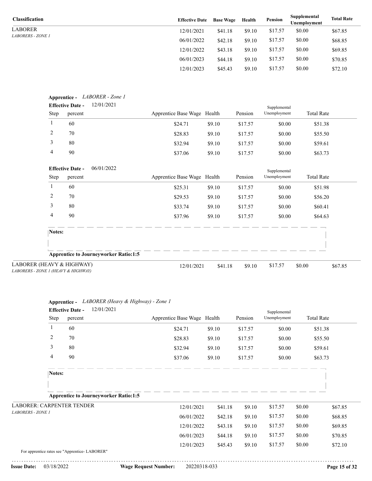LABORER *LABORERS - ZONE 1*

| <b>Classification</b>    | <b>Effective Date</b> | <b>Base Wage</b> | Health | Pension | Supplemental<br>Unemployment | <b>Total Rate</b> |
|--------------------------|-----------------------|------------------|--------|---------|------------------------------|-------------------|
| LABORER                  | 12/01/2021            | \$41.18          | \$9.10 | \$17.57 | \$0.00                       | \$67.85           |
| <i>LABORERS - ZONE 1</i> | 06/01/2022            | \$42.18          | \$9.10 | \$17.57 | \$0.00                       | \$68.85           |
|                          | 12/01/2022            | \$43.18          | \$9.10 | \$17.57 | \$0.00                       | \$69.85           |
|                          | 06/01/2023            | \$44.18          | \$9.10 | \$17.57 | \$0.00                       | \$70.85           |
|                          | 12/01/2023            | \$45.43          | \$9.10 | \$17.57 | \$0.00                       | \$72.10           |

|                | <b>Effective Date -</b>                  | Apprentice - LABORER - Zone 1<br>12/01/2021  |                             |         |         | Supplemental |                   |
|----------------|------------------------------------------|----------------------------------------------|-----------------------------|---------|---------|--------------|-------------------|
| Step           | percent                                  |                                              | Apprentice Base Wage Health |         | Pension | Unemployment | <b>Total Rate</b> |
| 1              | 60                                       |                                              | \$24.71                     | \$9.10  | \$17.57 | \$0.00       | \$51.38           |
| 2              | 70                                       |                                              | \$28.83                     | \$9.10  | \$17.57 | \$0.00       | \$55.50           |
| 3              | 80                                       |                                              | \$32.94                     | \$9.10  | \$17.57 | \$0.00       | \$59.61           |
| $\overline{4}$ | 90                                       |                                              | \$37.06                     | \$9.10  | \$17.57 | \$0.00       | \$63.73           |
|                | <b>Effective Date -</b>                  | 06/01/2022                                   |                             |         |         | Supplemental |                   |
| Step           | percent                                  |                                              | Apprentice Base Wage Health |         | Pension | Unemployment | <b>Total Rate</b> |
| 1              | 60                                       |                                              | \$25.31                     | \$9.10  | \$17.57 | \$0.00       | \$51.98           |
| 2              | 70                                       |                                              | \$29.53                     | \$9.10  | \$17.57 | \$0.00       | \$56.20           |
| 3              | 80                                       |                                              | \$33.74                     | \$9.10  | \$17.57 | \$0.00       | \$60.41           |
| 4              | 90                                       |                                              | \$37.96                     | \$9.10  | \$17.57 | \$0.00       | \$64.63           |
| Notes:         |                                          |                                              |                             |         |         |              |                   |
|                |                                          |                                              |                             |         |         |              |                   |
|                |                                          | <b>Apprentice to Journeyworker Ratio:1:5</b> |                             |         |         |              |                   |
|                | EAVY & HIGHWAY)<br>E 1 (HEAVY & HIGHWAY) |                                              | 12/01/2021                  | \$41.18 | \$9.10  | \$17.57      | \$0.00<br>\$67.85 |

| LABORER (HEAVY & HIGHWAY)           |
|-------------------------------------|
| LABORERS - ZONE 1 (HEAVY & HIGHWAY) |

|                                               |                         | Apprentice - LABORER (Heavy & Highway) - Zone 1 |                             |         |         |              |                   |         |
|-----------------------------------------------|-------------------------|-------------------------------------------------|-----------------------------|---------|---------|--------------|-------------------|---------|
|                                               | <b>Effective Date -</b> | 12/01/2021                                      |                             |         |         | Supplemental |                   |         |
| Step                                          | percent                 |                                                 | Apprentice Base Wage Health |         | Pension | Unemployment | <b>Total Rate</b> |         |
| 1                                             | 60                      |                                                 | \$24.71                     | \$9.10  | \$17.57 | \$0.00       | \$51.38           |         |
| 2                                             | 70                      |                                                 | \$28.83                     | \$9.10  | \$17.57 | \$0.00       | \$55.50           |         |
| 3                                             | 80                      |                                                 | \$32.94                     | \$9.10  | \$17.57 | \$0.00       | \$59.61           |         |
| 4                                             | 90                      |                                                 | \$37.06                     | \$9.10  | \$17.57 | \$0.00       | \$63.73           |         |
| Notes:                                        |                         |                                                 |                             |         |         |              |                   |         |
|                                               |                         |                                                 |                             |         |         |              |                   |         |
|                                               |                         | <b>Apprentice to Journeyworker Ratio:1:5</b>    |                             |         |         |              |                   |         |
| <b>LABORER: CARPENTER TENDER</b>              |                         |                                                 | 12/01/2021                  | \$41.18 | \$9.10  | \$17.57      | \$0.00            | \$67.85 |
| LABORERS - ZONE 1                             |                         |                                                 | 06/01/2022                  | \$42.18 | \$9.10  | \$17.57      | \$0.00            | \$68.85 |
|                                               |                         |                                                 | 12/01/2022                  | \$43.18 | \$9.10  | \$17.57      | \$0.00            | \$69.85 |
|                                               |                         |                                                 | 06/01/2023                  | \$44.18 | \$9.10  | \$17.57      | \$0.00            | \$70.85 |
|                                               |                         |                                                 | 12/01/2023                  | \$45.43 | \$9.10  | \$17.57      | \$0.00            | \$72.10 |
| For apprentice rates see "Apprentice-LABORER" |                         |                                                 |                             |         |         |              |                   |         |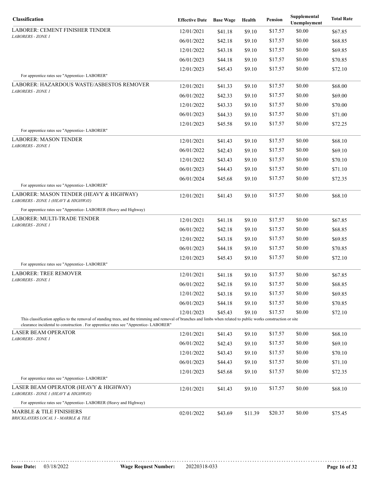| Classification                                                                                                                                                                                                                                             | <b>Effective Date</b> | <b>Base Wage</b> | Health  | Pension | Supplemental<br>Unemployment | <b>Total Rate</b> |
|------------------------------------------------------------------------------------------------------------------------------------------------------------------------------------------------------------------------------------------------------------|-----------------------|------------------|---------|---------|------------------------------|-------------------|
| LABORER: CEMENT FINISHER TENDER                                                                                                                                                                                                                            | 12/01/2021            | \$41.18          | \$9.10  | \$17.57 | \$0.00                       | \$67.85           |
| LABORERS - ZONE 1                                                                                                                                                                                                                                          | 06/01/2022            | \$42.18          | \$9.10  | \$17.57 | \$0.00                       | \$68.85           |
|                                                                                                                                                                                                                                                            | 12/01/2022            | \$43.18          | \$9.10  | \$17.57 | \$0.00                       | \$69.85           |
|                                                                                                                                                                                                                                                            | 06/01/2023            | \$44.18          | \$9.10  | \$17.57 | \$0.00                       | \$70.85           |
|                                                                                                                                                                                                                                                            | 12/01/2023            | \$45.43          | \$9.10  | \$17.57 | \$0.00                       | \$72.10           |
| For apprentice rates see "Apprentice-LABORER"                                                                                                                                                                                                              |                       |                  |         |         |                              |                   |
| LABORER: HAZARDOUS WASTE/ASBESTOS REMOVER<br>LABORERS - ZONE 1                                                                                                                                                                                             | 12/01/2021            | \$41.33          | \$9.10  | \$17.57 | \$0.00                       | \$68.00           |
|                                                                                                                                                                                                                                                            | 06/01/2022            | \$42.33          | \$9.10  | \$17.57 | \$0.00                       | \$69.00           |
|                                                                                                                                                                                                                                                            | 12/01/2022            | \$43.33          | \$9.10  | \$17.57 | \$0.00                       | \$70.00           |
|                                                                                                                                                                                                                                                            | 06/01/2023            | \$44.33          | \$9.10  | \$17.57 | \$0.00                       | \$71.00           |
|                                                                                                                                                                                                                                                            | 12/01/2023            | \$45.58          | \$9.10  | \$17.57 | \$0.00                       | \$72.25           |
| For apprentice rates see "Apprentice-LABORER"                                                                                                                                                                                                              |                       |                  |         |         |                              |                   |
| <b>LABORER: MASON TENDER</b><br>LABORERS - ZONE 1                                                                                                                                                                                                          | 12/01/2021            | \$41.43          | \$9.10  | \$17.57 | \$0.00                       | \$68.10           |
|                                                                                                                                                                                                                                                            | 06/01/2022            | \$42.43          | \$9.10  | \$17.57 | \$0.00                       | \$69.10           |
|                                                                                                                                                                                                                                                            | 12/01/2022            | \$43.43          | \$9.10  | \$17.57 | \$0.00                       | \$70.10           |
|                                                                                                                                                                                                                                                            | 06/01/2023            | \$44.43          | \$9.10  | \$17.57 | \$0.00                       | \$71.10           |
|                                                                                                                                                                                                                                                            | 06/01/2024            | \$45.68          | \$9.10  | \$17.57 | \$0.00                       | \$72.35           |
| For apprentice rates see "Apprentice-LABORER"<br>LABORER: MASON TENDER (HEAVY & HIGHWAY)<br>LABORERS - ZONE 1 (HEAVY & HIGHWAY)                                                                                                                            | 12/01/2021            | \$41.43          | \$9.10  | \$17.57 | \$0.00                       | \$68.10           |
| For apprentice rates see "Apprentice- LABORER (Heavy and Highway)                                                                                                                                                                                          |                       |                  |         |         |                              |                   |
| LABORER: MULTI-TRADE TENDER                                                                                                                                                                                                                                | 12/01/2021            | \$41.18          | \$9.10  | \$17.57 | \$0.00                       | \$67.85           |
| LABORERS - ZONE 1                                                                                                                                                                                                                                          | 06/01/2022            | \$42.18          | \$9.10  | \$17.57 | \$0.00                       | \$68.85           |
|                                                                                                                                                                                                                                                            | 12/01/2022            | \$43.18          | \$9.10  | \$17.57 | \$0.00                       | \$69.85           |
|                                                                                                                                                                                                                                                            | 06/01/2023            | \$44.18          | \$9.10  | \$17.57 | \$0.00                       | \$70.85           |
|                                                                                                                                                                                                                                                            | 12/01/2023            | \$45.43          | \$9.10  | \$17.57 | \$0.00                       | \$72.10           |
| For apprentice rates see "Apprentice-LABORER"                                                                                                                                                                                                              |                       |                  |         |         |                              |                   |
| <b>LABORER: TREE REMOVER</b>                                                                                                                                                                                                                               | 12/01/2021            | \$41.18          | \$9.10  | \$17.57 | \$0.00                       | \$67.85           |
| <b>LABORERS - ZONE 1</b>                                                                                                                                                                                                                                   | 06/01/2022            | \$42.18          | \$9.10  | \$17.57 | \$0.00                       | \$68.85           |
|                                                                                                                                                                                                                                                            | 12/01/2022            | \$43.18          | \$9.10  | \$17.57 | \$0.00                       | \$69.85           |
|                                                                                                                                                                                                                                                            | 06/01/2023            | \$44.18          | \$9.10  | \$17.57 | \$0.00                       | \$70.85           |
|                                                                                                                                                                                                                                                            | 12/01/2023            | \$45.43          | \$9.10  | \$17.57 | \$0.00                       | \$72.10           |
| This classification applies to the removal of standing trees, and the trimming and removal of branches and limbs when related to public works construction or site<br>clearance incidental to construction . For apprentice rates see "Apprentice-LABORER" |                       |                  |         |         |                              |                   |
| <b>LASER BEAM OPERATOR</b>                                                                                                                                                                                                                                 | 12/01/2021            | \$41.43          | \$9.10  | \$17.57 | \$0.00                       | \$68.10           |
| LABORERS - ZONE 1                                                                                                                                                                                                                                          | 06/01/2022            | \$42.43          | \$9.10  | \$17.57 | \$0.00                       | \$69.10           |
|                                                                                                                                                                                                                                                            | 12/01/2022            | \$43.43          | \$9.10  | \$17.57 | \$0.00                       | \$70.10           |
|                                                                                                                                                                                                                                                            | 06/01/2023            | \$44.43          | \$9.10  | \$17.57 | \$0.00                       | \$71.10           |
|                                                                                                                                                                                                                                                            | 12/01/2023            | \$45.68          | \$9.10  | \$17.57 | \$0.00                       | \$72.35           |
| For apprentice rates see "Apprentice-LABORER"                                                                                                                                                                                                              |                       |                  |         |         |                              |                   |
| LASER BEAM OPERATOR (HEAVY & HIGHWAY)<br>LABORERS - ZONE 1 (HEAVY & HIGHWAY)                                                                                                                                                                               | 12/01/2021            | \$41.43          | \$9.10  | \$17.57 | \$0.00                       | \$68.10           |
| For apprentice rates see "Apprentice-LABORER (Heavy and Highway)                                                                                                                                                                                           |                       |                  |         |         |                              |                   |
| <b>MARBLE &amp; TILE FINISHERS</b><br>BRICKLAYERS LOCAL 3 - MARBLE & TILE                                                                                                                                                                                  | 02/01/2022            | \$43.69          | \$11.39 | \$20.37 | \$0.00                       | \$75.45           |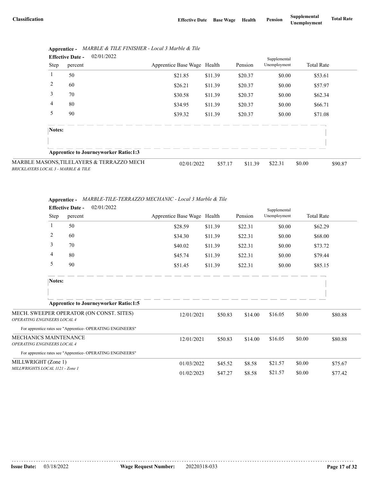|                                     | 02/01/2022<br><b>Effective Date -</b> |         |                                              |                             | Supplemental |         |              |                   |         |
|-------------------------------------|---------------------------------------|---------|----------------------------------------------|-----------------------------|--------------|---------|--------------|-------------------|---------|
|                                     | Step                                  | percent |                                              | Apprentice Base Wage Health |              | Pension | Unemployment | <b>Total Rate</b> |         |
|                                     |                                       | 50      |                                              | \$21.85                     | \$11.39      | \$20.37 | \$0.00       | \$53.61           |         |
|                                     | 2                                     | 60      |                                              | \$26.21                     | \$11.39      | \$20.37 | \$0.00       | \$57.97           |         |
|                                     | 3                                     | 70      |                                              | \$30.58                     | \$11.39      | \$20.37 | \$0.00       | \$62.34           |         |
|                                     | 4                                     | 80      |                                              | \$34.95                     | \$11.39      | \$20.37 | \$0.00       | \$66.71           |         |
|                                     | 5                                     | 90      |                                              | \$39.32                     | \$11.39      | \$20.37 | \$0.00       | \$71.08           |         |
|                                     | Notes:                                |         |                                              |                             |              |         |              |                   |         |
|                                     |                                       |         |                                              |                             |              |         |              |                   |         |
|                                     |                                       |         | <b>Apprentice to Journeyworker Ratio:1:3</b> |                             |              |         |              |                   |         |
| BRICKLAYERS LOCAL 3 - MARBLE & TILE |                                       |         | MARBLE MASONS, TILELAYERS & TERRAZZO MECH    | 02/01/2022                  | \$57.17      | \$11.39 | \$22.31      | \$0.00            | \$90.87 |

|  | Apprentice - MARBLE & TILE FINISHER - Local 3 Marble & Tile |
|--|-------------------------------------------------------------|
|--|-------------------------------------------------------------|

|                              | Apprentice - MARBLE-TILE-TERRAZZO MECHANIC - Local 3 Marble & Tile |
|------------------------------|--------------------------------------------------------------------|
| $\mathbf{r}$ as $\mathbf{r}$ | 0.2101/2022                                                        |

|                                    | 02/01/2022<br><b>Effective Date -</b>                     |                             |         |         | Supplemental |                   |         |
|------------------------------------|-----------------------------------------------------------|-----------------------------|---------|---------|--------------|-------------------|---------|
| Step                               | percent                                                   | Apprentice Base Wage Health |         | Pension | Unemployment | <b>Total Rate</b> |         |
| 1                                  | 50                                                        | \$28.59                     | \$11.39 | \$22.31 | \$0.00       | \$62.29           |         |
| 2                                  | 60                                                        | \$34.30                     | \$11.39 | \$22.31 | \$0.00       | \$68.00           |         |
| 3                                  | 70                                                        | \$40.02                     | \$11.39 | \$22.31 | \$0.00       | \$73.72           |         |
| 4                                  | 80                                                        | \$45.74                     | \$11.39 | \$22.31 | \$0.00       | \$79.44           |         |
| 5                                  | 90                                                        | \$51.45                     | \$11.39 | \$22.31 | \$0.00       | \$85.15           |         |
| Notes:                             |                                                           |                             |         |         |              |                   |         |
|                                    |                                                           |                             |         |         |              |                   |         |
|                                    | <b>Apprentice to Journeyworker Ratio:1:5</b>              |                             |         |         |              |                   |         |
| <b>OPERATING ENGINEERS LOCAL 4</b> | MECH. SWEEPER OPERATOR (ON CONST. SITES)                  | 12/01/2021                  | \$50.83 | \$14.00 | \$16.05      | \$0.00            | \$80.88 |
|                                    | For apprentice rates see "Apprentice-OPERATING ENGINEERS" |                             |         |         |              |                   |         |
| MECHANICS MAINTENANCE              |                                                           | 12/01/2021                  | \$50.83 | \$14.00 | \$16.05      | \$0.00            | \$80.88 |
| OPERATING ENGINEERS LOCAL 4        |                                                           |                             |         |         |              |                   |         |
|                                    | For apprentice rates see "Apprentice-OPERATING ENGINEERS" |                             |         |         |              |                   |         |
| MILLWRIGHT (Zone 1)                |                                                           | 01/03/2022                  | \$45.52 | \$8.58  | \$21.57      | \$0.00            | \$75.67 |
| MILLWRIGHTS LOCAL 1121 - Zone 1    |                                                           | 01/02/2023                  | \$47.27 | \$8.58  | \$21.57      | \$0.00            | \$77.42 |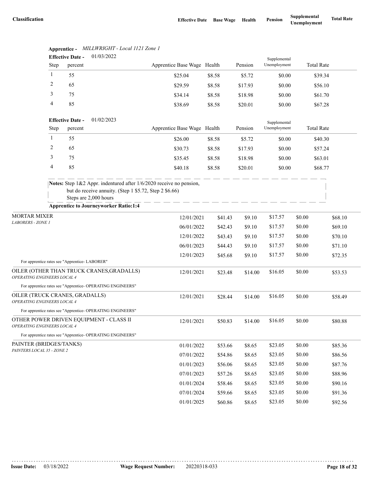|                                                               |              | <b>Effective Date -</b> | 01/03/2022                                                                                                                                             |                             |         |         | Supplemental |                   |         |
|---------------------------------------------------------------|--------------|-------------------------|--------------------------------------------------------------------------------------------------------------------------------------------------------|-----------------------------|---------|---------|--------------|-------------------|---------|
|                                                               | Step         | percent                 |                                                                                                                                                        | Apprentice Base Wage Health |         | Pension | Unemployment | <b>Total Rate</b> |         |
|                                                               | 1            | 55                      |                                                                                                                                                        | \$25.04                     | \$8.58  | \$5.72  | \$0.00       | \$39.34           |         |
|                                                               | 2            | 65                      |                                                                                                                                                        | \$29.59                     | \$8.58  | \$17.93 | \$0.00       | \$56.10           |         |
|                                                               | 3            | 75                      |                                                                                                                                                        | \$34.14                     | \$8.58  | \$18.98 | \$0.00       | \$61.70           |         |
|                                                               | 4            | 85                      |                                                                                                                                                        | \$38.69                     | \$8.58  | \$20.01 | \$0.00       | \$67.28           |         |
|                                                               |              | <b>Effective Date -</b> | 01/02/2023                                                                                                                                             |                             |         |         | Supplemental |                   |         |
|                                                               | Step         | percent                 |                                                                                                                                                        | Apprentice Base Wage Health |         | Pension | Unemployment | <b>Total Rate</b> |         |
|                                                               | $\mathbf{1}$ | 55                      |                                                                                                                                                        | \$26.00                     | \$8.58  | \$5.72  | \$0.00       | \$40.30           |         |
|                                                               | 2            | 65                      |                                                                                                                                                        | \$30.73                     | \$8.58  | \$17.93 | \$0.00       | \$57.24           |         |
|                                                               | 3            | 75                      |                                                                                                                                                        | \$35.45                     | \$8.58  | \$18.98 | \$0.00       | \$63.01           |         |
|                                                               | 4            | 85                      |                                                                                                                                                        | \$40.18                     | \$8.58  | \$20.01 | \$0.00       | \$68.77           |         |
|                                                               |              |                         | Notes: Step 1&2 Appr. indentured after 1/6/2020 receive no pension,<br>but do receive annuity. (Step 1 \$5.72, Step 2 \$6.66)<br>Steps are 2,000 hours |                             |         |         |              |                   |         |
|                                                               |              |                         | <b>Apprentice to Journeyworker Ratio:1:4</b>                                                                                                           |                             |         |         |              |                   |         |
| <b>MORTAR MIXER</b><br><b>LABORERS - ZONE 1</b>               |              |                         |                                                                                                                                                        | 12/01/2021                  | \$41.43 | \$9.10  | \$17.57      | \$0.00            | \$68.10 |
|                                                               |              |                         |                                                                                                                                                        | 06/01/2022                  | \$42.43 | \$9.10  | \$17.57      | \$0.00            | \$69.10 |
|                                                               |              |                         |                                                                                                                                                        | 12/01/2022                  | \$43.43 | \$9.10  | \$17.57      | \$0.00            | \$70.10 |
|                                                               |              |                         |                                                                                                                                                        | 06/01/2023                  | \$44.43 | \$9.10  | \$17.57      | \$0.00            | \$71.10 |
| For apprentice rates see "Apprentice- LABORER"                |              |                         |                                                                                                                                                        | 12/01/2023                  | \$45.68 | \$9.10  | \$17.57      | \$0.00            | \$72.35 |
| OPERATING ENGINEERS LOCAL 4                                   |              |                         | OILER (OTHER THAN TRUCK CRANES, GRADALLS)                                                                                                              | 12/01/2021                  | \$23.48 | \$14.00 | \$16.05      | \$0.00            | \$53.53 |
|                                                               |              |                         | For apprentice rates see "Apprentice- OPERATING ENGINEERS"                                                                                             |                             |         |         |              |                   |         |
| OILER (TRUCK CRANES, GRADALLS)<br>OPERATING ENGINEERS LOCAL 4 |              |                         |                                                                                                                                                        | 12/01/2021                  | \$28.44 | \$14.00 | \$16.05      | \$0.00            | \$58.49 |
|                                                               |              |                         | For apprentice rates see "Apprentice- OPERATING ENGINEERS"                                                                                             |                             |         |         |              |                   |         |
| <i><b>OPERATING ENGINEERS LOCAL 4</b></i>                     |              |                         | OTHER POWER DRIVEN EQUIPMENT - CLASS II                                                                                                                | 12/01/2021                  | \$50.83 | \$14.00 | \$16.05      | \$0.00            | \$80.88 |
|                                                               |              |                         | For apprentice rates see "Apprentice- OPERATING ENGINEERS"                                                                                             |                             |         |         |              |                   |         |
| PAINTER (BRIDGES/TANKS)                                       |              |                         |                                                                                                                                                        | 01/01/2022                  | \$53.66 | \$8.65  | \$23.05      | \$0.00            | \$85.36 |
| PAINTERS LOCAL 35 - ZONE 2                                    |              |                         |                                                                                                                                                        | 07/01/2022                  | \$54.86 | \$8.65  | \$23.05      | \$0.00            | \$86.56 |
|                                                               |              |                         |                                                                                                                                                        | 01/01/2023                  | \$56.06 | \$8.65  | \$23.05      | \$0.00            | \$87.76 |
|                                                               |              |                         |                                                                                                                                                        | 07/01/2023                  | \$57.26 | \$8.65  | \$23.05      | \$0.00            | \$88.96 |
|                                                               |              |                         |                                                                                                                                                        | 01/01/2024                  | \$58.46 | \$8.65  | \$23.05      | \$0.00            | \$90.16 |
|                                                               |              |                         |                                                                                                                                                        | 07/01/2024                  | \$59.66 | \$8.65  | \$23.05      | \$0.00            | \$91.36 |
|                                                               |              |                         |                                                                                                                                                        | 01/01/2025                  | \$60.86 | \$8.65  | \$23.05      | \$0.00            | \$92.56 |

#### **Apprentice -** *MILLWRIGHT - Local 1121 Zone 1*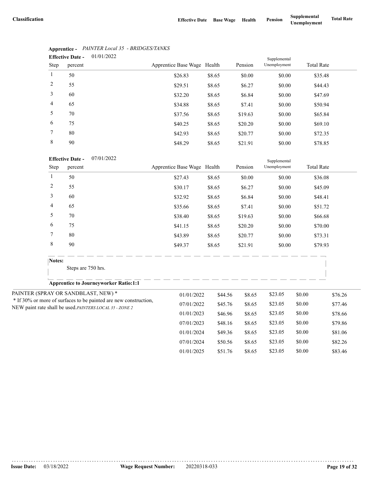|                | <b>Effective Date -</b> | 01/01/2022 |                             |        |         | Supplemental |                   |
|----------------|-------------------------|------------|-----------------------------|--------|---------|--------------|-------------------|
| Step           | percent                 |            | Apprentice Base Wage Health |        | Pension | Unemployment | <b>Total Rate</b> |
| $\mathbf{1}$   | 50                      |            | \$26.83                     | \$8.65 | \$0.00  | \$0.00       | \$35.48           |
| 2              | 55                      |            | \$29.51                     | \$8.65 | \$6.27  | \$0.00       | \$44.43           |
| 3              | 60                      |            | \$32.20                     | \$8.65 | \$6.84  | \$0.00       | \$47.69           |
| $\overline{4}$ | 65                      |            | \$34.88                     | \$8.65 | \$7.41  | \$0.00       | \$50.94           |
| 5              | 70                      |            | \$37.56                     | \$8.65 | \$19.63 | \$0.00       | \$65.84           |
| 6              | 75                      |            | \$40.25                     | \$8.65 | \$20.20 | \$0.00       | \$69.10           |
| 7              | 80                      |            | \$42.93                     | \$8.65 | \$20.77 | \$0.00       | \$72.35           |
| 8              | 90                      |            | \$48.29                     | \$8.65 | \$21.91 | \$0.00       | \$78.85           |

#### **Apprentice -** *PAINTER Local 35 - BRIDGES/TANKS*

|                | <b>Effective Date -</b><br>07/01/2022                                                                                        |                             |         |         | Supplemental |        |                   |
|----------------|------------------------------------------------------------------------------------------------------------------------------|-----------------------------|---------|---------|--------------|--------|-------------------|
| Step           | percent                                                                                                                      | Apprentice Base Wage Health |         | Pension | Unemployment |        | <b>Total Rate</b> |
| $\mathbf{1}$   | 50                                                                                                                           | \$27.43                     | \$8.65  | \$0.00  | \$0.00       |        | \$36.08           |
| $\overline{c}$ | 55                                                                                                                           | \$30.17                     | \$8.65  | \$6.27  | \$0.00       |        | \$45.09           |
| 3              | 60                                                                                                                           | \$32.92                     | \$8.65  | \$6.84  | \$0.00       |        | \$48.41           |
| 4              | 65                                                                                                                           | \$35.66                     | \$8.65  | \$7.41  | \$0.00       |        | \$51.72           |
| 5              | 70                                                                                                                           | \$38.40                     | \$8.65  | \$19.63 | \$0.00       |        | \$66.68           |
| 6              | 75                                                                                                                           | \$41.15                     | \$8.65  | \$20.20 | \$0.00       |        | \$70.00           |
| 7              | 80                                                                                                                           | \$43.89                     | \$8.65  | \$20.77 | \$0.00       |        | \$73.31           |
| 8              | 90                                                                                                                           | \$49.37                     | \$8.65  | \$21.91 | \$0.00       |        | \$79.93           |
| Notes:         |                                                                                                                              |                             |         |         |              |        |                   |
|                | Steps are 750 hrs.                                                                                                           |                             |         |         |              |        |                   |
|                | <b>Apprentice to Journeyworker Ratio:1:1</b>                                                                                 |                             |         |         |              |        |                   |
|                | PAINTER (SPRAY OR SANDBLAST, NEW) *                                                                                          | 01/01/2022                  | \$44.56 | \$8.65  | \$23.05      | \$0.00 | \$76.26           |
|                | * If 30% or more of surfaces to be painted are new construction,<br>NEW paint rate shall be used. PAINTERS LOCAL 35 - ZONE 2 | 07/01/2022                  | \$45.76 | \$8.65  | \$23.05      | \$0.00 | \$77.46           |
|                |                                                                                                                              | 01/01/2023                  | \$46.96 | \$8.65  | \$23.05      | \$0.00 | \$78.66           |
|                |                                                                                                                              | 07/01/2023                  | \$48.16 | \$8.65  | \$23.05      | \$0.00 | \$79.86           |
|                |                                                                                                                              | 01/01/2024                  | \$49.36 | \$8.65  | \$23.05      | \$0.00 | \$81.06           |
|                |                                                                                                                              | 07/01/2024                  | \$50.56 | \$8.65  | \$23.05      | \$0.00 | \$82.26           |
|                |                                                                                                                              | 01/01/2025                  | \$51.76 | \$8.65  | \$23.05      | \$0.00 | \$83.46           |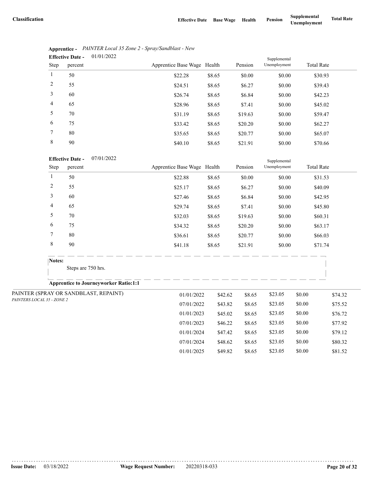07/01/2024 \$48.62 \$8.65 \$23.05 \$0.00 \$80.32 01/01/2025 \$49.82 \$8.65 \$23.05 \$0.00 \$81.52

|                | 01/01/2022<br><b>Effective Date -</b> |                             |        |         | Supplemental |                   |  |
|----------------|---------------------------------------|-----------------------------|--------|---------|--------------|-------------------|--|
| Step           | percent                               | Apprentice Base Wage Health |        | Pension | Unemployment | <b>Total Rate</b> |  |
| 1              | 50                                    | \$22.28                     | \$8.65 | \$0.00  | \$0.00       | \$30.93           |  |
| 2              | 55                                    | \$24.51                     | \$8.65 | \$6.27  | \$0.00       | \$39.43           |  |
| 3              | 60                                    | \$26.74                     | \$8.65 | \$6.84  | \$0.00       | \$42.23           |  |
| $\overline{4}$ | 65                                    | \$28.96                     | \$8.65 | \$7.41  | \$0.00       | \$45.02           |  |
| 5              | 70                                    | \$31.19                     | \$8.65 | \$19.63 | \$0.00       | \$59.47           |  |
| 6              | 75                                    | \$33.42                     | \$8.65 | \$20.20 | \$0.00       | \$62.27           |  |
| 7              | 80                                    | \$35.65                     | \$8.65 | \$20.77 | \$0.00       | \$65.07           |  |
| 8              | 90                                    | \$40.10                     | \$8.65 | \$21.91 | \$0.00       | \$70.66           |  |

| Apprentice - PAINTER Local 35 Zone 2 - Spray/Sandblast - New |
|--------------------------------------------------------------|
| $\mathbf{Fff}_{\text{active}}$ Data $01/01/2022$             |

#### 07/01/2022 **Effective Date -**

| <b>Effective Date -</b>    | 07/01/2022                                   |  |                             |         | Supplemental |              |        |                   |
|----------------------------|----------------------------------------------|--|-----------------------------|---------|--------------|--------------|--------|-------------------|
| Step                       | percent                                      |  | Apprentice Base Wage Health |         | Pension      | Unemployment |        | <b>Total Rate</b> |
| 1                          | 50                                           |  | \$22.88                     | \$8.65  | \$0.00       | \$0.00       |        | \$31.53           |
| 2                          | 55                                           |  | \$25.17                     | \$8.65  | \$6.27       | \$0.00       |        | \$40.09           |
| 3                          | 60                                           |  | \$27.46                     | \$8.65  | \$6.84       | \$0.00       |        | \$42.95           |
| 4                          | 65                                           |  | \$29.74                     | \$8.65  | \$7.41       | \$0.00       |        | \$45.80           |
| 5                          | 70                                           |  | \$32.03                     | \$8.65  | \$19.63      | \$0.00       |        | \$60.31           |
| 6                          | 75                                           |  | \$34.32                     | \$8.65  | \$20.20      | \$0.00       |        | \$63.17           |
| 7                          | 80                                           |  | \$36.61                     | \$8.65  | \$20.77      | \$0.00       |        | \$66.03           |
| $\,$ 8 $\,$                | 90                                           |  | \$41.18                     | \$8.65  | \$21.91      | \$0.00       |        | \$71.74           |
|                            | Notes:                                       |  |                             |         |              |              |        |                   |
|                            | Steps are 750 hrs.                           |  |                             |         |              |              |        |                   |
|                            | <b>Apprentice to Journeyworker Ratio:1:1</b> |  |                             |         |              |              |        |                   |
|                            | PAINTER (SPRAY OR SANDBLAST, REPAINT)        |  | 01/01/2022                  | \$42.62 | \$8.65       | \$23.05      | \$0.00 | \$74.32           |
| PAINTERS LOCAL 35 - ZONE 2 |                                              |  | 07/01/2022                  | \$43.82 | \$8.65       | \$23.05      | \$0.00 | \$75.52           |
|                            |                                              |  | 01/01/2023                  | \$45.02 | \$8.65       | \$23.05      | \$0.00 | \$76.72           |
|                            |                                              |  | 07/01/2023                  | \$46.22 | \$8.65       | \$23.05      | \$0.00 | \$77.92           |
|                            |                                              |  | 01/01/2024                  | \$47.42 | \$8.65       | \$23.05      | \$0.00 | \$79.12           |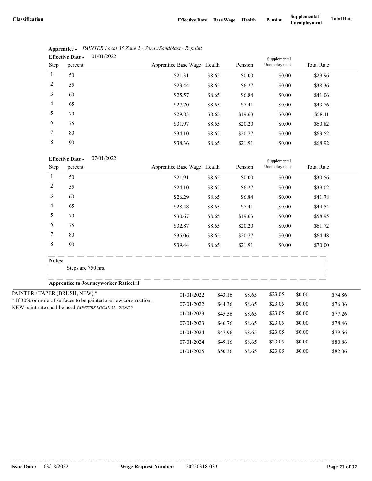|                | 01/01/2022<br><b>Effective Date -</b> |                             |        |         | Supplemental |                   |
|----------------|---------------------------------------|-----------------------------|--------|---------|--------------|-------------------|
| Step           | percent                               | Apprentice Base Wage Health |        | Pension | Unemployment | <b>Total Rate</b> |
| 1              | 50                                    | \$21.31                     | \$8.65 | \$0.00  | \$0.00       | \$29.96           |
| 2              | 55                                    | \$23.44                     | \$8.65 | \$6.27  | \$0.00       | \$38.36           |
| 3              | 60                                    | \$25.57                     | \$8.65 | \$6.84  | \$0.00       | \$41.06           |
| $\overline{4}$ | 65                                    | \$27.70                     | \$8.65 | \$7.41  | \$0.00       | \$43.76           |
| 5              | 70                                    | \$29.83                     | \$8.65 | \$19.63 | \$0.00       | \$58.11           |
| 6              | 75                                    | \$31.97                     | \$8.65 | \$20.20 | \$0.00       | \$60.82           |
| 7              | 80                                    | \$34.10                     | \$8.65 | \$20.77 | \$0.00       | \$63.52           |
| 8              | 90                                    | \$38.36                     | \$8.65 | \$21.91 | \$0.00       | \$68.92           |

|                               | Apprentice - PAINTER Local 35 Zone 2 - Spray/Sandblast - Repaint |
|-------------------------------|------------------------------------------------------------------|
| Effective Date $-$ 01/01/2022 |                                                                  |

| 07/01/2022 |
|------------|
|            |

|                | <b>Effective Date -</b><br>07/01/2022                            |                             |         |         |              |        |                   |  |
|----------------|------------------------------------------------------------------|-----------------------------|---------|---------|--------------|--------|-------------------|--|
| Step           | percent                                                          | Apprentice Base Wage Health |         | Pension | Unemployment |        | <b>Total Rate</b> |  |
| $\mathbf{1}$   | 50                                                               | \$21.91                     | \$8.65  | \$0.00  | \$0.00       |        | \$30.56           |  |
| $\overline{c}$ | 55                                                               | \$24.10                     | \$8.65  | \$6.27  | \$0.00       |        | \$39.02           |  |
| 3              | 60                                                               | \$26.29                     | \$8.65  | \$6.84  | \$0.00       |        | \$41.78           |  |
| 4              | 65                                                               | \$28.48                     | \$8.65  | \$7.41  | \$0.00       |        | \$44.54           |  |
| 5              | 70                                                               | \$30.67                     | \$8.65  | \$19.63 | \$0.00       |        | \$58.95           |  |
| 6              | 75                                                               | \$32.87                     | \$8.65  | \$20.20 | \$0.00       |        | \$61.72           |  |
| 7              | 80                                                               | \$35.06                     | \$8.65  | \$20.77 | \$0.00       |        | \$64.48           |  |
| $\,$ 8 $\,$    | 90                                                               | \$39.44                     | \$8.65  | \$21.91 | \$0.00       |        | \$70.00           |  |
| Notes:         |                                                                  |                             |         |         |              |        |                   |  |
|                | Steps are 750 hrs.                                               |                             |         |         |              |        |                   |  |
|                | <b>Apprentice to Journeyworker Ratio:1:1</b>                     |                             |         |         |              |        |                   |  |
|                | PAINTER / TAPER (BRUSH, NEW) *                                   | 01/01/2022                  | \$43.16 | \$8.65  | \$23.05      | \$0.00 | \$74.86           |  |
|                | * If 30% or more of surfaces to be painted are new construction, | 07/01/2022                  | \$44.36 | \$8.65  | \$23.05      | \$0.00 | \$76.06           |  |
|                | NEW paint rate shall be used.PAINTERS LOCAL 35 - ZONE 2          | 01/01/2023                  | \$45.56 | \$8.65  | \$23.05      | \$0.00 | \$77.26           |  |
|                |                                                                  | 07/01/2023                  | \$46.76 | \$8.65  | \$23.05      | \$0.00 | \$78.46           |  |
|                |                                                                  | 01/01/2024                  | \$47.96 | \$8.65  | \$23.05      | \$0.00 | \$79.66           |  |
|                |                                                                  | 07/01/2024                  | \$49.16 | \$8.65  | \$23.05      | \$0.00 | \$80.86           |  |
|                |                                                                  | 01/01/2025                  | \$50.36 | \$8.65  | \$23.05      | \$0.00 | \$82.06           |  |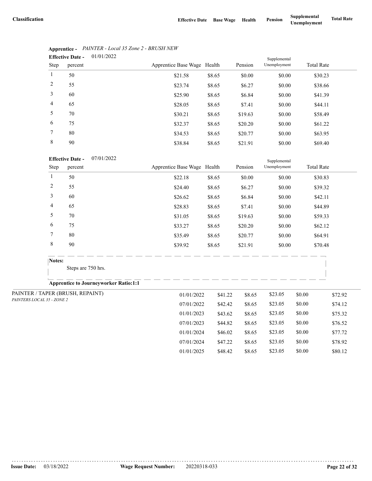07/01/2024 \$47.22 \$8.65 \$23.05 \$0.00 \$78.92 01/01/2025 \$48.42 \$8.65 \$23.05 \$0.00 \$80.12

|                | 01/01/2022<br><b>Effective Date -</b> |                             |        |         |              |                   |  |
|----------------|---------------------------------------|-----------------------------|--------|---------|--------------|-------------------|--|
| Step           | percent                               | Apprentice Base Wage Health |        | Pension | Unemployment | <b>Total Rate</b> |  |
| 1              | 50                                    | \$21.58                     | \$8.65 | \$0.00  | \$0.00       | \$30.23           |  |
| 2              | 55                                    | \$23.74                     | \$8.65 | \$6.27  | \$0.00       | \$38.66           |  |
| 3              | 60                                    | \$25.90                     | \$8.65 | \$6.84  | \$0.00       | \$41.39           |  |
| $\overline{4}$ | 65                                    | \$28.05                     | \$8.65 | \$7.41  | \$0.00       | \$44.11           |  |
| 5              | 70                                    | \$30.21                     | \$8.65 | \$19.63 | \$0.00       | \$58.49           |  |
| 6              | 75                                    | \$32.37                     | \$8.65 | \$20.20 | \$0.00       | \$61.22           |  |
| 7              | 80                                    | \$34.53                     | \$8.65 | \$20.77 | \$0.00       | \$63.95           |  |
| 8              | 90                                    | \$38.84                     | \$8.65 | \$21.91 | \$0.00       | \$69.40           |  |

### **Apprentice -** *PAINTER - Local 35 Zone 2 - BRUSH NEW*

#### 07/01/2022 **Effective Date -**

|                            |                | <b>Effective Date -</b><br>07/01/2022        |                             |         |         |              |        |                   |
|----------------------------|----------------|----------------------------------------------|-----------------------------|---------|---------|--------------|--------|-------------------|
|                            | Step           | percent                                      | Apprentice Base Wage Health |         | Pension | Unemployment |        | <b>Total Rate</b> |
|                            | $\mathbf{1}$   | 50                                           | \$22.18                     | \$8.65  | \$0.00  | \$0.00       |        | \$30.83           |
|                            | $\overline{c}$ | 55                                           | \$24.40                     | \$8.65  | \$6.27  | \$0.00       |        | \$39.32           |
|                            | 3              | 60                                           | \$26.62                     | \$8.65  | \$6.84  | \$0.00       |        | \$42.11           |
|                            | 4              | 65                                           | \$28.83                     | \$8.65  | \$7.41  | \$0.00       |        | \$44.89           |
|                            | 5              | 70                                           | \$31.05                     | \$8.65  | \$19.63 | \$0.00       |        | \$59.33           |
|                            | 6              | 75                                           | \$33.27                     | \$8.65  | \$20.20 | \$0.00       |        | \$62.12           |
|                            | 7              | 80                                           | \$35.49                     | \$8.65  | \$20.77 | \$0.00       |        | \$64.91           |
|                            | 8              | 90                                           | \$39.92                     | \$8.65  | \$21.91 | \$0.00       |        | \$70.48           |
|                            | Notes:         |                                              |                             |         |         |              |        |                   |
|                            |                | Steps are 750 hrs.                           |                             |         |         |              |        |                   |
|                            |                | <b>Apprentice to Journeyworker Ratio:1:1</b> |                             |         |         |              |        |                   |
|                            |                | PAINTER / TAPER (BRUSH, REPAINT)             | 01/01/2022                  | \$41.22 | \$8.65  | \$23.05      | \$0.00 | \$72.92           |
| PAINTERS LOCAL 35 - ZONE 2 |                |                                              | 07/01/2022                  | \$42.42 | \$8.65  | \$23.05      | \$0.00 | \$74.12           |
|                            |                |                                              | 01/01/2023                  | \$43.62 | \$8.65  | \$23.05      | \$0.00 | \$75.32           |
|                            |                |                                              | 07/01/2023                  | \$44.82 | \$8.65  | \$23.05      | \$0.00 | \$76.52           |
|                            |                |                                              | 01/01/2024                  | \$46.02 | \$8.65  | \$23.05      | \$0.00 | \$77.72           |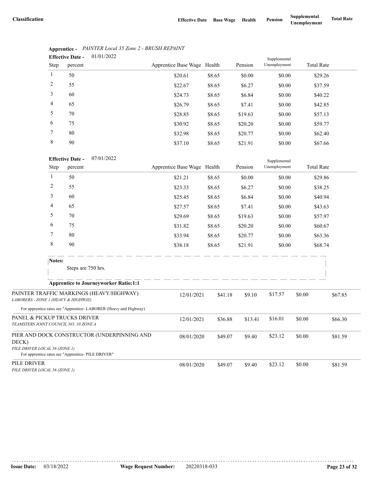Supplemental

|                | 01/01/2022<br><b>Effective Date -</b> |                             |        |         | Supplemental |                   |
|----------------|---------------------------------------|-----------------------------|--------|---------|--------------|-------------------|
| Step           | percent                               | Apprentice Base Wage Health |        | Pension | Unemployment | <b>Total Rate</b> |
| $\mathbf{1}$   | 50                                    | \$20.61                     | \$8.65 | \$0.00  | \$0.00       | \$29.26           |
| 2              | 55                                    | \$22.67                     | \$8.65 | \$6.27  | \$0.00       | \$37.59           |
| 3              | 60                                    | \$24.73                     | \$8.65 | \$6.84  | \$0.00       | \$40.22           |
| $\overline{4}$ | 65                                    | \$26.79                     | \$8.65 | \$7.41  | \$0.00       | \$42.85           |
| 5              | 70                                    | \$28.85                     | \$8.65 | \$19.63 | \$0.00       | \$57.13           |
| 6              | 75                                    | \$30.92                     | \$8.65 | \$20.20 | \$0.00       | \$59.77           |
| 7              | 80                                    | \$32.98                     | \$8.65 | \$20.77 | \$0.00       | \$62.40           |
| 8              | 90                                    | \$37.10                     | \$8.65 | \$21.91 | \$0.00       | \$67.66           |

### **Apprentice -** *PAINTER Local 35 Zone 2 - BRUSH REPAINT*

| <b>Effective Date -</b> | 07/01/2022 |
|-------------------------|------------|
|                         |            |

|                                                                       | Step<br>percent |                                                                                                   | Apprentice Base Wage Health |         | Pension | Unemployment |        | <b>Total Rate</b> |  |
|-----------------------------------------------------------------------|-----------------|---------------------------------------------------------------------------------------------------|-----------------------------|---------|---------|--------------|--------|-------------------|--|
|                                                                       | 1               | 50                                                                                                | \$21.21                     | \$8.65  | \$0.00  | \$0.00       |        | \$29.86           |  |
|                                                                       | 2               | 55                                                                                                | \$23.33                     | \$8.65  | \$6.27  | \$0.00       |        | \$38.25           |  |
|                                                                       | 3               | 60                                                                                                | \$25.45                     | \$8.65  | \$6.84  | \$0.00       |        | \$40.94           |  |
|                                                                       | 4               | 65                                                                                                | \$27.57                     | \$8.65  | \$7.41  | \$0.00       |        | \$43.63           |  |
|                                                                       | 5               | 70                                                                                                | \$29.69                     | \$8.65  | \$19.63 | \$0.00       |        | \$57.97           |  |
|                                                                       | 6               | 75                                                                                                | \$31.82                     | \$8.65  | \$20.20 | \$0.00       |        | \$60.67           |  |
|                                                                       | 7               | 80                                                                                                | \$33.94                     | \$8.65  | \$20.77 | \$0.00       |        | \$63.36           |  |
|                                                                       | 8               | 90                                                                                                | \$38.18                     | \$8.65  | \$21.91 | \$0.00       |        | \$68.74           |  |
|                                                                       | Notes:          | Steps are 750 hrs.                                                                                |                             |         |         |              |        |                   |  |
|                                                                       |                 | <b>Apprentice to Journeyworker Ratio:1:1</b>                                                      |                             |         |         |              |        |                   |  |
| LABORERS - ZONE 1 (HEAVY & HIGHWAY)                                   |                 | PAINTER TRAFFIC MARKINGS (HEAVY/HIGHWAY)                                                          | 12/01/2021                  | \$41.18 | \$9.10  | \$17.57      | \$0.00 | \$67.85           |  |
|                                                                       |                 | For apprentice rates see "Apprentice-LABORER (Heavy and Highway)                                  |                             |         |         |              |        |                   |  |
| PANEL & PICKUP TRUCKS DRIVER<br>TEAMSTERS JOINT COUNCIL NO. 10 ZONE A |                 |                                                                                                   | 12/01/2021                  | \$36.88 | \$13.41 | \$16.01      | \$0.00 | \$66.30           |  |
| DECK)<br>PILE DRIVER LOCAL 56 (ZONE 1)                                |                 | PIER AND DOCK CONSTRUCTOR (UNDERPINNING AND<br>For apprentice rates see "Apprentice- PILE DRIVER" | 08/01/2020                  | \$49.07 | \$9.40  | \$23.12      | \$0.00 | \$81.59           |  |
| PILE DRIVER<br>PILE DRIVER LOCAL 56 (ZONE 1)                          |                 |                                                                                                   | 08/01/2020                  | \$49.07 | \$9.40  | \$23.12      | \$0.00 | \$81.59           |  |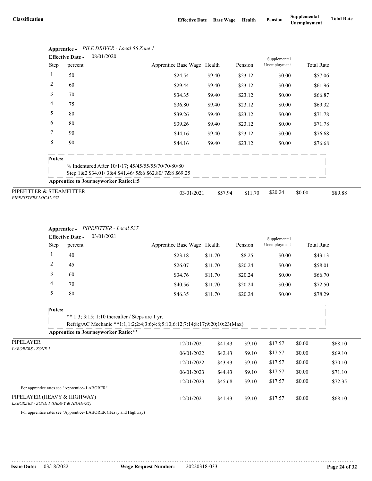|                                                   | <b>Effective Date -</b> | 08/01/2020                                           |                             |         |         | Supplemental |                   |         |  |
|---------------------------------------------------|-------------------------|------------------------------------------------------|-----------------------------|---------|---------|--------------|-------------------|---------|--|
|                                                   | Step<br>percent         |                                                      | Apprentice Base Wage Health |         | Pension | Unemployment | <b>Total Rate</b> |         |  |
| 1                                                 | 50                      |                                                      | \$24.54                     | \$9.40  | \$23.12 | \$0.00       | \$57.06           |         |  |
| $\overline{c}$                                    | 60                      |                                                      | \$29.44                     | \$9.40  | \$23.12 | \$0.00       | \$61.96           |         |  |
| 3                                                 | 70                      |                                                      | \$34.35                     | \$9.40  | \$23.12 | \$0.00       | \$66.87           |         |  |
| 4                                                 | 75                      |                                                      | \$36.80                     | \$9.40  | \$23.12 | \$0.00       | \$69.32           |         |  |
| 5                                                 | 80                      |                                                      | \$39.26                     | \$9.40  | \$23.12 | \$0.00       | \$71.78           |         |  |
| 6                                                 | 80                      |                                                      | \$39.26                     | \$9.40  | \$23.12 | \$0.00       | \$71.78           |         |  |
| 7                                                 | 90                      |                                                      | \$44.16                     | \$9.40  | \$23.12 | \$0.00       | \$76.68           |         |  |
| 8                                                 | 90                      |                                                      | \$44.16                     | \$9.40  | \$23.12 | \$0.00       | \$76.68           |         |  |
|                                                   | Notes:                  |                                                      |                             |         |         |              |                   |         |  |
|                                                   |                         | % Indentured After 10/1/17; 45/45/55/55/70/70/80/80  |                             |         |         |              |                   |         |  |
|                                                   |                         | Step 1&2 \$34.01/3&4 \$41.46/5&6 \$62.80/7&8 \$69.25 |                             |         |         |              |                   |         |  |
|                                                   |                         | <b>Apprentice to Journeyworker Ratio:1:5</b>         |                             |         |         |              |                   |         |  |
| PIPEFITTER & STEAMFITTER<br>PIPEFITTERS LOCAL 537 |                         |                                                      | 03/01/2021                  | \$57.94 | \$11.70 | \$20.24      | \$0.00            | \$89.88 |  |

## **Apprentice -** *PILE DRIVER - Local 56 Zone 1*

#### **Apprentice -** *PIPEFITTER - Local 537*

|                                                                    | 03/01/2021<br><b>Effective Date -</b> |                                               |                                                                                                                                 |                             |         |         | Supplemental |                   |         |
|--------------------------------------------------------------------|---------------------------------------|-----------------------------------------------|---------------------------------------------------------------------------------------------------------------------------------|-----------------------------|---------|---------|--------------|-------------------|---------|
|                                                                    | Step                                  | percent                                       |                                                                                                                                 | Apprentice Base Wage Health |         | Pension | Unemployment | <b>Total Rate</b> |         |
|                                                                    | 1                                     | 40                                            |                                                                                                                                 | \$23.18                     | \$11.70 | \$8.25  | \$0.00       | \$43.13           |         |
|                                                                    | $\overline{c}$                        | 45                                            |                                                                                                                                 | \$26.07                     | \$11.70 | \$20.24 | \$0.00       | \$58.01           |         |
|                                                                    | 3                                     | 60                                            |                                                                                                                                 | \$34.76                     | \$11.70 | \$20.24 | \$0.00       | \$66.70           |         |
|                                                                    | 4                                     | 70                                            |                                                                                                                                 | \$40.56                     | \$11.70 | \$20.24 | \$0.00       | \$72.50           |         |
|                                                                    | 5                                     | 80                                            |                                                                                                                                 | \$46.35                     | \$11.70 | \$20.24 | \$0.00       | \$78.29           |         |
|                                                                    | Notes:                                |                                               | ** 1:3; 3:15; 1:10 thereafter / Steps are 1 yr.<br>Refrig/AC Mechanic **1:1;1:2;2:4;3:6;4:8;5:10;6:12;7:14;8:17;9:20;10:23(Max) |                             |         |         |              |                   |         |
|                                                                    |                                       |                                               | <b>Apprentice to Journeyworker Ratio:**</b>                                                                                     |                             |         |         |              |                   |         |
| PIPELAYER                                                          |                                       |                                               |                                                                                                                                 | 12/01/2021                  | \$41.43 | \$9.10  | \$17.57      | \$0.00            | \$68.10 |
| <b>LABORERS - ZONE 1</b>                                           |                                       |                                               |                                                                                                                                 | 06/01/2022                  | \$42.43 | \$9.10  | \$17.57      | \$0.00            | \$69.10 |
|                                                                    |                                       |                                               |                                                                                                                                 | 12/01/2022                  | \$43.43 | \$9.10  | \$17.57      | \$0.00            | \$70.10 |
|                                                                    |                                       |                                               |                                                                                                                                 | 06/01/2023                  | \$44.43 | \$9.10  | \$17.57      | \$0.00            | \$71.10 |
|                                                                    |                                       |                                               |                                                                                                                                 | 12/01/2023                  | \$45.68 | \$9.10  | \$17.57      | \$0.00            | \$72.35 |
|                                                                    |                                       | For apprentice rates see "Apprentice-LABORER" |                                                                                                                                 |                             |         |         |              |                   |         |
| PIPELAYER (HEAVY & HIGHWAY)<br>LABORERS - ZONE 1 (HEAVY & HIGHWAY) |                                       |                                               |                                                                                                                                 | 12/01/2021                  | \$41.43 | \$9.10  | \$17.57      | \$0.00            | \$68.10 |

For apprentice rates see "Apprentice- LABORER (Heavy and Highway)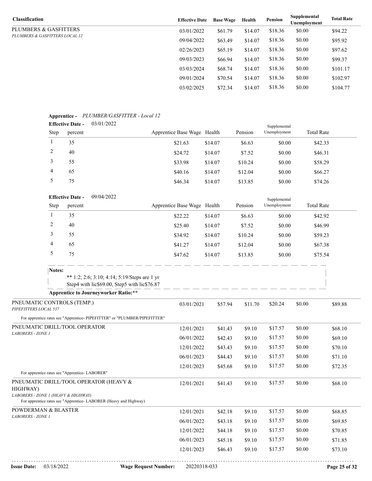| <b>Classification</b>          | <b>Effective Date</b> | <b>Base Wage</b> | Health  | Pension | Supplemental<br>Unemployment | <b>Total Rate</b> |
|--------------------------------|-----------------------|------------------|---------|---------|------------------------------|-------------------|
| PLUMBERS & GASFITTERS          | 03/01/2022            | \$61.79          | \$14.07 | \$18.36 | \$0.00                       | \$94.22           |
| PLUMBERS & GASFITTERS LOCAL 12 | 09/04/2022            | \$63.49          | \$14.07 | \$18.36 | \$0.00                       | \$95.92           |
|                                | 02/26/2023            | \$65.19          | \$14.07 | \$18.36 | \$0.00                       | \$97.62           |
|                                | 09/03/2023            | \$66.94          | \$14.07 | \$18.36 | \$0.00                       | \$99.37           |
|                                | 03/03/2024            | \$68.74          | \$14.07 | \$18.36 | \$0.00                       | \$101.17          |
|                                | 09/01/2024            | \$70.54          | \$14.07 | \$18.36 | \$0.00                       | \$102.97          |
|                                | 03/02/2025            | \$72.34          | \$14.07 | \$18.36 | \$0.00                       | \$104.77          |

#### **Apprentice -** *PLUMBER/GASFITTER - Local 12*

| . .<br><b>Effective Date -</b> |         | 03/01/2022 |                             |         |         |              |                   |  |  |
|--------------------------------|---------|------------|-----------------------------|---------|---------|--------------|-------------------|--|--|
| <b>Step</b>                    | percent |            | Apprentice Base Wage Health |         | Pension | Unemployment | <b>Total Rate</b> |  |  |
|                                | 35      |            | \$21.63                     | \$14.07 | \$6.63  | \$0.00       | \$42.33           |  |  |
|                                | 40      |            | \$24.72                     | \$14.07 | \$7.52  | \$0.00       | \$46.31           |  |  |
|                                | 55      |            | \$33.98                     | \$14.07 | \$10.24 | \$0.00       | \$58.29           |  |  |
| 4                              | 65      |            | \$40.16                     | \$14.07 | \$12.04 | \$0.00       | \$66.27           |  |  |
|                                | 75      |            | \$46.34                     | \$14.07 | \$13.85 | \$0.00       | \$74.26           |  |  |

|                                                     |              | 09/04/2022<br><b>Effective Date -</b><br>Supplemental                                                       |            |                             |         |         |         |              |        |                   |         |
|-----------------------------------------------------|--------------|-------------------------------------------------------------------------------------------------------------|------------|-----------------------------|---------|---------|---------|--------------|--------|-------------------|---------|
|                                                     | Step         | percent                                                                                                     |            | Apprentice Base Wage Health |         |         | Pension | Unemployment |        | <b>Total Rate</b> |         |
|                                                     | $\mathbf{1}$ | 35                                                                                                          |            | \$22.22                     | \$14.07 |         | \$6.63  | \$0.00       |        | \$42.92           |         |
|                                                     | 2            | 40                                                                                                          |            | \$25.40                     | \$14.07 |         | \$7.52  | \$0.00       |        | \$46.99           |         |
|                                                     | 3            | 55                                                                                                          |            | \$34.92                     | \$14.07 |         | \$10.24 | \$0.00       |        | \$59.23           |         |
|                                                     | 4            | 65                                                                                                          |            | \$41.27                     | \$14.07 |         | \$12.04 | \$0.00       |        | \$67.38           |         |
|                                                     | 5            | 75                                                                                                          |            | \$47.62                     | \$14.07 |         | \$13.85 | \$0.00       |        | \$75.54           |         |
|                                                     | Notes:       |                                                                                                             |            |                             |         |         |         |              |        |                   |         |
|                                                     |              | ** 1:2; 2:6; 3:10; 4:14; 5:19/Steps are 1 yr<br>Step4 with lic\$69.00, Step5 with lic\$76.87                |            |                             |         |         |         |              |        |                   |         |
|                                                     |              | <b>Apprentice to Journeyworker Ratio:**</b>                                                                 |            |                             |         |         |         |              |        |                   |         |
| PNEUMATIC CONTROLS (TEMP.)<br>PIPEFITTERS LOCAL 537 |              |                                                                                                             | 03/01/2021 |                             | \$57.94 | \$11.70 | \$20.24 | \$0.00       |        | \$89.88           |         |
|                                                     |              | For apprentice rates see "Apprentice- PIPEFITTER" or "PLUMBER/PIPEFITTER"                                   |            |                             |         |         |         |              |        |                   |         |
|                                                     |              | PNEUMATIC DRILL/TOOL OPERATOR                                                                               |            | 12/01/2021                  |         | \$41.43 | \$9.10  | \$17.57      | \$0.00 |                   | \$68.10 |
| LABORERS - ZONE 1                                   |              |                                                                                                             |            | 06/01/2022                  |         | \$42.43 | \$9.10  | \$17.57      | \$0.00 |                   | \$69.10 |
|                                                     |              |                                                                                                             |            | 12/01/2022                  |         | \$43.43 | \$9.10  | \$17.57      | \$0.00 |                   | \$70.10 |
|                                                     |              |                                                                                                             |            | 06/01/2023                  |         | \$44.43 | \$9.10  | \$17.57      | \$0.00 |                   | \$71.10 |
|                                                     |              | For apprentice rates see "Apprentice-LABORER"                                                               |            | 12/01/2023                  |         | \$45.68 | \$9.10  | \$17.57      | \$0.00 |                   | \$72.35 |
| HIGHWAY)<br>LABORERS - ZONE 1 (HEAVY & HIGHWAY)     |              | PNEUMATIC DRILL/TOOL OPERATOR (HEAVY &<br>For apprentice rates see "Apprentice- LABORER (Heavy and Highway) |            | 12/01/2021                  |         | \$41.43 | \$9.10  | \$17.57      | \$0.00 |                   | \$68.10 |
| POWDERMAN & BLASTER                                 |              |                                                                                                             |            | 12/01/2021                  |         | \$42.18 | \$9.10  | \$17.57      | \$0.00 |                   | \$68.85 |
| <b>LABORERS - ZONE 1</b>                            |              |                                                                                                             |            | 06/01/2022                  |         | \$43.18 | \$9.10  | \$17.57      | \$0.00 |                   | \$69.85 |
|                                                     |              |                                                                                                             |            | 12/01/2022                  |         | \$44.18 | \$9.10  | \$17.57      | \$0.00 |                   | \$70.85 |
|                                                     |              |                                                                                                             |            | 06/01/2023                  |         | \$45.18 | \$9.10  | \$17.57      | \$0.00 |                   | \$71.85 |
|                                                     |              |                                                                                                             |            | 12/01/2023                  |         | \$46.43 | \$9.10  | \$17.57      | \$0.00 |                   | \$73.10 |
|                                                     |              |                                                                                                             |            |                             |         |         |         |              |        |                   |         |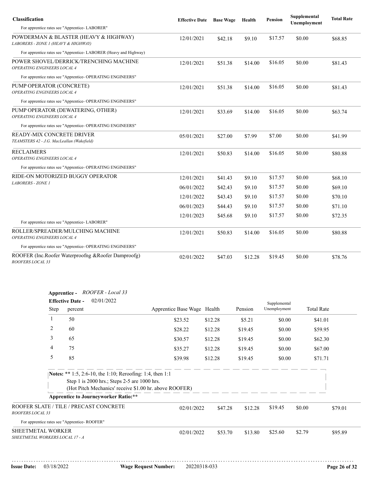| <b>Classification</b>                                                        | <b>Effective Date</b> | <b>Base Wage</b> | Health  | Pension | Supplemental<br>Unemployment | <b>Total Rate</b> |
|------------------------------------------------------------------------------|-----------------------|------------------|---------|---------|------------------------------|-------------------|
| For apprentice rates see "Apprentice-LABORER"                                |                       |                  |         |         |                              |                   |
| POWDERMAN & BLASTER (HEAVY & HIGHWAY)<br>LABORERS - ZONE 1 (HEAVY & HIGHWAY) | 12/01/2021            | \$42.18          | \$9.10  | \$17.57 | \$0.00                       | \$68.85           |
| For apprentice rates see "Apprentice-LABORER (Heavy and Highway)             |                       |                  |         |         |                              |                   |
| POWER SHOVEL/DERRICK/TRENCHING MACHINE<br>OPERATING ENGINEERS LOCAL 4        | 12/01/2021            | \$51.38          | \$14.00 | \$16.05 | \$0.00                       | \$81.43           |
| For apprentice rates see "Apprentice- OPERATING ENGINEERS"                   |                       |                  |         |         |                              |                   |
| PUMP OPERATOR (CONCRETE)<br>OPERATING ENGINEERS LOCAL 4                      | 12/01/2021            | \$51.38          | \$14.00 | \$16.05 | \$0.00                       | \$81.43           |
| For apprentice rates see "Apprentice- OPERATING ENGINEERS"                   |                       |                  |         |         |                              |                   |
| PUMP OPERATOR (DEWATERING, OTHER)<br>OPERATING ENGINEERS LOCAL 4             | 12/01/2021            | \$33.69          | \$14.00 | \$16.05 | \$0.00                       | \$63.74           |
| For apprentice rates see "Apprentice- OPERATING ENGINEERS"                   |                       |                  |         |         |                              |                   |
| READY-MIX CONCRETE DRIVER<br>TEAMSTERS 42 - J.G. MacLeallan (Wakefield)      | 05/01/2021            | \$27.00          | \$7.99  | \$7.00  | \$0.00                       | \$41.99           |
| <b>RECLAIMERS</b><br>OPERATING ENGINEERS LOCAL 4                             | 12/01/2021            | \$50.83          | \$14.00 | \$16.05 | \$0.00                       | \$80.88           |
| For apprentice rates see "Apprentice- OPERATING ENGINEERS"                   |                       |                  |         |         |                              |                   |
| RIDE-ON MOTORIZED BUGGY OPERATOR                                             | 12/01/2021            | \$41.43          | \$9.10  | \$17.57 | \$0.00                       | \$68.10           |
| <b>LABORERS - ZONE 1</b>                                                     | 06/01/2022            | \$42.43          | \$9.10  | \$17.57 | \$0.00                       | \$69.10           |
|                                                                              | 12/01/2022            | \$43.43          | \$9.10  | \$17.57 | \$0.00                       | \$70.10           |
|                                                                              | 06/01/2023            | \$44.43          | \$9.10  | \$17.57 | \$0.00                       | \$71.10           |
|                                                                              | 12/01/2023            | \$45.68          | \$9.10  | \$17.57 | \$0.00                       | \$72.35           |
| For apprentice rates see "Apprentice-LABORER"                                |                       |                  |         |         |                              |                   |
| ROLLER/SPREADER/MULCHING MACHINE<br>OPERATING ENGINEERS LOCAL 4              | 12/01/2021            | \$50.83          | \$14.00 | \$16.05 | \$0.00                       | \$80.88           |
| For apprentice rates see "Apprentice- OPERATING ENGINEERS"                   |                       |                  |         |         |                              |                   |
| ROOFER (Inc.Roofer Waterproofng & Roofer Damproofg)<br>ROOFERS LOCAL 33      | 02/01/2022            | \$47.03          | \$12.28 | \$19.45 | \$0.00                       | \$78.76           |

| Apprentice -                                           | ROOFER - Local 33 |
|--------------------------------------------------------|-------------------|
| $\mathbf{E}$ of $\mathbf{E}$ $\mathbf{E}$ $\mathbf{E}$ | 02/01/2022        |

|                                                             | 02/01/2022<br><b>Effective Date -</b>                                                                     |                                                        |                   |         |              | Supplemental      |         |  |
|-------------------------------------------------------------|-----------------------------------------------------------------------------------------------------------|--------------------------------------------------------|-------------------|---------|--------------|-------------------|---------|--|
| Step                                                        | percent                                                                                                   | Apprentice Base Wage Health                            |                   | Pension | Unemployment | <b>Total Rate</b> |         |  |
|                                                             | 50                                                                                                        | \$23.52                                                | \$12.28<br>\$5.21 |         | \$0.00       | \$41.01           |         |  |
| 2                                                           | 60                                                                                                        | \$28.22                                                | \$12.28           | \$19.45 | \$0.00       | \$59.95           |         |  |
| 3                                                           | 65                                                                                                        | \$30.57                                                | \$12.28           | \$19.45 | \$0.00       | \$62.30           |         |  |
| 4                                                           | 75                                                                                                        | \$35.27                                                | \$12.28           | \$19.45 | \$0.00       | \$67.00           |         |  |
| 5                                                           | 85                                                                                                        | \$39.98                                                | \$12.28           | \$19.45 | \$0.00       | \$71.71           |         |  |
|                                                             | Notes: ** 1:5, 2:6-10, the 1:10; Reroofing: 1:4, then 1:1<br>Step 1 is 2000 hrs.; Steps 2-5 are 1000 hrs. | (Hot Pitch Mechanics' receive \$1.00 hr. above ROOFER) |                   |         |              |                   |         |  |
|                                                             | <b>Apprentice to Journeyworker Ratio:**</b>                                                               |                                                        |                   |         |              |                   |         |  |
| ROOFER SLATE / TILE / PRECAST CONCRETE<br>ROOFERS LOCAL 33  |                                                                                                           | 02/01/2022                                             | \$47.28           | \$12.28 | \$19.45      | \$0.00            | \$79.01 |  |
| For apprentice rates see "Apprentice-ROOFER"                |                                                                                                           |                                                        |                   |         |              |                   |         |  |
| <b>SHEETMETAL WORKER</b><br>SHEETMETAL WORKERS LOCAL 17 - A |                                                                                                           | 02/01/2022                                             | \$53.70           | \$13.80 | \$25.60      | \$2.79            | \$95.89 |  |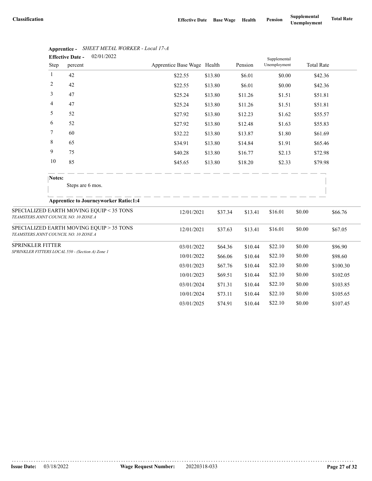|                                       |              | 02/01/2022<br><b>Effective Date -</b>            |                             |         |         | Supplemental |                   |          |
|---------------------------------------|--------------|--------------------------------------------------|-----------------------------|---------|---------|--------------|-------------------|----------|
|                                       | Step         | percent                                          | Apprentice Base Wage Health |         | Pension | Unemployment | <b>Total Rate</b> |          |
|                                       | $\mathbf{1}$ | 42                                               | \$22.55                     | \$13.80 | \$6.01  | \$0.00       | \$42.36           |          |
|                                       | 2            | 42                                               | \$22.55                     | \$13.80 | \$6.01  | \$0.00       | \$42.36           |          |
|                                       | 3            | 47                                               | \$25.24                     | \$13.80 | \$11.26 | \$1.51       | \$51.81           |          |
|                                       | 4            | 47                                               | \$25.24                     | \$13.80 | \$11.26 | \$1.51       | \$51.81           |          |
|                                       | 5            | 52                                               | \$27.92                     | \$13.80 | \$12.23 | \$1.62       | \$55.57           |          |
|                                       | 6            | 52                                               | \$27.92                     | \$13.80 | \$12.48 | \$1.63       | \$55.83           |          |
|                                       | 7            | 60                                               | \$32.22                     | \$13.80 | \$13.87 | \$1.80       | \$61.69           |          |
|                                       | 8            | 65                                               | \$34.91                     | \$13.80 | \$14.84 | \$1.91       | \$65.46           |          |
|                                       | 9            | 75                                               | \$40.28                     | \$13.80 | \$16.77 | \$2.13       | \$72.98           |          |
|                                       | 10           | 85                                               | \$45.65                     | \$13.80 | \$18.20 | \$2.33       | \$79.98           |          |
|                                       | Notes:       |                                                  |                             |         |         |              |                   |          |
|                                       |              | Steps are 6 mos.                                 |                             |         |         |              |                   |          |
|                                       |              | <b>Apprentice to Journeyworker Ratio:1:4</b>     |                             |         |         |              |                   |          |
| TEAMSTERS JOINT COUNCIL NO. 10 ZONE A |              | SPECIALIZED EARTH MOVING EQUIP < 35 TONS         | 12/01/2021                  | \$37.34 | \$13.41 | \$16.01      | \$0.00            | \$66.76  |
| TEAMSTERS JOINT COUNCIL NO. 10 ZONE A |              | SPECIALIZED EARTH MOVING EQUIP > 35 TONS         | 12/01/2021                  | \$37.63 | \$13.41 | \$16.01      | \$0.00            | \$67.05  |
| SPRINKLER FITTER                      |              |                                                  | 03/01/2022                  | \$64.36 | \$10.44 | \$22.10      | \$0.00            | \$96.90  |
|                                       |              | SPRINKLER FITTERS LOCAL 550 - (Section A) Zone 1 | 10/01/2022                  | \$66.06 | \$10.44 | \$22.10      | \$0.00            | \$98.60  |
|                                       |              |                                                  | 03/01/2023                  | \$67.76 | \$10.44 | \$22.10      | \$0.00            | \$100.30 |
|                                       |              |                                                  | 10/01/2023                  | \$69.51 | \$10.44 | \$22.10      | \$0.00            | \$102.05 |
|                                       |              |                                                  | 03/01/2024                  | \$71.31 | \$10.44 | \$22.10      | \$0.00            | \$103.85 |
|                                       |              |                                                  | 10/01/2024                  | \$73.11 | \$10.44 | \$22.10      | \$0.00            | \$105.65 |
|                                       |              |                                                  | 03/01/2025                  | \$74.91 | \$10.44 | \$22.10      | \$0.00            | \$107.45 |

| Apprentice - SHEET METAL WORKER - Local 17-A |
|----------------------------------------------|
|                                              |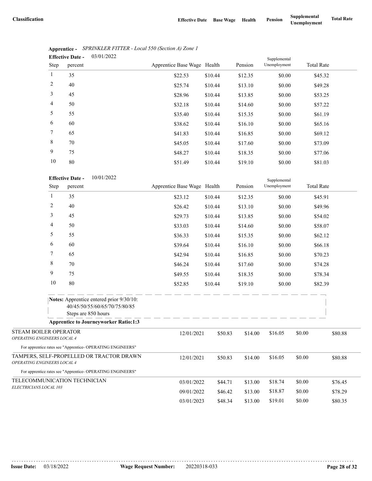|                 | <b>Effective Date -</b> | 03/01/2022 |                             |         |         |              |                   |  |  |
|-----------------|-------------------------|------------|-----------------------------|---------|---------|--------------|-------------------|--|--|
| <b>Step</b>     | percent                 |            | Apprentice Base Wage Health |         | Pension | Unemployment | <b>Total Rate</b> |  |  |
| $\mathbf{1}$    | 35                      |            | \$22.53                     | \$10.44 | \$12.35 | \$0.00       | \$45.32           |  |  |
| $\overline{2}$  | 40                      |            | \$25.74                     | \$10.44 | \$13.10 | \$0.00       | \$49.28           |  |  |
| 3               | 45                      |            | \$28.96                     | \$10.44 | \$13.85 | \$0.00       | \$53.25           |  |  |
| $\overline{4}$  | 50                      |            | \$32.18                     | \$10.44 | \$14.60 | \$0.00       | \$57.22           |  |  |
| 5               | 55                      |            | \$35.40                     | \$10.44 | \$15.35 | \$0.00       | \$61.19           |  |  |
| 6               | 60                      |            | \$38.62                     | \$10.44 | \$16.10 | \$0.00       | \$65.16           |  |  |
| $7\phantom{.0}$ | 65                      |            | \$41.83                     | \$10.44 | \$16.85 | \$0.00       | \$69.12           |  |  |
| 8               | 70                      |            | \$45.05                     | \$10.44 | \$17.60 | \$0.00       | \$73.09           |  |  |
| 9               | 75                      |            | \$48.27                     | \$10.44 | \$18.35 | \$0.00       | \$77.06           |  |  |
| 10              | 80                      |            | \$51.49                     | \$10.44 | \$19.10 | \$0.00       | \$81.03           |  |  |

|                                                            | Apprentice - SPRINKLER FITTER - Local 550 (Section A) Zone 1 |
|------------------------------------------------------------|--------------------------------------------------------------|
| $\Gamma_{\rm ff}$ of $\Gamma_{\rm eff}$ $\Gamma_{\rm eff}$ | - <u>03/01/2022</u>                                          |

|                                                                         | 10             | 80                      |                                                                           | \$51.49                     | \$10.44 | \$19.10 | \$0.00       |                   | \$81.03 |
|-------------------------------------------------------------------------|----------------|-------------------------|---------------------------------------------------------------------------|-----------------------------|---------|---------|--------------|-------------------|---------|
|                                                                         |                | <b>Effective Date -</b> | 10/01/2022                                                                |                             |         |         | Supplemental |                   |         |
|                                                                         | Step           | percent                 |                                                                           | Apprentice Base Wage Health |         | Pension | Unemployment | <b>Total Rate</b> |         |
|                                                                         | 1              | 35                      |                                                                           | \$23.12                     | \$10.44 | \$12.35 | \$0.00       |                   | \$45.91 |
|                                                                         | $\overline{2}$ | 40                      |                                                                           | \$26.42                     | \$10.44 | \$13.10 | \$0.00       |                   | \$49.96 |
|                                                                         | 3              | 45                      |                                                                           | \$29.73                     | \$10.44 | \$13.85 | \$0.00       |                   | \$54.02 |
|                                                                         | 4              | 50                      |                                                                           | \$33.03                     | \$10.44 | \$14.60 | \$0.00       |                   | \$58.07 |
|                                                                         | 5              | 55                      |                                                                           | \$36.33                     | \$10.44 | \$15.35 | \$0.00       |                   | \$62.12 |
|                                                                         | 6              | 60                      |                                                                           | \$39.64                     | \$10.44 | \$16.10 | \$0.00       |                   | \$66.18 |
|                                                                         | 7              | 65                      |                                                                           | \$42.94                     | \$10.44 | \$16.85 | \$0.00       |                   | \$70.23 |
|                                                                         | 8              | 70                      |                                                                           | \$46.24                     | \$10.44 | \$17.60 | \$0.00       |                   | \$74.28 |
|                                                                         | 9              | 75                      |                                                                           | \$49.55                     | \$10.44 | \$18.35 | \$0.00       |                   | \$78.34 |
|                                                                         | 10             | 80                      |                                                                           | \$52.85                     | \$10.44 | \$19.10 | \$0.00       |                   | \$82.39 |
|                                                                         |                | Steps are 850 hours     | Notes: Apprentice entered prior 9/30/10:<br>40/45/50/55/60/65/70/75/80/85 | - - - - - - - - -           |         |         |              |                   |         |
|                                                                         |                |                         | <b>Apprentice to Journeyworker Ratio:1:3</b>                              |                             |         |         |              |                   |         |
| STEAM BOILER OPERATOR<br>OPERATING ENGINEERS LOCAL 4                    |                |                         | For apprentice rates see "Apprentice- OPERATING ENGINEERS"                | 12/01/2021                  | \$50.83 | \$14.00 | \$16.05      | \$0.00            | \$80.88 |
| TAMPERS, SELF-PROPELLED OR TRACTOR DRAWN<br>OPERATING ENGINEERS LOCAL 4 |                | 12/01/2021              | \$50.83                                                                   | \$14.00                     | \$16.05 | \$0.00  | \$80.88      |                   |         |
|                                                                         |                |                         | For apprentice rates see "Apprentice- OPERATING ENGINEERS"                |                             |         |         |              |                   |         |
| TELECOMMUNICATION TECHNICIAN                                            |                |                         |                                                                           | 03/01/2022                  | \$44.71 | \$13.00 | \$18.74      | \$0.00            | \$76.45 |
| ELECTRICIANS LOCAL 103                                                  |                |                         |                                                                           | 09/01/2022                  | \$46.42 | \$13.00 | \$18.87      | \$0.00            | \$78.29 |
|                                                                         |                |                         |                                                                           | 03/01/2023                  | \$48.34 | \$13.00 | \$19.01      | \$0.00            | \$80.35 |
|                                                                         |                |                         |                                                                           |                             |         |         |              |                   |         |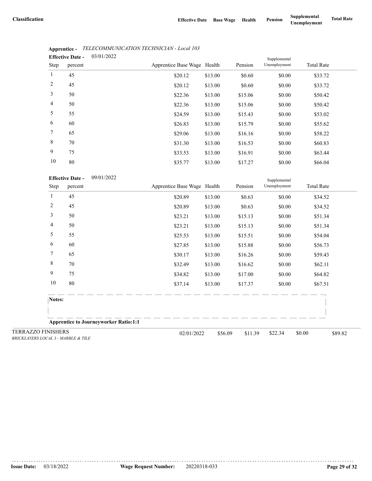|      | <b>Effective Date -</b> | 03/01/2022 |                             |         |         | Supplemental |                   |  |
|------|-------------------------|------------|-----------------------------|---------|---------|--------------|-------------------|--|
| Step | percent                 |            | Apprentice Base Wage Health |         | Pension | Unemployment | <b>Total Rate</b> |  |
| 1    | 45                      |            | \$20.12                     | \$13.00 | \$0.60  | \$0.00       | \$33.72           |  |
| 2    | 45                      |            | \$20.12                     | \$13.00 | \$0.60  | \$0.00       | \$33.72           |  |
| 3    | 50                      |            | \$22.36                     | \$13.00 | \$15.06 | \$0.00       | \$50.42           |  |
| 4    | 50                      |            | \$22.36                     | \$13.00 | \$15.06 | \$0.00       | \$50.42           |  |
| 5    | 55                      |            | \$24.59                     | \$13.00 | \$15.43 | \$0.00       | \$53.02           |  |
| 6    | 60                      |            | \$26.83                     | \$13.00 | \$15.79 | \$0.00       | \$55.62           |  |
| 7    | 65                      |            | \$29.06                     | \$13.00 | \$16.16 | \$0.00       | \$58.22           |  |
| 8    | 70                      |            | \$31.30                     | \$13.00 | \$16.53 | \$0.00       | \$60.83           |  |
| 9    | 75                      |            | \$33.53                     | \$13.00 | \$16.91 | \$0.00       | \$63.44           |  |
| 10   | 80                      |            | \$3577                      | \$13,00 | \$17.27 | \$0.00       | \$6604            |  |

#### **Apprentice -** *TELECOMMUNICATION TECHNICIAN - Local 103*

| 10               | 80                                 |                                              | \$35.77                     | \$13.00 | \$17.27 | \$0.00                       | \$66.04           |         |
|------------------|------------------------------------|----------------------------------------------|-----------------------------|---------|---------|------------------------------|-------------------|---------|
| Step             | <b>Effective Date -</b><br>percent | 09/01/2022                                   | Apprentice Base Wage Health |         | Pension | Supplemental<br>Unemployment | <b>Total Rate</b> |         |
| 1                | 45                                 |                                              | \$20.89                     | \$13.00 | \$0.63  | \$0.00                       | \$34.52           |         |
| 2                | 45                                 |                                              | \$20.89                     | \$13.00 | \$0.63  | \$0.00                       | \$34.52           |         |
| 3                | 50                                 |                                              | \$23.21                     | \$13.00 | \$15.13 | \$0.00                       | \$51.34           |         |
| 4                | 50                                 |                                              | \$23.21                     | \$13.00 | \$15.13 | \$0.00                       | \$51.34           |         |
| 5                | 55                                 |                                              | \$25.53                     | \$13.00 | \$15.51 | \$0.00                       | \$54.04           |         |
| 6                | 60                                 |                                              | \$27.85                     | \$13.00 | \$15.88 | \$0.00                       | \$56.73           |         |
| 7                | 65                                 |                                              | \$30.17                     | \$13.00 | \$16.26 | \$0.00                       | \$59.43           |         |
| $\,$ 8 $\,$      | 70                                 |                                              | \$32.49                     | \$13.00 | \$16.62 | \$0.00                       | \$62.11           |         |
| $\mathbf{9}$     | 75                                 |                                              | \$34.82                     | \$13.00 | \$17.00 | \$0.00                       | \$64.82           |         |
| 10               | 80                                 |                                              | \$37.14                     | \$13.00 | \$17.37 | \$0.00                       | \$67.51           |         |
| Notes:           |                                    |                                              |                             |         |         |                              |                   |         |
|                  |                                    |                                              |                             |         |         |                              |                   |         |
|                  |                                    | <b>Apprentice to Journeyworker Ratio:1:1</b> |                             |         |         |                              |                   |         |
| <b>FINISHERS</b> | $0.011A - 111B1B B$ $0.011B$       |                                              | 02/01/2022                  | \$56.09 | \$11.39 | \$22.34                      | \$0.00            | \$89.82 |

TERRAZZO *BRICKLAYERS LOCAL 3 - MARBLE & TILE*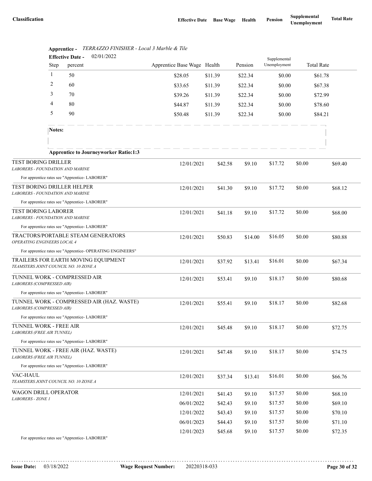|                                                                       | <b>Effective Date -</b> | 02/01/2022                                                 |                             |         |         |                              |        |                   |
|-----------------------------------------------------------------------|-------------------------|------------------------------------------------------------|-----------------------------|---------|---------|------------------------------|--------|-------------------|
|                                                                       | Step                    | percent                                                    | Apprentice Base Wage Health |         | Pension | Supplemental<br>Unemployment |        | <b>Total Rate</b> |
|                                                                       | 1                       | 50                                                         | \$28.05                     | \$11.39 | \$22.34 | \$0.00                       |        | \$61.78           |
|                                                                       | $\overline{c}$          | 60                                                         | \$33.65                     | \$11.39 | \$22.34 | \$0.00                       |        | \$67.38           |
|                                                                       | 3                       | 70                                                         | \$39.26                     | \$11.39 | \$22.34 | \$0.00                       |        | \$72.99           |
|                                                                       | 4                       | 80                                                         | \$44.87                     | \$11.39 | \$22.34 | \$0.00                       |        | \$78.60           |
|                                                                       | 5                       | 90                                                         | \$50.48                     | \$11.39 | \$22.34 | \$0.00                       |        | \$84.21           |
|                                                                       | Notes:                  |                                                            |                             |         |         |                              |        |                   |
|                                                                       |                         |                                                            |                             |         |         |                              |        |                   |
|                                                                       |                         | <b>Apprentice to Journeyworker Ratio:1:3</b>               |                             |         |         |                              |        |                   |
| <b>TEST BORING DRILLER</b><br><b>LABORERS - FOUNDATION AND MARINE</b> |                         |                                                            | 12/01/2021                  | \$42.58 | \$9.10  | \$17.72                      | \$0.00 | \$69.40           |
|                                                                       |                         | For apprentice rates see "Apprentice-LABORER"              |                             |         |         |                              |        |                   |
| TEST BORING DRILLER HELPER<br><b>LABORERS - FOUNDATION AND MARINE</b> |                         |                                                            | 12/01/2021                  | \$41.30 | \$9.10  | \$17.72                      | \$0.00 | \$68.12           |
|                                                                       |                         | For apprentice rates see "Apprentice-LABORER"              |                             |         |         |                              |        |                   |
| <b>TEST BORING LABORER</b><br><b>LABORERS - FOUNDATION AND MARINE</b> |                         |                                                            | 12/01/2021                  | \$41.18 | \$9.10  | \$17.72                      | \$0.00 | \$68.00           |
|                                                                       |                         | For apprentice rates see "Apprentice- LABORER"             |                             |         |         |                              |        |                   |
| OPERATING ENGINEERS LOCAL 4                                           |                         | TRACTORS/PORTABLE STEAM GENERATORS                         | 12/01/2021                  | \$50.83 | \$14.00 | \$16.05                      | \$0.00 | \$80.88           |
|                                                                       |                         | For apprentice rates see "Apprentice- OPERATING ENGINEERS" |                             |         |         |                              |        |                   |
| TEAMSTERS JOINT COUNCIL NO. 10 ZONE A                                 |                         | TRAILERS FOR EARTH MOVING EQUIPMENT                        | 12/01/2021                  | \$37.92 | \$13.41 | \$16.01                      | \$0.00 | \$67.34           |
| TUNNEL WORK - COMPRESSED AIR<br>LABORERS (COMPRESSED AIR)             |                         |                                                            | 12/01/2021                  | \$53.41 | \$9.10  | \$18.17                      | \$0.00 | \$80.68           |
|                                                                       |                         | For apprentice rates see "Apprentice- LABORER"             |                             |         |         |                              |        |                   |
| LABORERS (COMPRESSED AIR)                                             |                         | TUNNEL WORK - COMPRESSED AIR (HAZ. WASTE)                  | 12/01/2021                  | \$55.41 | \$9.10  | \$18.17                      | \$0.00 | \$82.68           |
|                                                                       |                         | For apprentice rates see "Apprentice- LABORER"             |                             |         |         |                              |        |                   |
| TUNNEL WORK - FREE AIR<br><b>LABORERS (FREE AIR TUNNEL)</b>           |                         |                                                            | 12/01/2021                  | \$45.48 | \$9.10  | \$18.17                      | \$0.00 | \$72.75           |
|                                                                       |                         | For apprentice rates see "Apprentice-LABORER"              |                             |         |         |                              |        |                   |
| LABORERS (FREE AIR TUNNEL)                                            |                         | TUNNEL WORK - FREE AIR (HAZ. WASTE)                        | 12/01/2021                  | \$47.48 | \$9.10  | \$18.17                      | \$0.00 | \$74.75           |
|                                                                       |                         | For apprentice rates see "Apprentice-LABORER"              |                             |         |         |                              |        |                   |
| VAC-HAUL<br>TEAMSTERS JOINT COUNCIL NO. 10 ZONE A                     |                         |                                                            | 12/01/2021                  | \$37.34 | \$13.41 | \$16.01                      | \$0.00 | \$66.76           |
| WAGON DRILL OPERATOR<br>LABORERS - ZONE 1                             |                         |                                                            | 12/01/2021                  | \$41.43 | \$9.10  | \$17.57                      | \$0.00 | \$68.10           |
|                                                                       |                         |                                                            | 06/01/2022                  | \$42.43 | \$9.10  | \$17.57                      | \$0.00 | \$69.10           |
|                                                                       |                         |                                                            | 12/01/2022                  | \$43.43 | \$9.10  | \$17.57                      | \$0.00 | \$70.10           |
|                                                                       |                         |                                                            | 06/01/2023                  | \$44.43 | \$9.10  | \$17.57                      | \$0.00 | \$71.10           |
|                                                                       |                         |                                                            | 12/01/2023                  | \$45.68 | \$9.10  | \$17.57                      | \$0.00 | \$72.35           |
|                                                                       |                         | For apprentice rates see "Apprentice-LABORER"              |                             |         |         |                              |        |                   |

|      |  | Apprentice - TERRAZZO FINISHER - Local 3 Marble & Tile |  |
|------|--|--------------------------------------------------------|--|
| $ -$ |  | $0.2101$ 10000                                         |  |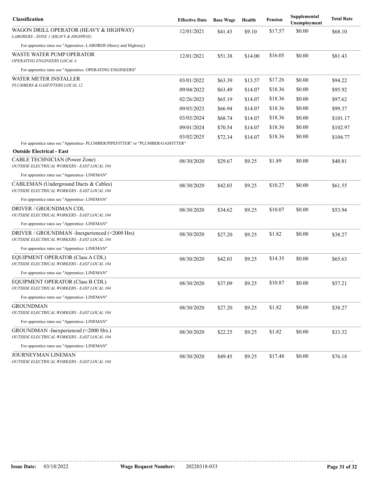| Classification                                                                               | <b>Effective Date</b> | <b>Base Wage</b> | Health  | Pension | Supplemental<br>Unemployment | <b>Total Rate</b> |
|----------------------------------------------------------------------------------------------|-----------------------|------------------|---------|---------|------------------------------|-------------------|
| WAGON DRILL OPERATOR (HEAVY & HIGHWAY)<br>LABORERS - ZONE 1 (HEAVY & HIGHWAY)                | 12/01/2021            | \$41.43          | \$9.10  | \$17.57 | \$0.00                       | \$68.10           |
| For apprentice rates see "Apprentice-LABORER (Heavy and Highway)                             |                       |                  |         |         |                              |                   |
| WASTE WATER PUMP OPERATOR<br>OPERATING ENGINEERS LOCAL 4                                     | 12/01/2021            | \$51.38          | \$14.00 | \$16.05 | \$0.00                       | \$81.43           |
| For apprentice rates see "Apprentice- OPERATING ENGINEERS"                                   |                       |                  |         |         |                              |                   |
| WATER METER INSTALLER                                                                        | 03/01/2022            | \$63.39          | \$13.57 | \$17.26 | \$0.00                       | \$94.22           |
| PLUMBERS & GASFITTERS LOCAL 12                                                               | 09/04/2022            | \$63.49          | \$14.07 | \$18.36 | \$0.00                       | \$95.92           |
|                                                                                              | 02/26/2023            | \$65.19          | \$14.07 | \$18.36 | \$0.00                       | \$97.62           |
|                                                                                              | 09/03/2023            | \$66.94          | \$14.07 | \$18.36 | \$0.00                       | \$99.37           |
|                                                                                              | 03/03/2024            | \$68.74          | \$14.07 | \$18.36 | \$0.00                       | \$101.17          |
|                                                                                              | 09/01/2024            | \$70.54          | \$14.07 | \$18.36 | \$0.00                       | \$102.97          |
|                                                                                              | 03/02/2025            | \$72.34          | \$14.07 | \$18.36 | \$0.00                       | \$104.77          |
| For apprentice rates see "Apprentice- PLUMBER/PIPEFITTER" or "PLUMBER/GASFITTER"             |                       |                  |         |         |                              |                   |
| <b>Outside Electrical - East</b><br>CABLE TECHNICIAN (Power Zone)                            |                       |                  |         |         |                              |                   |
| OUTSIDE ELECTRICAL WORKERS - EAST LOCAL 104                                                  | 08/30/2020            | \$29.67          | \$9.25  | \$1.89  | \$0.00                       | \$40.81           |
| For apprentice rates see "Apprentice- LINEMAN"                                               |                       |                  |         |         |                              |                   |
| CABLEMAN (Underground Ducts & Cables)<br>OUTSIDE ELECTRICAL WORKERS - EAST LOCAL 104         | 08/30/2020            | \$42.03          | \$9.25  | \$10.27 | \$0.00                       | \$61.55           |
| For apprentice rates see "Apprentice- LINEMAN"                                               |                       |                  |         |         |                              |                   |
| DRIVER / GROUNDMAN CDL<br>OUTSIDE ELECTRICAL WORKERS - EAST LOCAL 104                        | 08/30/2020            | \$34.62          | \$9.25  | \$10.07 | \$0.00                       | \$53.94           |
| For apprentice rates see "Apprentice- LINEMAN"                                               |                       |                  |         |         |                              |                   |
| DRIVER / GROUNDMAN -Inexperienced (<2000 Hrs)<br>OUTSIDE ELECTRICAL WORKERS - EAST LOCAL 104 | 08/30/2020            | \$27.20          | \$9.25  | \$1.82  | \$0.00                       | \$38.27           |
| For apprentice rates see "Apprentice- LINEMAN"                                               |                       |                  |         |         |                              |                   |
| EQUIPMENT OPERATOR (Class A CDL)<br>OUTSIDE ELECTRICAL WORKERS - EAST LOCAL 104              | 08/30/2020            | \$42.03          | \$9.25  | \$14.35 | \$0.00                       | \$65.63           |
| For apprentice rates see "Apprentice- LINEMAN"                                               |                       |                  |         |         |                              |                   |
| EQUIPMENT OPERATOR (Class B CDL)<br>OUTSIDE ELECTRICAL WORKERS - EAST LOCAL 104              | 08/30/2020            | \$37.09          | \$9.25  | \$10.87 | \$0.00                       | \$57.21           |
| For apprentice rates see "Apprentice- LINEMAN"                                               |                       |                  |         |         |                              |                   |
| GROUNDMAN<br>OUTSIDE ELECTRICAL WORKERS - EAST LOCAL 104                                     | 08/30/2020            | \$27.20          | \$9.25  | \$1.82  | \$0.00                       | \$38.27           |
| For apprentice rates see "Apprentice- LINEMAN"                                               |                       |                  |         |         |                              |                   |
| GROUNDMAN - Inexperienced (<2000 Hrs.)<br>OUTSIDE ELECTRICAL WORKERS - EAST LOCAL 104        | 08/30/2020            | \$22.25          | \$9.25  | \$1.82  | \$0.00                       | \$33.32           |
| For apprentice rates see "Apprentice- LINEMAN"                                               |                       |                  |         |         |                              |                   |
| JOURNEYMAN LINEMAN<br>OUTSIDE ELECTRICAL WORKERS - EAST LOCAL 104                            | 08/30/2020            | \$49.45          | \$9.25  | \$17.48 | \$0.00                       | \$76.18           |